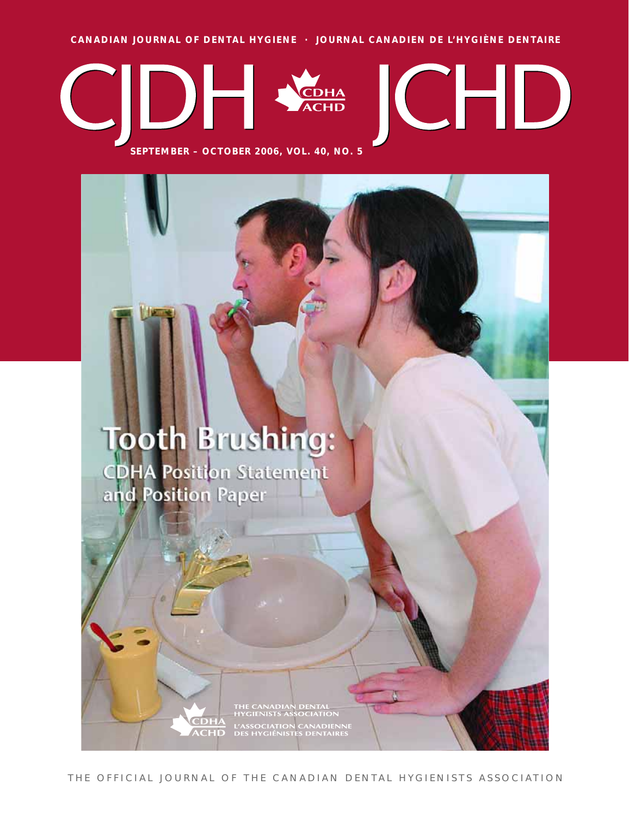**CANADIAN JOURNAL OF DENTAL HYGIENE · JOURNAL CANADIEN DE L'HYGIÈNE DENTAIRE**



**SEPTEMBER – OCTOBER 2006, VOL. 40, NO. 5**

## **Tooth Brushing:**

**CDHA Position Statement** and Position Paper

**CHD** 

THE CANADIAN DENTAL<br>HYGIENISTS ASSOCIATION L'ASSOCIATION CANADIENNE<br>DES HYGIÉNISTES DENTAIRES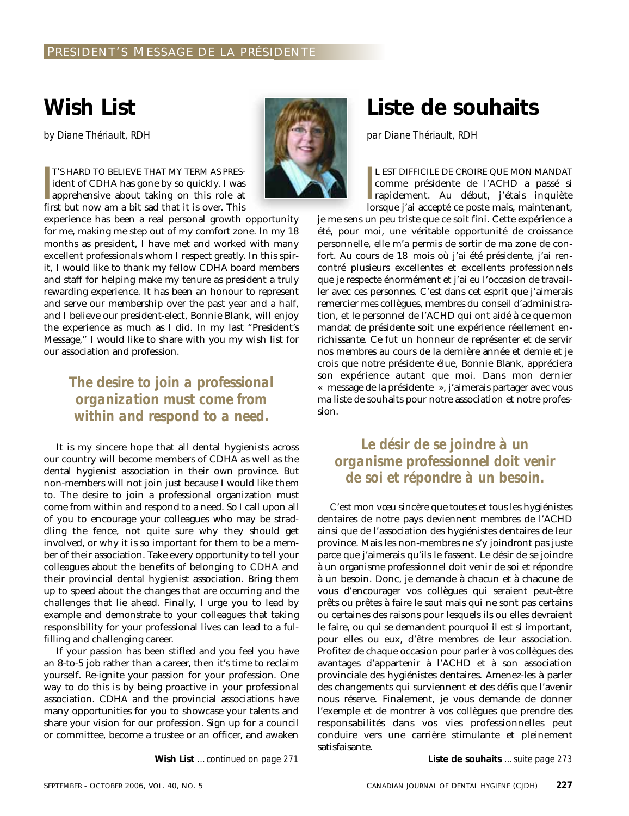## **Wish List**

*by Diane Thériault, RDH*

|<br>|<br>|<br>|<br>| T'S HARD TO BELIEVE THAT MY TERM AS PRESident of CDHA has gone by so quickly. I was apprehensive about taking on this role at first but now am a bit sad that it is over. This



experience has been a real personal growth opportunity for me, making me step out of my comfort zone. In my 18 months as president, I have met and worked with many excellent professionals whom I respect greatly. In this spirit, I would like to thank my fellow CDHA board members and staff for helping make my tenure as president a truly rewarding experience. It has been an honour to represent and serve our membership over the past year and a half, and I believe our president-elect, Bonnie Blank, will enjoy the experience as much as I did. In my last "President's Message," I would like to share with you my wish list for our association and profession.

#### *The desire to join a professional organization must come from within and respond to a need.*

It is my sincere hope that all dental hygienists across our country will become members of CDHA as well as the dental hygienist association in their own province. But non-members will not join just because I would like them to. The desire to join a professional organization must come from within and respond to a need. So I call upon all of you to encourage your colleagues who may be straddling the fence, not quite sure why they should get involved, or why it is so important for them to be a member of their association. Take every opportunity to tell your colleagues about the benefits of belonging to CDHA and their provincial dental hygienist association. Bring them up to speed about the changes that are occurring and the challenges that lie ahead. Finally, I urge you to lead by example and demonstrate to your colleagues that taking responsibility for your professional lives can lead to a fulfilling and challenging career.

If your passion has been stifled and you feel you have an 8-to-5 job rather than a career, then it's time to reclaim yourself. Re-ignite your passion for your profession. One way to do this is by being proactive in your professional association. CDHA and the provincial associations have many opportunities for you to showcase your talents and share your vision for our profession. Sign up for a council or committee, become a trustee or an officer, and awaken

**Wish List** *…continued on page 271*

## **Liste de souhaits**

*par Diane Thériault, RDH*

L EST DIFFICILE DE CROIRE QUE MON MANDAT<br>comme présidente de l'ACHD a passé si<br>rapidement. Au début, j'étais inquiète<br>lorsque j'ai accepté ce poste mais, maintenant, L EST DIFFICILE DE CROIRE QUE MON MANDAT comme présidente de l'ACHD a passé si rapidement. Au début, j'étais inquiète

je me sens un peu triste que ce soit fini. Cette expérience a été, pour moi, une véritable opportunité de croissance personnelle, elle m'a permis de sortir de ma zone de confort. Au cours de 18 mois où j'ai été présidente, j'ai rencontré plusieurs excellentes et excellents professionnels que je respecte énormément et j'ai eu l'occasion de travailler avec ces personnes. C'est dans cet esprit que j'aimerais remercier mes collègues, membres du conseil d'administration, et le personnel de l'ACHD qui ont aidé à ce que mon mandat de présidente soit une expérience réellement enrichissante. Ce fut un honneur de représenter et de servir nos membres au cours de la dernière année et demie et je crois que notre présidente élue, Bonnie Blank, appréciera son expérience autant que moi. Dans mon dernier « message de la présidente », j'aimerais partager avec vous ma liste de souhaits pour notre association et notre profession.

#### *Le désir de se joindre à un organisme professionnel doit venir de soi et répondre à un besoin.*

C'est mon vœu sincère que toutes et tous les hygiénistes dentaires de notre pays deviennent membres de l'ACHD ainsi que de l'association des hygiénistes dentaires de leur province. Mais les non-membres ne s'y joindront pas juste parce que j'aimerais qu'ils le fassent. Le désir de se joindre à un organisme professionnel doit venir de soi et répondre à un besoin. Donc, je demande à chacun et à chacune de vous d'encourager vos collègues qui seraient peut-être prêts ou prêtes à faire le saut mais qui ne sont pas certains ou certaines des raisons pour lesquels ils ou elles devraient le faire, ou qui se demandent pourquoi il est si important, pour elles ou eux, d'être membres de leur association. Profitez de chaque occasion pour parler à vos collègues des avantages d'appartenir à l'ACHD et à son association provinciale des hygiénistes dentaires. Amenez-les à parler des changements qui surviennent et des défis que l'avenir nous réserve. Finalement, je vous demande de donner l'exemple et de montrer à vos collègues que prendre des responsabilités dans vos vies professionnelles peut conduire vers une carrière stimulante et pleinement satisfaisante.

**Liste de souhaits** *…suite page 273*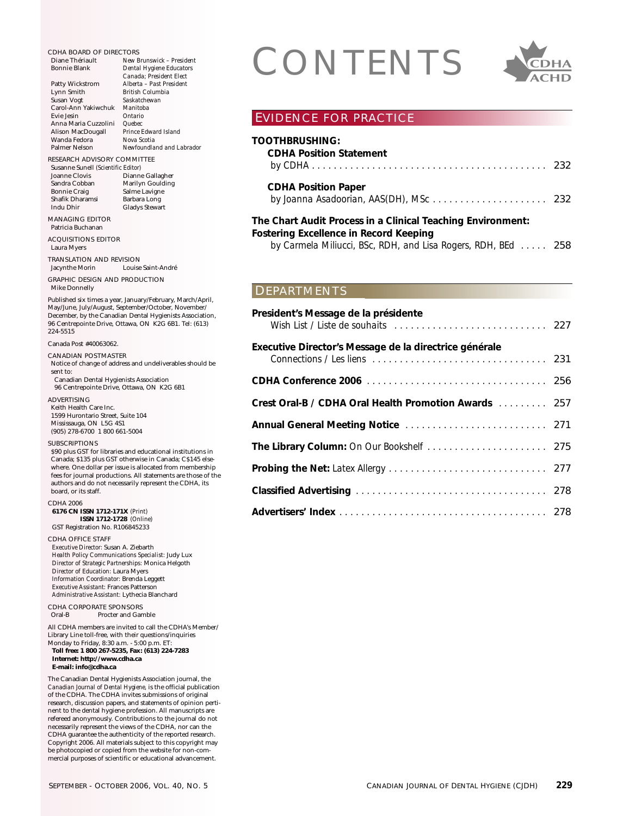Evie Jesin *Ontario* Anna Maria Cuzzolini *Quebec* Alison MacDougall *Prince Edward Island* Wanda Fedora *Nova Scotia* Palmer Nelson *Newfoundland and Labrador* RESEARCH ADVISORY COMMITTEE Susanne Sunell *(Scientific Editor)* Dianne Gallagher Sandra Cobban Marilyn Goulding Bonnie Craig Salme Lavigne<br>Shafik Dharamsi Barbara Long Shafik Dharamsi<br>Indu Dhir Gladys Stewart MANAGING EDITOR Patricia Buchanan ACQUISITIONS EDITOR Laura Myers TRANSLATION AND REVISION<br>Jacynthe Morin Louise Louise Saint-André GRAPHIC DESIGN AND PRODUCTION Mike Donnelly Published six times a year, January/February, March/April, May/June, July/August, September/October, November/ December, by the Canadian Dental Hygienists Association, 96 Centrepointe Drive, Ottawa, ON K2G 6B1. Tel: (613) 224-5515 Canada Post #40063062. CANADIAN POSTMASTER Notice of change of address and undeliverables should be sent to: Canadian Dental Hygienists Association 96 Centrepointe Drive, Ottawa, ON K2G 6B1 ADVERTISING Keith Health Care Inc. 1599 Hurontario Street, Suite 104 Mississauga, ON L5G 4S1 (905) 278-6700 1 800 661-5004 SUBSCRIPTIONS \$90 plus GST for libraries and educational institutions in Canada; \$135 plus GST otherwise in Canada; C\$145 elseauthors and do not necessarily represent the CDHA, its board, or its staff. CDHA 2006 **6176 CN ISSN 1712-171X** *(Print)* **ISSN 1712-1728** *(Online)* GST Registration No. R106845233 CDHA OFFICE STAFF *Executive Director:* Susan A. Ziebarth *Health Policy Communications Specialist:* Judy Lux *Director of Strategic Partnerships:* Monica Helgoth *Director of Education:* Laura Myers *Information Coordinator:* Brenda Leggett *Executive Assistant:* Frances Patterson *Administrative Assistant:* Lythecia Blanchard CDHA CORPORATE SPONSORS<br>Oral-B Procter and Gan Procter and Gamble All CDHA members are invited to call the CDHA's Member/ Library Line toll-free, with their questions/inquiries Monday to Friday, 8:30 a.m. - 5:00 p.m. ET: **Toll free: 1 800 267-5235, Fax: (613) 224-7283 Internet: http://www.cdha.ca**

The Canadian Dental Hygienists Association journal, the *Canadian Journal of Dental Hygiene,* is the official publication of the CDHA. The CDHA invites submissions of original research, discussion papers, and statements of opinion pertinent to the dental hygiene profession. All manuscripts are refereed anonymously. Contributions to the journal do not necessarily represent the views of the CDHA, nor can the CDHA guarantee the authenticity of the reported research. Copyright 2006. All materials subject to this copyright may be photocopied or copied from the website for non-commercial purposes of scientific or educational advancement.

# CDHA BOARD OF DIRECTORS<br>
Diane Thériault<br>
Bonnie Blank<br>
Patty Wickstrom<br>
Patty Wickstrom<br>
Alberta - Past President



#### EVIDENCE FOR PRACTICE

| TOOTHBRUSHING:<br><b>CDHA Position Statement</b>                                                             |  |
|--------------------------------------------------------------------------------------------------------------|--|
| <b>CDHA Position Paper</b>                                                                                   |  |
| The Chart Audit Process in a Clinical Teaching Environment:<br><b>Fostering Excellence in Record Keeping</b> |  |

*by Carmela Miliucci, BSc, RDH, and Lisa Rogers, RDH, BEd . . . . .* 258

#### DEPARTMENTS

| President's Message de la présidente                   |  |
|--------------------------------------------------------|--|
| Executive Director's Message de la directrice générale |  |
|                                                        |  |
| Crest Oral-B / CDHA Oral Health Promotion Awards  257  |  |
|                                                        |  |
|                                                        |  |
|                                                        |  |
|                                                        |  |
|                                                        |  |

Diane Thériault *New Brunswick – President*  $Dental$  *Hygiene Educators Canada; President Elect*

Lynn Smith *British Columbia*

Patty Wickstrom *Alberta – Past President*

Carol-Ann Yakiwchuk *Manitoba*

Susan Vogt *Saskatchewan*

where. One dollar per issue is allocated from membership fees for journal productions. All statements are those of the

**E-mail: info@cdha.ca**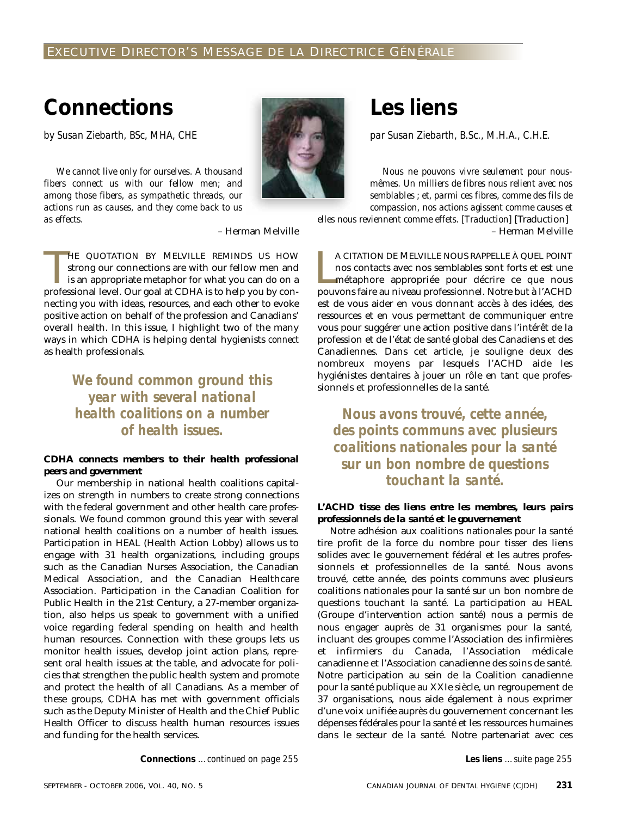#### EXECUTIVE DIRECTOR'S MESSAGE DE LA DIRECTRICE GÉNÉRALE

## **Connections**

*by Susan Ziebarth, BSc, MHA, CHE*

*We cannot live only for ourselves. A thousand fibers connect us with our fellow men; and among those fibers, as sympathetic threads, our actions run as causes, and they come back to us as effects.*



– Herman Melville

HE QUOTATION BY MELVILLE REMINDS US HOW<br>strong our connections are with our fellow men and<br>is an appropriate metaphor for what you can do on a<br>professional level. Our goal at CDHA is to help you by con-HE QUOTATION BY MELVILLE REMINDS US HOW strong our connections are with our fellow men and is an appropriate metaphor for what you can do on a necting you with ideas, resources, and each other to evoke positive action on behalf of the profession and Canadians' overall health. In this issue, I highlight two of the many ways in which CDHA is helping dental hygienists *connect* as health professionals.

> *We found common ground this year with several national health coalitions on a number of health issues.*

#### *CDHA connects members to their health professional peers and government*

Our membership in national health coalitions capitalizes on strength in numbers to create strong connections with the federal government and other health care professionals. We found common ground this year with several national health coalitions on a number of health issues. Participation in HEAL (Health Action Lobby) allows us to engage with 31 health organizations, including groups such as the Canadian Nurses Association, the Canadian Medical Association, and the Canadian Healthcare Association. Participation in the Canadian Coalition for Public Health in the 21st Century, a 27-member organization, also helps us speak to government with a unified voice regarding federal spending on health and health human resources. Connection with these groups lets us monitor health issues, develop joint action plans, represent oral health issues at the table, and advocate for policies that strengthen the public health system and promote and protect the health of all Canadians. As a member of these groups, CDHA has met with government officials such as the Deputy Minister of Health and the Chief Public Health Officer to discuss health human resources issues and funding for the health services.

**Les liens**

*par Susan Ziebarth, B.Sc., M.H.A., C.H.E.*

*Nous ne pouvons vivre seulement pour nousmêmes. Un milliers de fibres nous relient avec nos semblables ; et, parmi ces fibres, comme des fils de compassion, nos actions agissent comme causes et elles nous reviennent comme effets. [Traduction]* [Traduction]

– Herman Melville

A CITATION DE MELVILLE NOUS RAPPELLE À QUEL POINT<br>nos contacts avec nos semblables sont forts et est une<br>métaphore appropriée pour décrire ce que nous<br>pouvons faire au niveau professionnel. Notre but à l'ACHD A CITATION DE MELVILLE NOUS RAPPELLE À QUEL POINT nos contacts avec nos semblables sont forts et est une métaphore appropriée pour décrire ce que nous est de vous aider en vous donnant accès à des idées, des ressources et en vous permettant de communiquer entre vous pour suggérer une action positive dans l'intérêt de la profession et de l'état de santé global des Canadiens et des Canadiennes. Dans cet article, je souligne deux des nombreux moyens par lesquels l'ACHD aide les hygiénistes dentaires à jouer un rôle en tant que professionnels et professionnelles de la santé.

*Nous avons trouvé, cette année, des points communs avec plusieurs coalitions nationales pour la santé sur un bon nombre de questions touchant la santé.*

#### *L'ACHD tisse des liens entre les membres, leurs pairs professionnels de la santé et le gouvernement*

Notre adhésion aux coalitions nationales pour la santé tire profit de la force du nombre pour tisser des liens solides avec le gouvernement fédéral et les autres professionnels et professionnelles de la santé. Nous avons trouvé, cette année, des points communs avec plusieurs coalitions nationales pour la santé sur un bon nombre de questions touchant la santé. La participation au HEAL (Groupe d'intervention action santé) nous a permis de nous engager auprès de 31 organismes pour la santé, incluant des groupes comme l'Association des infirmières et infirmiers du Canada, l'Association médicale canadienne et l'Association canadienne des soins de santé. Notre participation au sein de la Coalition canadienne pour la santé publique au XXIe siècle, un regroupement de 37 organisations, nous aide également à nous exprimer d'une voix unifiée auprès du gouvernement concernant les dépenses fédérales pour la santé et les ressources humaines dans le secteur de la santé. Notre partenariat avec ces

**Connections** *…continued on page 255* **Les liens** *…suite page 255*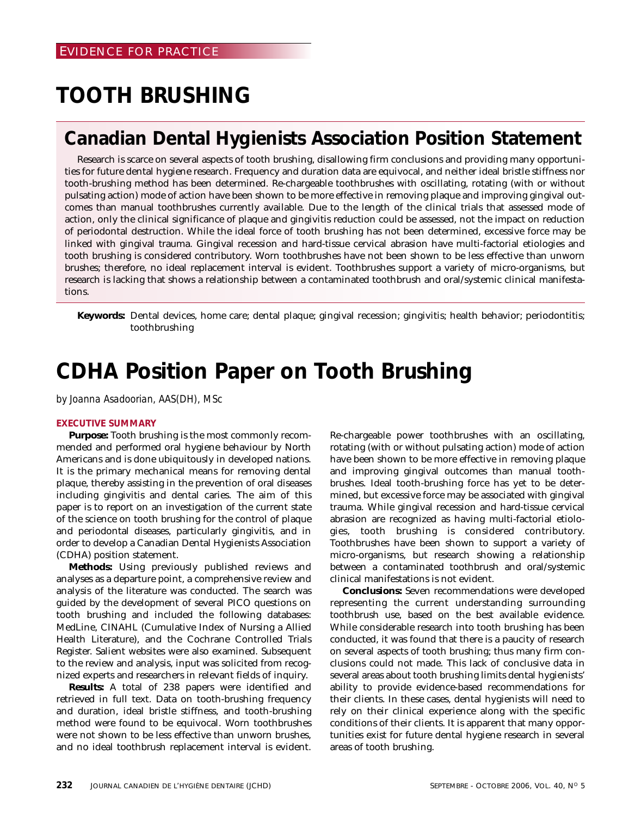## **TOOTH BRUSHING**

## **Canadian Dental Hygienists Association Position Statement**

Research is scarce on several aspects of tooth brushing, disallowing firm conclusions and providing many opportunities for future dental hygiene research. Frequency and duration data are equivocal, and neither ideal bristle stiffness nor tooth-brushing method has been determined. Re-chargeable toothbrushes with oscillating, rotating (with or without pulsating action) mode of action have been shown to be more effective in removing plaque and improving gingival outcomes than manual toothbrushes currently available. Due to the length of the clinical trials that assessed mode of action, only the clinical significance of plaque and gingivitis reduction could be assessed, not the impact on reduction of periodontal destruction. While the ideal force of tooth brushing has not been determined, excessive force may be linked with gingival trauma. Gingival recession and hard-tissue cervical abrasion have multi-factorial etiologies and tooth brushing is considered contributory. Worn toothbrushes have not been shown to be less effective than unworn brushes; therefore, no ideal replacement interval is evident. Toothbrushes support a variety of micro-organisms, but research is lacking that shows a relationship between a contaminated toothbrush and oral/systemic clinical manifestations.

**Keywords:** Dental devices, home care; dental plaque; gingival recession; gingivitis; health behavior; periodontitis; toothbrushing

## **CDHA Position Paper on Tooth Brushing**

*by Joanna Asadoorian, AAS(DH), MSc*

#### **EXECUTIVE SUMMARY**

**Purpose:** Tooth brushing is the most commonly recommended and performed oral hygiene behaviour by North Americans and is done ubiquitously in developed nations. It is the primary mechanical means for removing dental plaque, thereby assisting in the prevention of oral diseases including gingivitis and dental caries. The aim of this paper is to report on an investigation of the current state of the science on tooth brushing for the control of plaque and periodontal diseases, particularly gingivitis, and in order to develop a Canadian Dental Hygienists Association (CDHA) position statement.

**Methods:** Using previously published reviews and analyses as a departure point, a comprehensive review and analysis of the literature was conducted. The search was guided by the development of several PICO questions on tooth brushing and included the following databases: MedLine, CINAHL (Cumulative Index of Nursing a Allied Health Literature), and the Cochrane Controlled Trials Register. Salient websites were also examined. Subsequent to the review and analysis, input was solicited from recognized experts and researchers in relevant fields of inquiry.

**Results:** A total of 238 papers were identified and retrieved in full text. Data on tooth-brushing frequency and duration, ideal bristle stiffness, and tooth-brushing method were found to be equivocal. Worn toothbrushes were not shown to be less effective than unworn brushes, and no ideal toothbrush replacement interval is evident. Re-chargeable power toothbrushes with an oscillating, rotating (with or without pulsating action) mode of action have been shown to be more effective in removing plaque and improving gingival outcomes than manual toothbrushes. Ideal tooth-brushing force has yet to be determined, but excessive force may be associated with gingival trauma. While gingival recession and hard-tissue cervical abrasion are recognized as having multi-factorial etiologies, tooth brushing is considered contributory. Toothbrushes have been shown to support a variety of micro-organisms, but research showing a relationship between a contaminated toothbrush and oral/systemic clinical manifestations is not evident.

**Conclusions:** Seven recommendations were developed representing the current understanding surrounding toothbrush use, based on the best available evidence. While considerable research into tooth brushing has been conducted, it was found that there is a paucity of research on several aspects of tooth brushing; thus many firm conclusions could not made. This lack of conclusive data in several areas about tooth brushing limits dental hygienists' ability to provide evidence-based recommendations for their clients. In these cases, dental hygienists will need to rely on their clinical experience along with the specific conditions of their clients. It is apparent that many opportunities exist for future dental hygiene research in several areas of tooth brushing.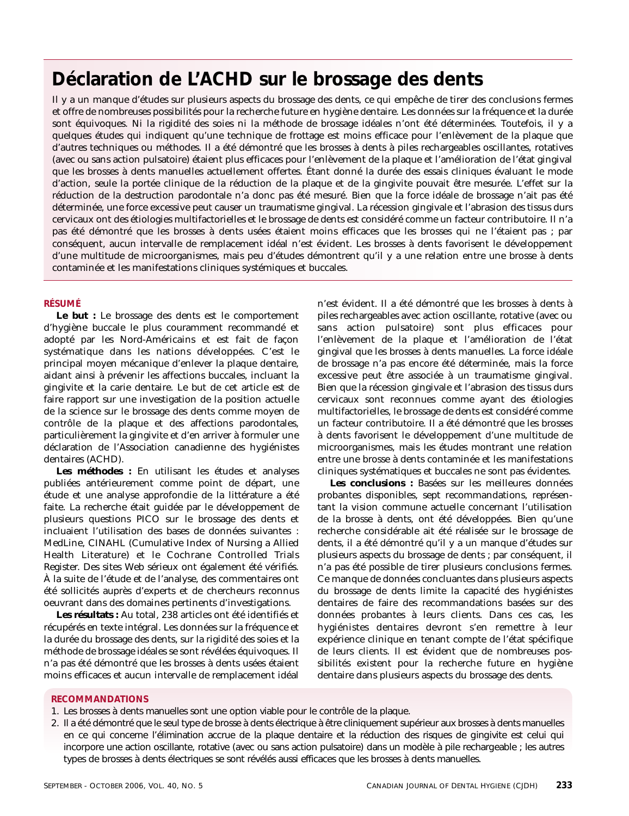## **Déclaration de L'ACHD sur le brossage des dents**

Il y a un manque d'études sur plusieurs aspects du brossage des dents, ce qui empêche de tirer des conclusions fermes et offre de nombreuses possibilités pour la recherche future en hygiène dentaire. Les données sur la fréquence et la durée sont équivoques. Ni la rigidité des soies ni la méthode de brossage idéales n'ont été déterminées. Toutefois, il y a quelques études qui indiquent qu'une technique de frottage est moins efficace pour l'enlèvement de la plaque que d'autres techniques ou méthodes. Il a été démontré que les brosses à dents à piles rechargeables oscillantes, rotatives (avec ou sans action pulsatoire) étaient plus efficaces pour l'enlèvement de la plaque et l'amélioration de l'état gingival que les brosses à dents manuelles actuellement offertes. Étant donné la durée des essais cliniques évaluant le mode d'action, seule la portée clinique de la réduction de la plaque et de la gingivite pouvait être mesurée. L'effet sur la réduction de la destruction parodontale n'a donc pas été mesuré. Bien que la force idéale de brossage n'ait pas été déterminée, une force excessive peut causer un traumatisme gingival. La récession gingivale et l'abrasion des tissus durs cervicaux ont des étiologies multifactorielles et le brossage de dents est considéré comme un facteur contributoire. Il n'a pas été démontré que les brosses à dents usées étaient moins efficaces que les brosses qui ne l'étaient pas ; par conséquent, aucun intervalle de remplacement idéal n'est évident. Les brosses à dents favorisent le développement d'une multitude de microorganismes, mais peu d'études démontrent qu'il y a une relation entre une brosse à dents contaminée et les manifestations cliniques systémiques et buccales.

#### **RÉSUMÉ**

**Le but :** Le brossage des dents est le comportement d'hygiène buccale le plus couramment recommandé et adopté par les Nord-Américains et est fait de façon systématique dans les nations développées. C'est le principal moyen mécanique d'enlever la plaque dentaire, aidant ainsi à prévenir les affections buccales, incluant la gingivite et la carie dentaire. Le but de cet article est de faire rapport sur une investigation de la position actuelle de la science sur le brossage des dents comme moyen de contrôle de la plaque et des affections parodontales, particulièrement la gingivite et d'en arriver à formuler une déclaration de l'Association canadienne des hygiénistes dentaires (ACHD).

**Les méthodes :** En utilisant les études et analyses publiées antérieurement comme point de départ, une étude et une analyse approfondie de la littérature a été faite. La recherche était guidée par le développement de plusieurs questions PICO sur le brossage des dents et incluaient l'utilisation des bases de données suivantes : MedLine, CINAHL (Cumulative Index of Nursing a Allied Health Literature) et le Cochrane Controlled Trials Register. Des sites Web sérieux ont également été vérifiés. À la suite de l'étude et de l'analyse, des commentaires ont été sollicités auprès d'experts et de chercheurs reconnus oeuvrant dans des domaines pertinents d'investigations.

**Les résultats :** Au total, 238 articles ont été identifiés et récupérés en texte intégral. Les données sur la fréquence et la durée du brossage des dents, sur la rigidité des soies et la méthode de brossage idéales se sont révélées équivoques. Il n'a pas été démontré que les brosses à dents usées étaient moins efficaces et aucun intervalle de remplacement idéal

n'est évident. Il a été démontré que les brosses à dents à piles rechargeables avec action oscillante, rotative (avec ou sans action pulsatoire) sont plus efficaces pour l'enlèvement de la plaque et l'amélioration de l'état gingival que les brosses à dents manuelles. La force idéale de brossage n'a pas encore été déterminée, mais la force excessive peut être associée à un traumatisme gingival. Bien que la récession gingivale et l'abrasion des tissus durs cervicaux sont reconnues comme ayant des étiologies multifactorielles, le brossage de dents est considéré comme un facteur contributoire. Il a été démontré que les brosses à dents favorisent le développement d'une multitude de microorganismes, mais les études montrant une relation entre une brosse à dents contaminée et les manifestations cliniques systématiques et buccales ne sont pas évidentes.

**Les conclusions :** Basées sur les meilleures données probantes disponibles, sept recommandations, représentant la vision commune actuelle concernant l'utilisation de la brosse à dents, ont été développées. Bien qu'une recherche considérable ait été réalisée sur le brossage de dents, il a été démontré qu'il y a un manque d'études sur plusieurs aspects du brossage de dents ; par conséquent, il n'a pas été possible de tirer plusieurs conclusions fermes. Ce manque de données concluantes dans plusieurs aspects du brossage de dents limite la capacité des hygiénistes dentaires de faire des recommandations basées sur des données probantes à leurs clients. Dans ces cas, les hygiénistes dentaires devront s'en remettre à leur expérience clinique en tenant compte de l'état spécifique de leurs clients. Il est évident que de nombreuses possibilités existent pour la recherche future en hygiène dentaire dans plusieurs aspects du brossage des dents.

#### **RECOMMANDATIONS**

- 1. Les brosses à dents manuelles sont une option viable pour le contrôle de la plaque.
- 2. Il a été démontré que le seul type de brosse à dents électrique à être cliniquement supérieur aux brosses à dents manuelles en ce qui concerne l'élimination accrue de la plaque dentaire et la réduction des risques de gingivite est celui qui incorpore une action oscillante, rotative (avec ou sans action pulsatoire) dans un modèle à pile rechargeable ; les autres types de brosses à dents électriques se sont révélés aussi efficaces que les brosses à dents manuelles.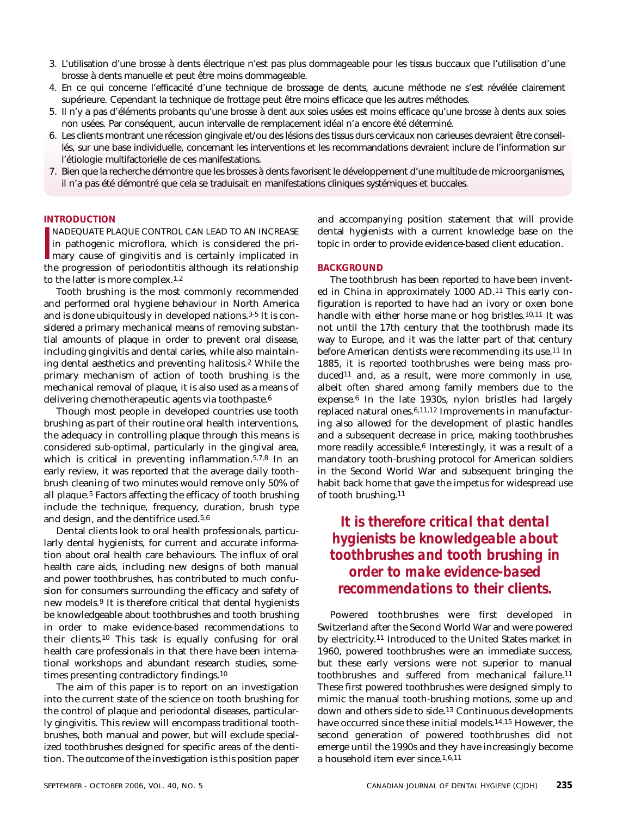- 3. L'utilisation d'une brosse à dents électrique n'est pas plus dommageable pour les tissus buccaux que l'utilisation d'une brosse à dents manuelle et peut être moins dommageable.
- 4. En ce qui concerne l'efficacité d'une technique de brossage de dents, aucune méthode ne s'est révélée clairement supérieure. Cependant la technique de frottage peut être moins efficace que les autres méthodes.
- 5. Il n'y a pas d'éléments probants qu'une brosse à dent aux soies usées est moins efficace qu'une brosse à dents aux soies non usées. Par conséquent, aucun intervalle de remplacement idéal n'a encore été déterminé.
- 6. Les clients montrant une récession gingivale et/ou des lésions des tissus durs cervicaux non carieuses devraient être conseillés, sur une base individuelle, concernant les interventions et les recommandations devraient inclure de l'information sur l'étiologie multifactorielle de ces manifestations.
- 7. Bien que la recherche démontre que les brosses à dents favorisent le développement d'une multitude de microorganismes, il n'a pas été démontré que cela se traduisait en manifestations cliniques systémiques et buccales.

#### **INTRODUCTION**

NADEQUATE PLAQUE CONTROL CAN LEAD TO AN INCREASE<br>in pathogenic microflora, which is considered the pri-<br>mary cause of gingivitis and is certainly implicated in<br>the progression of periodontitis although its relationship NADEQUATE PLAQUE CONTROL CAN LEAD TO AN INCREASE in pathogenic microflora, which is considered the primary cause of gingivitis and is certainly implicated in to the latter is more complex.1,2

Tooth brushing is the most commonly recommended and performed oral hygiene behaviour in North America and is done ubiquitously in developed nations.3-5 It is considered a primary mechanical means of removing substantial amounts of plaque in order to prevent oral disease, including gingivitis and dental caries, while also maintaining dental aesthetics and preventing halitosis.2 While the primary mechanism of action of tooth brushing is the mechanical removal of plaque, it is also used as a means of delivering chemotherapeutic agents via toothpaste.<sup>6</sup>

Though most people in developed countries use tooth brushing as part of their routine oral health interventions, the adequacy in controlling plaque through this means is considered sub-optimal, particularly in the gingival area, which is critical in preventing inflammation.<sup>5,7,8</sup> In an early review, it was reported that the average daily toothbrush cleaning of two minutes would remove only 50% of all plaque.5 Factors affecting the efficacy of tooth brushing include the technique, frequency, duration, brush type and design, and the dentifrice used.5,6

Dental clients look to oral health professionals, particularly dental hygienists, for current and accurate information about oral health care behaviours. The influx of oral health care aids, including new designs of both manual and power toothbrushes, has contributed to much confusion for consumers surrounding the efficacy and safety of new models.9 It is therefore critical that dental hygienists be knowledgeable about toothbrushes and tooth brushing in order to make evidence-based recommendations to their clients.10 This task is equally confusing for oral health care professionals in that there have been international workshops and abundant research studies, sometimes presenting contradictory findings.10

The aim of this paper is to report on an investigation into the current state of the science on tooth brushing for the control of plaque and periodontal diseases, particularly gingivitis. This review will encompass traditional toothbrushes, both manual and power, but will exclude specialized toothbrushes designed for specific areas of the dentition. The outcome of the investigation is this position paper and accompanying position statement that will provide dental hygienists with a current knowledge base on the topic in order to provide evidence-based client education.

#### **BACKGROUND**

The toothbrush has been reported to have been invented in China in approximately 1000 AD.11 This early configuration is reported to have had an ivory or oxen bone handle with either horse mane or hog bristles.10,11 It was not until the 17th century that the toothbrush made its way to Europe, and it was the latter part of that century before American dentists were recommending its use.11 In 1885, it is reported toothbrushes were being mass produced<sup>11</sup> and, as a result, were more commonly in use, albeit often shared among family members due to the expense.6 In the late 1930s, nylon bristles had largely replaced natural ones.6,11,12 Improvements in manufacturing also allowed for the development of plastic handles and a subsequent decrease in price, making toothbrushes more readily accessible.6 Interestingly, it was a result of a mandatory tooth-brushing protocol for American soldiers in the Second World War and subsequent bringing the habit back home that gave the impetus for widespread use of tooth brushing.11

#### *It is therefore critical that dental hygienists be knowledgeable about toothbrushes and tooth brushing in order to make evidence-based recommendations to their clients.*

Powered toothbrushes were first developed in Switzerland after the Second World War and were powered by electricity.11 Introduced to the United States market in 1960, powered toothbrushes were an immediate success, but these early versions were not superior to manual toothbrushes and suffered from mechanical failure.11 These first powered toothbrushes were designed simply to mimic the manual tooth-brushing motions, some up and down and others side to side.13 Continuous developments have occurred since these initial models.14,15 However, the second generation of powered toothbrushes did not emerge until the 1990s and they have increasingly become a household item ever since.1,6,11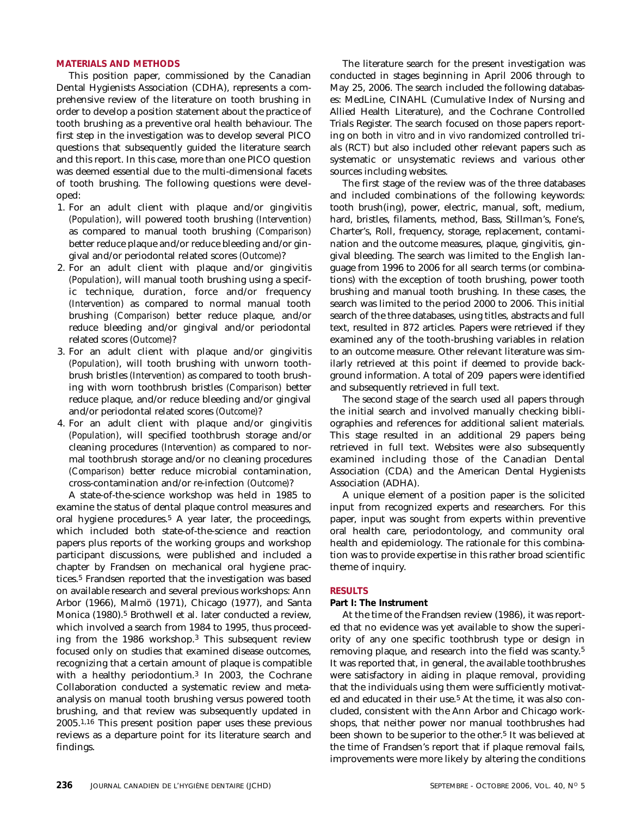#### **MATERIALS AND METHODS**

This position paper, commissioned by the Canadian Dental Hygienists Association (CDHA), represents a comprehensive review of the literature on tooth brushing in order to develop a position statement about the practice of tooth brushing as a preventive oral health behaviour. The first step in the investigation was to develop several PICO questions that subsequently guided the literature search and this report. In this case, more than one PICO question was deemed essential due to the multi-dimensional facets of tooth brushing. The following questions were developed:

- 1. For an adult client with plaque and/or gingivitis *(Population)*, will powered tooth brushing *(Intervention)* as compared to manual tooth brushing *(Comparison)* better reduce plaque and/or reduce bleeding and/or gingival and/or periodontal related scores *(Outcome)*?
- 2. For an adult client with plaque and/or gingivitis *(Population)*, will manual tooth brushing using a specific technique, duration, force and/or frequency *(Intervention)* as compared to normal manual tooth brushing *(Comparison)* better reduce plaque, and/or reduce bleeding and/or gingival and/or periodontal related scores *(Outcome)*?
- 3. For an adult client with plaque and/or gingivitis *(Population)*, will tooth brushing with unworn toothbrush bristles *(Intervention)* as compared to tooth brushing with worn toothbrush bristles *(Comparison)* better reduce plaque, and/or reduce bleeding and/or gingival and/or periodontal related scores *(Outcome)*?
- 4. For an adult client with plaque and/or gingivitis *(Population)*, will specified toothbrush storage and/or cleaning procedures *(Intervention)* as compared to normal toothbrush storage and/or no cleaning procedures *(Comparison)* better reduce microbial contamination, cross-contamination and/or re-infection *(Outcome)*?

A state-of-the-science workshop was held in 1985 to examine the status of dental plaque control measures and oral hygiene procedures.5 A year later, the proceedings, which included both state-of-the-science and reaction papers plus reports of the working groups and workshop participant discussions, were published and included a chapter by Frandsen on mechanical oral hygiene practices.5 Frandsen reported that the investigation was based on available research and several previous workshops: Ann Arbor (1966), Malmö (1971), Chicago (1977), and Santa Monica (1980).5 Brothwell et al. later conducted a review, which involved a search from 1984 to 1995, thus proceeding from the 1986 workshop.3 This subsequent review focused only on studies that examined disease outcomes, recognizing that a certain amount of plaque is compatible with a healthy periodontium.3 In 2003, the Cochrane Collaboration conducted a systematic review and metaanalysis on manual tooth brushing versus powered tooth brushing, and that review was subsequently updated in 2005.1,16 This present position paper uses these previous reviews as a departure point for its literature search and findings.

The literature search for the present investigation was conducted in stages beginning in April 2006 through to May 25, 2006. The search included the following databases: MedLine, CINAHL (Cumulative Index of Nursing and Allied Health Literature), and the Cochrane Controlled Trials Register. The search focused on those papers reporting on both *in vitro* and *in vivo* randomized controlled trials (RCT) but also included other relevant papers such as systematic or unsystematic reviews and various other sources including websites.

The first stage of the review was of the three databases and included combinations of the following keywords: tooth brush(ing), power, electric, manual, soft, medium, hard, bristles, filaments, method, Bass, Stillman's, Fone's, Charter's, Roll, frequency, storage, replacement, contamination and the outcome measures, plaque, gingivitis, gingival bleeding. The search was limited to the English language from 1996 to 2006 for all search terms (or combinations) with the exception of tooth brushing, power tooth brushing and manual tooth brushing. In these cases, the search was limited to the period 2000 to 2006. This initial search of the three databases, using titles, abstracts and full text, resulted in 872 articles. Papers were retrieved if they examined any of the tooth-brushing variables in relation to an outcome measure. Other relevant literature was similarly retrieved at this point if deemed to provide background information. A total of 209 papers were identified and subsequently retrieved in full text.

The second stage of the search used all papers through the initial search and involved manually checking bibliographies and references for additional salient materials. This stage resulted in an additional 29 papers being retrieved in full text. Websites were also subsequently examined including those of the Canadian Dental Association (CDA) and the American Dental Hygienists Association (ADHA).

A unique element of a position paper is the solicited input from recognized experts and researchers. For this paper, input was sought from experts within preventive oral health care, periodontology, and community oral health and epidemiology. The rationale for this combination was to provide expertise in this rather broad scientific theme of inquiry.

#### **RESULTS**

#### **Part I: The Instrument**

At the time of the Frandsen review (1986), it was reported that no evidence was yet available to show the superiority of any one specific toothbrush type or design in removing plaque, and research into the field was scanty.5 It was reported that, in general, the available toothbrushes were satisfactory in aiding in plaque removal, providing that the individuals using them were sufficiently motivated and educated in their use.5 At the time, it was also concluded, consistent with the Ann Arbor and Chicago workshops, that neither power nor manual toothbrushes had been shown to be superior to the other.5 It was believed at the time of Frandsen's report that if plaque removal fails, improvements were more likely by altering the conditions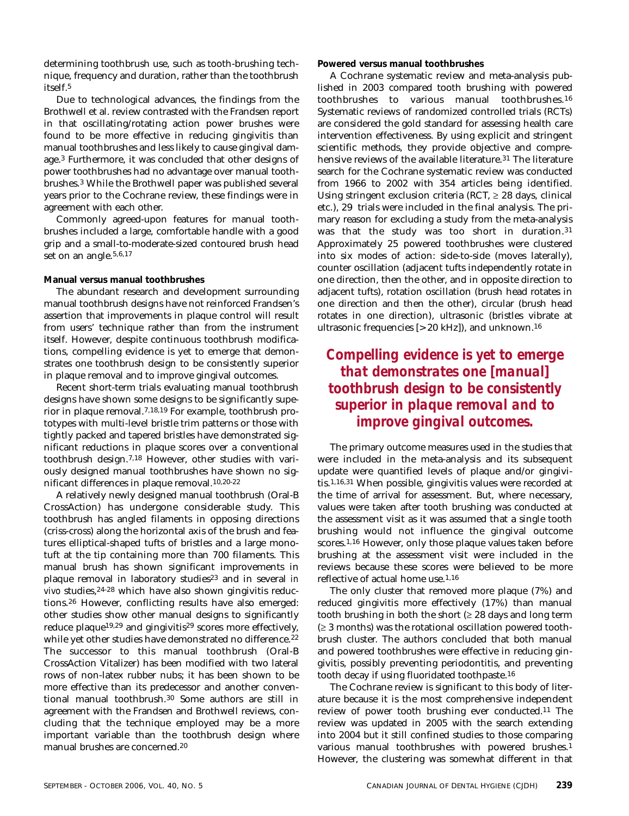determining toothbrush use, such as tooth-brushing technique, frequency and duration, rather than the toothbrush itself.5

Due to technological advances, the findings from the Brothwell et al. review contrasted with the Frandsen report in that oscillating/rotating action power brushes were found to be more effective in reducing gingivitis than manual toothbrushes and less likely to cause gingival damage.3 Furthermore, it was concluded that other designs of power toothbrushes had no advantage over manual toothbrushes.3 While the Brothwell paper was published several years prior to the Cochrane review, these findings were in agreement with each other.

Commonly agreed-upon features for manual toothbrushes included a large, comfortable handle with a good grip and a small-to-moderate-sized contoured brush head set on an angle.5,6,17

#### **Manual versus manual toothbrushes**

The abundant research and development surrounding manual toothbrush designs have not reinforced Frandsen's assertion that improvements in plaque control will result from users' technique rather than from the instrument itself. However, despite continuous toothbrush modifications, compelling evidence is yet to emerge that demonstrates one toothbrush design to be consistently superior in plaque removal and to improve gingival outcomes.

Recent short-term trials evaluating manual toothbrush designs have shown some designs to be significantly superior in plaque removal.7,18,19 For example, toothbrush prototypes with multi-level bristle trim patterns or those with tightly packed and tapered bristles have demonstrated significant reductions in plaque scores over a conventional toothbrush design.7,18 However, other studies with variously designed manual toothbrushes have shown no significant differences in plaque removal.10,20-22

A relatively newly designed manual toothbrush (Oral-B CrossAction) has undergone considerable study. This toothbrush has angled filaments in opposing directions (criss-cross) along the horizontal axis of the brush and features elliptical-shaped tufts of bristles and a large monotuft at the tip containing more than 700 filaments. This manual brush has shown significant improvements in plaque removal in laboratory studies<sup>23</sup> and in several *in vivo* studies,24-28 which have also shown gingivitis reductions.26 However, conflicting results have also emerged: other studies show other manual designs to significantly reduce plaque19,29 and gingivitis29 scores more effectively, while yet other studies have demonstrated no difference.<sup>22</sup> The successor to this manual toothbrush (Oral-B CrossAction Vitalizer) has been modified with two lateral rows of non-latex rubber nubs; it has been shown to be more effective than its predecessor and another conventional manual toothbrush.30 Some authors are still in agreement with the Frandsen and Brothwell reviews, concluding that the technique employed may be a more important variable than the toothbrush design where manual brushes are concerned.20

**Powered versus manual toothbrushes**

A Cochrane systematic review and meta-analysis published in 2003 compared tooth brushing with powered toothbrushes to various manual toothbrushes.16 Systematic reviews of randomized controlled trials (RCTs) are considered the gold standard for assessing health care intervention effectiveness. By using explicit and stringent scientific methods, they provide objective and comprehensive reviews of the available literature.<sup>31</sup> The literature search for the Cochrane systematic review was conducted from 1966 to 2002 with 354 articles being identified. Using stringent exclusion criteria (RCT,  $\geq$  28 days, clinical etc.), 29 trials were included in the final analysis. The primary reason for excluding a study from the meta-analysis was that the study was too short in duration.31 Approximately 25 powered toothbrushes were clustered into six modes of action: side-to-side (moves laterally), counter oscillation (adjacent tufts independently rotate in one direction, then the other, and in opposite direction to adjacent tufts), rotation oscillation (brush head rotates in one direction and then the other), circular (brush head rotates in one direction), ultrasonic (bristles vibrate at ultrasonic frequencies [> 20 kHz]), and unknown.16

#### *Compelling evidence is yet to emerge that demonstrates one [manual] toothbrush design to be consistently superior in plaque removal and to improve gingival outcomes.*

The primary outcome measures used in the studies that were included in the meta-analysis and its subsequent update were quantified levels of plaque and/or gingivitis.1,16,31 When possible, gingivitis values were recorded at the time of arrival for assessment. But, where necessary, values were taken after tooth brushing was conducted at the assessment visit as it was assumed that a single tooth brushing would not influence the gingival outcome scores.1,16 However, only those plaque values taken before brushing at the assessment visit were included in the reviews because these scores were believed to be more reflective of actual home use.1,16

The only cluster that removed more plaque (7%) and reduced gingivitis more effectively (17%) than manual tooth brushing in both the short  $(≥ 28$  days and long term (≥ 3 months) was the rotational oscillation powered toothbrush cluster. The authors concluded that both manual and powered toothbrushes were effective in reducing gingivitis, possibly preventing periodontitis, and preventing tooth decay if using fluoridated toothpaste.16

The Cochrane review is significant to this body of literature because it is the most comprehensive independent review of power tooth brushing ever conducted.11 The review was updated in 2005 with the search extending into 2004 but it still confined studies to those comparing various manual toothbrushes with powered brushes.1 However, the clustering was somewhat different in that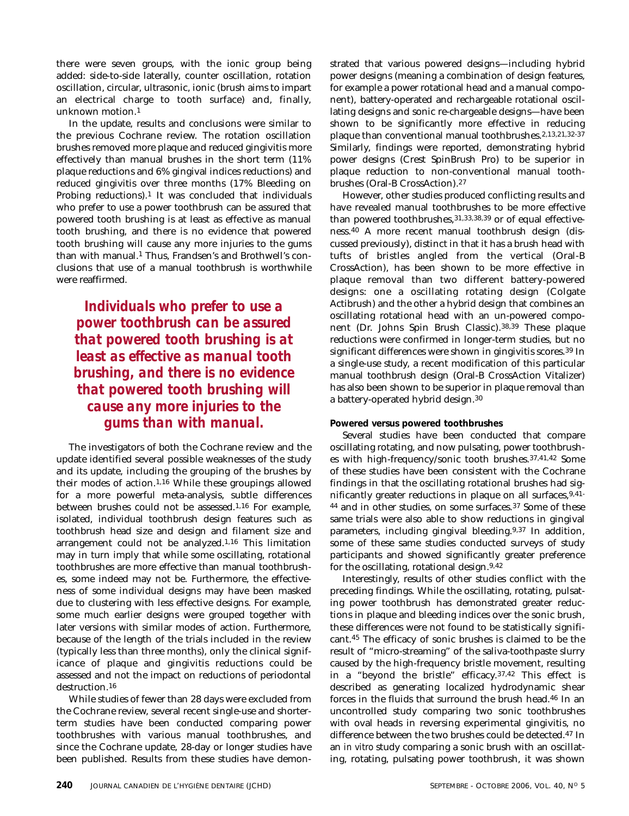there were seven groups, with the ionic group being added: side-to-side laterally, counter oscillation, rotation oscillation, circular, ultrasonic, ionic (brush aims to impart an electrical charge to tooth surface) and, finally, unknown motion.1

In the update, results and conclusions were similar to the previous Cochrane review. The rotation oscillation brushes removed more plaque and reduced gingivitis more effectively than manual brushes in the short term (11% plaque reductions and 6% gingival indices reductions) and reduced gingivitis over three months (17% Bleeding on Probing reductions).<sup>1</sup> It was concluded that individuals who prefer to use a power toothbrush can be assured that powered tooth brushing is at least as effective as manual tooth brushing, and there is no evidence that powered tooth brushing will cause any more injuries to the gums than with manual.1 Thus, Frandsen's and Brothwell's conclusions that use of a manual toothbrush is worthwhile were reaffirmed.

*Individuals who prefer to use a power toothbrush can be assured that powered tooth brushing is at least as effective as manual tooth brushing, and there is no evidence that powered tooth brushing will cause any more injuries to the gums than with manual.*

The investigators of both the Cochrane review and the update identified several possible weaknesses of the study and its update, including the grouping of the brushes by their modes of action.1,16 While these groupings allowed for a more powerful meta-analysis, subtle differences between brushes could not be assessed.1,16 For example, isolated, individual toothbrush design features such as toothbrush head size and design and filament size and arrangement could not be analyzed.1,16 This limitation may in turn imply that while some oscillating, rotational toothbrushes are more effective than manual toothbrushes, some indeed may not be. Furthermore, the effectiveness of some individual designs may have been masked due to clustering with less effective designs. For example, some much earlier designs were grouped together with later versions with similar modes of action. Furthermore, because of the length of the trials included in the review (typically less than three months), only the clinical significance of plaque and gingivitis reductions could be assessed and not the impact on reductions of periodontal destruction.<sup>16</sup>

While studies of fewer than 28 days were excluded from the Cochrane review, several recent single-use and shorterterm studies have been conducted comparing power toothbrushes with various manual toothbrushes, and since the Cochrane update, 28-day or longer studies have been published. Results from these studies have demonstrated that various powered designs—including hybrid power designs (meaning a combination of design features, for example a power rotational head and a manual component), battery-operated and rechargeable rotational oscillating designs and sonic re-chargeable designs—have been shown to be significantly more effective in reducing plaque than conventional manual toothbrushes.2,13,21,32-37 Similarly, findings were reported, demonstrating hybrid power designs (Crest SpinBrush Pro) to be superior in plaque reduction to non-conventional manual toothbrushes (Oral-B CrossAction).27

However, other studies produced conflicting results and have revealed manual toothbrushes to be more effective than powered toothbrushes, 31,33,38,39 or of equal effectiveness.40 A more recent manual toothbrush design (discussed previously), distinct in that it has a brush head with tufts of bristles angled from the vertical (Oral-B CrossAction), has been shown to be more effective in plaque removal than two different battery-powered designs: one a oscillating rotating design (Colgate Actibrush) and the other a hybrid design that combines an oscillating rotational head with an un-powered component (Dr. Johns Spin Brush Classic).38,39 These plaque reductions were confirmed in longer-term studies, but no significant differences were shown in gingivitis scores.39 In a single-use study, a recent modification of this particular manual toothbrush design (Oral-B CrossAction Vitalizer) has also been shown to be superior in plaque removal than a battery-operated hybrid design.30

#### **Powered versus powered toothbrushes**

Several studies have been conducted that compare oscillating rotating, and now pulsating, power toothbrushes with high-frequency/sonic tooth brushes.37,41,42 Some of these studies have been consistent with the Cochrane findings in that the oscillating rotational brushes had significantly greater reductions in plaque on all surfaces,  $9,41$ -44 and in other studies, on some surfaces.37 Some of these same trials were also able to show reductions in gingival parameters, including gingival bleeding.9,37 In addition, some of these same studies conducted surveys of study participants and showed significantly greater preference for the oscillating, rotational design.9,42

Interestingly, results of other studies conflict with the preceding findings. While the oscillating, rotating, pulsating power toothbrush has demonstrated greater reductions in plaque and bleeding indices over the sonic brush, these differences were not found to be statistically significant.45 The efficacy of sonic brushes is claimed to be the result of "micro-streaming" of the saliva-toothpaste slurry caused by the high-frequency bristle movement, resulting in a "beyond the bristle" efficacy.37,42 This effect is described as generating localized hydrodynamic shear forces in the fluids that surround the brush head.46 In an uncontrolled study comparing two sonic toothbrushes with oval heads in reversing experimental gingivitis, no difference between the two brushes could be detected.47 In an *in vitro* study comparing a sonic brush with an oscillating, rotating, pulsating power toothbrush, it was shown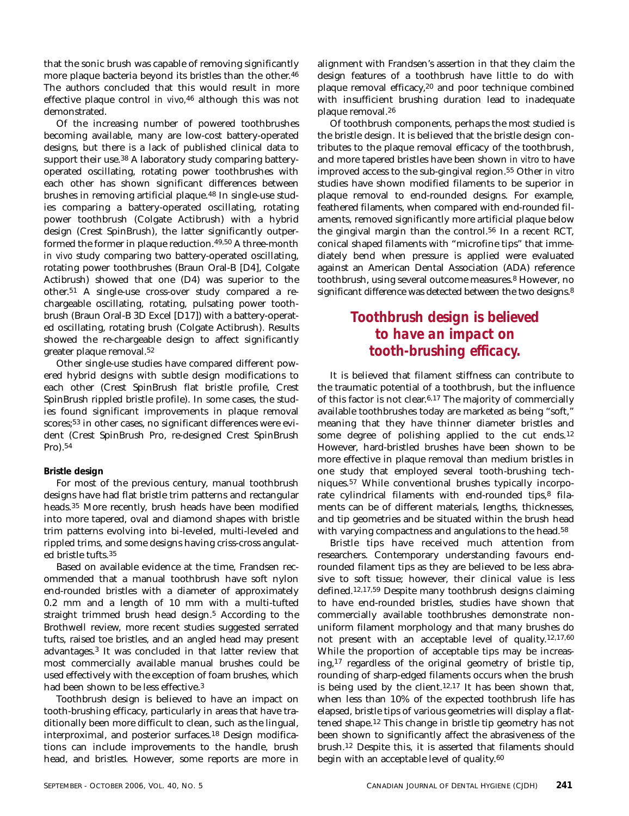that the sonic brush was capable of removing significantly more plaque bacteria beyond its bristles than the other.<sup>46</sup> The authors concluded that this would result in more effective plaque control *in vivo,*46 although this was not demonstrated.

Of the increasing number of powered toothbrushes becoming available, many are low-cost battery-operated designs, but there is a lack of published clinical data to support their use.38 A laboratory study comparing batteryoperated oscillating, rotating power toothbrushes with each other has shown significant differences between brushes in removing artificial plaque.48 In single-use studies comparing a battery-operated oscillating, rotating power toothbrush (Colgate Actibrush) with a hybrid design (Crest SpinBrush), the latter significantly outperformed the former in plaque reduction.49,50 A three-month *in vivo* study comparing two battery-operated oscillating, rotating power toothbrushes (Braun Oral-B [D4], Colgate Actibrush) showed that one (D4) was superior to the other.51 A single-use cross-over study compared a rechargeable oscillating, rotating, pulsating power toothbrush (Braun Oral-B 3D Excel [D17]) with a battery-operated oscillating, rotating brush (Colgate Actibrush). Results showed the re-chargeable design to affect significantly greater plaque removal.52

Other single-use studies have compared different powered hybrid designs with subtle design modifications to each other (Crest SpinBrush flat bristle profile, Crest SpinBrush rippled bristle profile). In some cases, the studies found significant improvements in plaque removal scores;53 in other cases, no significant differences were evident (Crest SpinBrush Pro, re-designed Crest SpinBrush Pro).54

#### **Bristle design**

For most of the previous century, manual toothbrush designs have had flat bristle trim patterns and rectangular heads.35 More recently, brush heads have been modified into more tapered, oval and diamond shapes with bristle trim patterns evolving into bi-leveled, multi-leveled and rippled trims, and some designs having criss-cross angulated bristle tufts.35

Based on available evidence at the time, Frandsen recommended that a manual toothbrush have soft nylon end-rounded bristles with a diameter of approximately 0.2 mm and a length of 10 mm with a multi-tufted straight trimmed brush head design.<sup>5</sup> According to the Brothwell review, more recent studies suggested serrated tufts, raised toe bristles, and an angled head may present advantages.3 It was concluded in that latter review that most commercially available manual brushes could be used effectively with the exception of foam brushes, which had been shown to be less effective.3

Toothbrush design is believed to have an impact on tooth-brushing efficacy, particularly in areas that have traditionally been more difficult to clean, such as the lingual, interproximal, and posterior surfaces.18 Design modifications can include improvements to the handle, brush head, and bristles. However, some reports are more in alignment with Frandsen's assertion in that they claim the design features of a toothbrush have little to do with plaque removal efficacy,20 and poor technique combined with insufficient brushing duration lead to inadequate plaque removal.26

Of toothbrush components, perhaps the most studied is the bristle design. It is believed that the bristle design contributes to the plaque removal efficacy of the toothbrush, and more tapered bristles have been shown *in vitro* to have improved access to the sub-gingival region.55 Other *in vitro* studies have shown modified filaments to be superior in plaque removal to end-rounded designs. For example, feathered filaments, when compared with end-rounded filaments, removed significantly more artificial plaque below the gingival margin than the control.56 In a recent RCT, conical shaped filaments with "microfine tips" that immediately bend when pressure is applied were evaluated against an American Dental Association (ADA) reference toothbrush, using several outcome measures.8 However, no significant difference was detected between the two designs.<sup>8</sup>

#### *Toothbrush design is believed to have an impact on tooth-brushing efficacy.*

It is believed that filament stiffness can contribute to the traumatic potential of a toothbrush, but the influence of this factor is not clear.6,17 The majority of commercially available toothbrushes today are marketed as being "soft," meaning that they have thinner diameter bristles and some degree of polishing applied to the cut ends.<sup>12</sup> However, hard-bristled brushes have been shown to be more effective in plaque removal than medium bristles in one study that employed several tooth-brushing techniques.57 While conventional brushes typically incorporate cylindrical filaments with end-rounded tips,<sup>8</sup> filaments can be of different materials, lengths, thicknesses, and tip geometries and be situated within the brush head with varying compactness and angulations to the head.<sup>58</sup>

Bristle tips have received much attention from researchers. Contemporary understanding favours endrounded filament tips as they are believed to be less abrasive to soft tissue; however, their clinical value is less defined.12,17,59 Despite many toothbrush designs claiming to have end-rounded bristles, studies have shown that commercially available toothbrushes demonstrate nonuniform filament morphology and that many brushes do not present with an acceptable level of quality.12,17,60 While the proportion of acceptable tips may be increasing,17 regardless of the original geometry of bristle tip, rounding of sharp-edged filaments occurs when the brush is being used by the client.<sup>12,17</sup> It has been shown that, when less than 10% of the expected toothbrush life has elapsed, bristle tips of various geometries will display a flattened shape.12 This change in bristle tip geometry has not been shown to significantly affect the abrasiveness of the brush.12 Despite this, it is asserted that filaments should begin with an acceptable level of quality.<sup>60</sup>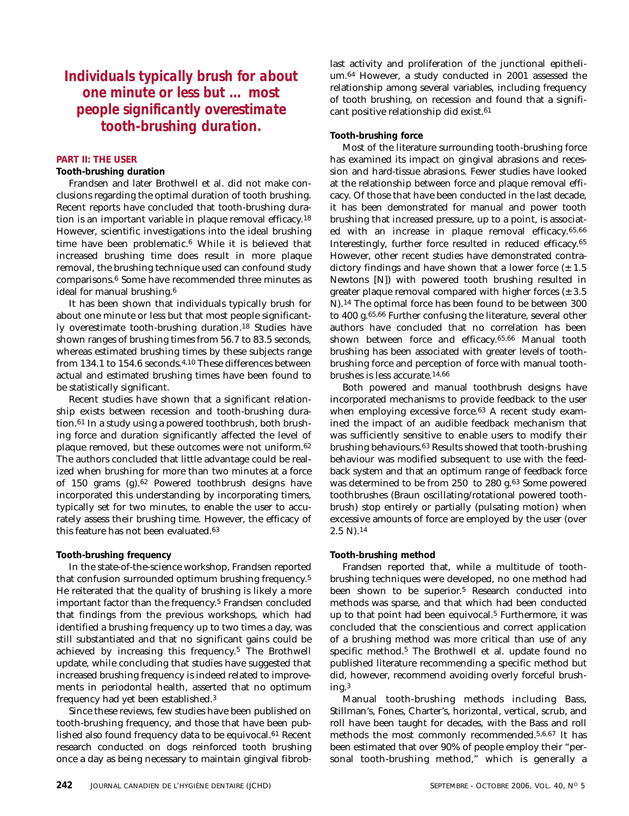*Individuals typically brush for about one minute or less but … most people significantly overestimate tooth-brushing duration.*

#### **PART II: THE USER**

#### **Tooth-brushing duration**

Frandsen and later Brothwell et al. did not make conclusions regarding the optimal duration of tooth brushing. Recent reports have concluded that tooth-brushing duration is an important variable in plaque removal efficacy.18 However, scientific investigations into the ideal brushing time have been problematic.6 While it is believed that increased brushing time does result in more plaque removal, the brushing technique used can confound study comparisons.6 Some have recommended three minutes as ideal for manual brushing.<sup>6</sup>

It has been shown that individuals typically brush for about one minute or less but that most people significantly overestimate tooth-brushing duration.18 Studies have shown ranges of brushing times from 56.7 to 83.5 seconds, whereas estimated brushing times by these subjects range from 134.1 to 154.6 seconds.4,10 These differences between actual and estimated brushing times have been found to be statistically significant.

Recent studies have shown that a significant relationship exists between recession and tooth-brushing duration.61 In a study using a powered toothbrush, both brushing force and duration significantly affected the level of plaque removed, but these outcomes were not uniform.62 The authors concluded that little advantage could be realized when brushing for more than two minutes at a force of 150 grams (g).62 Powered toothbrush designs have incorporated this understanding by incorporating timers, typically set for two minutes, to enable the user to accurately assess their brushing time. However, the efficacy of this feature has not been evaluated.63

#### **Tooth-brushing frequency**

In the state-of-the-science workshop, Frandsen reported that confusion surrounded optimum brushing frequency.5 He reiterated that the quality of brushing is likely a more important factor than the frequency.5 Frandsen concluded that findings from the previous workshops, which had identified a brushing frequency up to two times a day, was still substantiated and that no significant gains could be achieved by increasing this frequency.5 The Brothwell update, while concluding that studies have suggested that increased brushing frequency is indeed related to improvements in periodontal health, asserted that no optimum frequency had yet been established.3

Since these reviews, few studies have been published on tooth-brushing frequency, and those that have been published also found frequency data to be equivocal.<sup>61</sup> Recent research conducted on dogs reinforced tooth brushing once a day as being necessary to maintain gingival fibroblast activity and proliferation of the junctional epithelium.64 However, a study conducted in 2001 assessed the relationship among several variables, including frequency of tooth brushing, on recession and found that a significant positive relationship did exist.61

#### **Tooth-brushing force**

Most of the literature surrounding tooth-brushing force has examined its impact on gingival abrasions and recession and hard-tissue abrasions. Fewer studies have looked at the relationship between force and plaque removal efficacy. Of those that have been conducted in the last decade, it has been demonstrated for manual and power tooth brushing that increased pressure, up to a point, is associated with an increase in plaque removal efficacy.65,66 Interestingly, further force resulted in reduced efficacy.65 However, other recent studies have demonstrated contradictory findings and have shown that a lower force  $(\pm 1.5)$ Newtons [N]) with powered tooth brushing resulted in greater plaque removal compared with higher forces  $(\pm 3.5)$ N).14 The optimal force has been found to be between 300 to 400 g.65,66 Further confusing the literature, several other authors have concluded that no correlation has been shown between force and efficacy.65,66 Manual tooth brushing has been associated with greater levels of toothbrushing force and perception of force with manual toothbrushes is less accurate.14,66

Both powered and manual toothbrush designs have incorporated mechanisms to provide feedback to the user when employing excessive force.<sup>63</sup> A recent study examined the impact of an audible feedback mechanism that was sufficiently sensitive to enable users to modify their brushing behaviours.63 Results showed that tooth-brushing behaviour was modified subsequent to use with the feedback system and that an optimum range of feedback force was determined to be from 250 to 280 g.63 Some powered toothbrushes (Braun oscillating/rotational powered toothbrush) stop entirely or partially (pulsating motion) when excessive amounts of force are employed by the user (over  $2.5 \text{ N}$ . 14

#### **Tooth-brushing method**

Frandsen reported that, while a multitude of toothbrushing techniques were developed, no one method had been shown to be superior.5 Research conducted into methods was sparse, and that which had been conducted up to that point had been equivocal.5 Furthermore, it was concluded that the conscientious and correct application of a brushing method was more critical than use of any specific method.5 The Brothwell et al. update found no published literature recommending a specific method but did, however, recommend avoiding overly forceful brushing.3

Manual tooth-brushing methods including Bass, Stillman's, Fones, Charter's, horizontal, vertical, scrub, and roll have been taught for decades, with the Bass and roll methods the most commonly recommended.5,6,67 It has been estimated that over 90% of people employ their "personal tooth-brushing method," which is generally a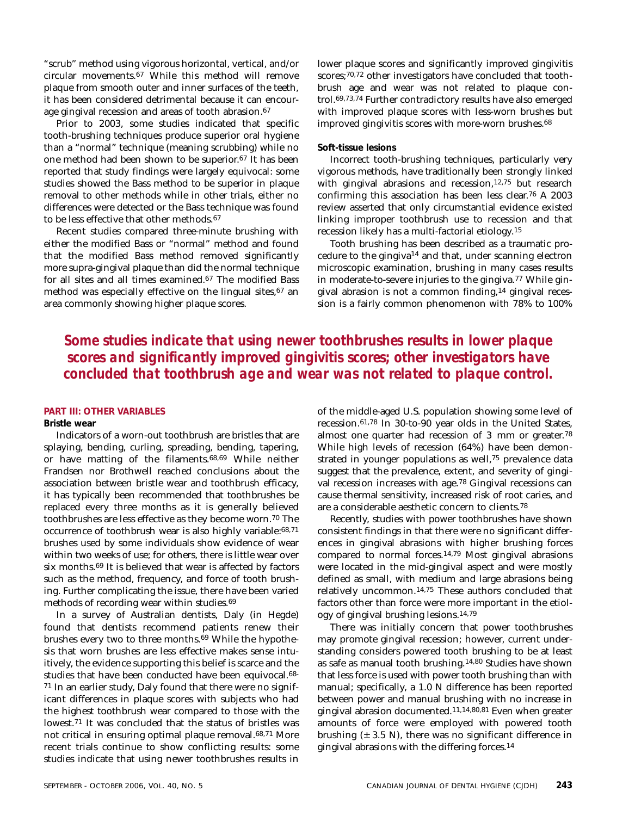"scrub" method using vigorous horizontal, vertical, and/or circular movements.67 While this method will remove plaque from smooth outer and inner surfaces of the teeth, it has been considered detrimental because it can encourage gingival recession and areas of tooth abrasion.<sup>67</sup>

Prior to 2003, some studies indicated that specific tooth-brushing techniques produce superior oral hygiene than a "normal" technique (meaning scrubbing) while no one method had been shown to be superior.67 It has been reported that study findings were largely equivocal: some studies showed the Bass method to be superior in plaque removal to other methods while in other trials, either no differences were detected or the Bass technique was found to be less effective that other methods.67

Recent studies compared three-minute brushing with either the modified Bass or "normal" method and found that the modified Bass method removed significantly more supra-gingival plaque than did the normal technique for all sites and all times examined.67 The modified Bass method was especially effective on the lingual sites, $67$  an area commonly showing higher plaque scores.

lower plaque scores and significantly improved gingivitis scores;<sup>70,72</sup> other investigators have concluded that toothbrush age and wear was not related to plaque control.69,73,74 Further contradictory results have also emerged with improved plaque scores with less-worn brushes but improved gingivitis scores with more-worn brushes.68

#### **Soft-tissue lesions**

Incorrect tooth-brushing techniques, particularly very vigorous methods, have traditionally been strongly linked with gingival abrasions and recession,<sup>12,75</sup> but research confirming this association has been less clear.76 A 2003 review asserted that only circumstantial evidence existed linking improper toothbrush use to recession and that recession likely has a multi-factorial etiology.15

Tooth brushing has been described as a traumatic procedure to the gingiva14 and that, under scanning electron microscopic examination, brushing in many cases results in moderate-to-severe injuries to the gingiva.77 While gingival abrasion is not a common finding,14 gingival recession is a fairly common phenomenon with 78% to 100%

*Some studies indicate that using newer toothbrushes results in lower plaque scores and significantly improved gingivitis scores; other investigators have concluded that toothbrush age and wear was not related to plaque control.*

#### **PART III: OTHER VARIABLES**

#### **Bristle wear**

Indicators of a worn-out toothbrush are bristles that are splaying, bending, curling, spreading, bending, tapering, or have matting of the filaments.68,69 While neither Frandsen nor Brothwell reached conclusions about the association between bristle wear and toothbrush efficacy, it has typically been recommended that toothbrushes be replaced every three months as it is generally believed toothbrushes are less effective as they become worn.70 The occurrence of toothbrush wear is also highly variable:68,71 brushes used by some individuals show evidence of wear within two weeks of use; for others, there is little wear over six months.69 It is believed that wear is affected by factors such as the method, frequency, and force of tooth brushing. Further complicating the issue, there have been varied methods of recording wear within studies.69

In a survey of Australian dentists, Daly (in Hegde) found that dentists recommend patients renew their brushes every two to three months.69 While the hypothesis that worn brushes are less effective makes sense intuitively, the evidence supporting this belief is scarce and the studies that have been conducted have been equivocal.68- 71 In an earlier study, Daly found that there were no significant differences in plaque scores with subjects who had the highest toothbrush wear compared to those with the lowest.71 It was concluded that the status of bristles was not critical in ensuring optimal plaque removal.68,71 More recent trials continue to show conflicting results: some studies indicate that using newer toothbrushes results in of the middle-aged U.S. population showing some level of recession.61,78 In 30-to-90 year olds in the United States, almost one quarter had recession of 3 mm or greater.78 While high levels of recession (64%) have been demonstrated in younger populations as well,75 prevalence data suggest that the prevalence, extent, and severity of gingival recession increases with age.78 Gingival recessions can cause thermal sensitivity, increased risk of root caries, and are a considerable aesthetic concern to clients.78

Recently, studies with power toothbrushes have shown consistent findings in that there were no significant differences in gingival abrasions with higher brushing forces compared to normal forces.14,79 Most gingival abrasions were located in the mid-gingival aspect and were mostly defined as small, with medium and large abrasions being relatively uncommon.14,75 These authors concluded that factors other than force were more important in the etiology of gingival brushing lesions.14,79

There was initially concern that power toothbrushes may promote gingival recession; however, current understanding considers powered tooth brushing to be at least as safe as manual tooth brushing.14,80 Studies have shown that less force is used with power tooth brushing than with manual; specifically, a 1.0 N difference has been reported between power and manual brushing with no increase in gingival abrasion documented.11,14,80,81 Even when greater amounts of force were employed with powered tooth brushing  $(± 3.5 N)$ , there was no significant difference in gingival abrasions with the differing forces.14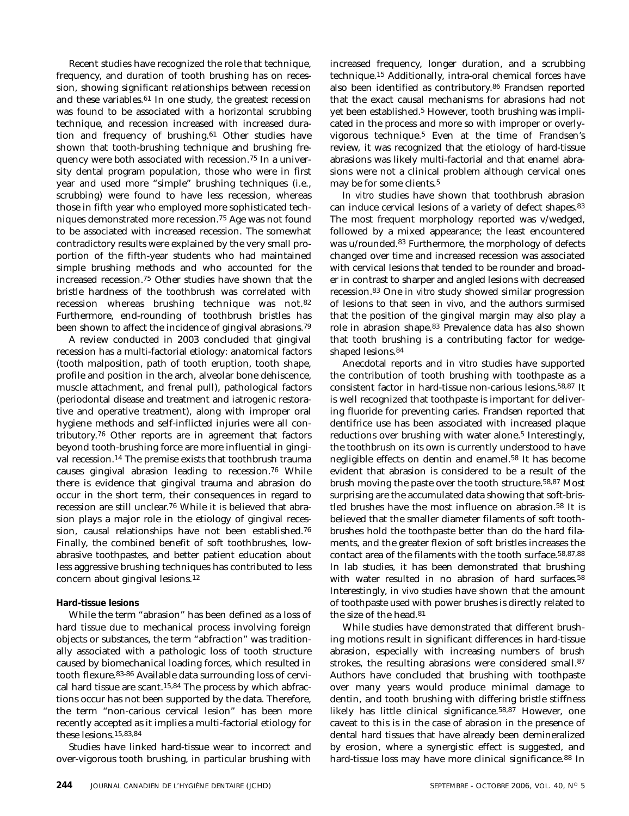Recent studies have recognized the role that technique, frequency, and duration of tooth brushing has on recession, showing significant relationships between recession and these variables.61 In one study, the greatest recession was found to be associated with a horizontal scrubbing technique, and recession increased with increased duration and frequency of brushing.<sup>61</sup> Other studies have shown that tooth-brushing technique and brushing frequency were both associated with recession.75 In a university dental program population, those who were in first year and used more "simple" brushing techniques (i.e., scrubbing) were found to have less recession, whereas those in fifth year who employed more sophisticated techniques demonstrated more recession.75 Age was not found to be associated with increased recession. The somewhat contradictory results were explained by the very small proportion of the fifth-year students who had maintained simple brushing methods and who accounted for the increased recession.75 Other studies have shown that the bristle hardness of the toothbrush was correlated with recession whereas brushing technique was not.82 Furthermore, end-rounding of toothbrush bristles has been shown to affect the incidence of gingival abrasions.79

A review conducted in 2003 concluded that gingival recession has a multi-factorial etiology: anatomical factors (tooth malposition, path of tooth eruption, tooth shape, profile and position in the arch, alveolar bone dehiscence, muscle attachment, and frenal pull), pathological factors (periodontal disease and treatment and iatrogenic restorative and operative treatment), along with improper oral hygiene methods and self-inflicted injuries were all contributory.76 Other reports are in agreement that factors beyond tooth-brushing force are more influential in gingival recession.14 The premise exists that toothbrush trauma causes gingival abrasion leading to recession.76 While there is evidence that gingival trauma and abrasion do occur in the short term, their consequences in regard to recession are still unclear.76 While it is believed that abrasion plays a major role in the etiology of gingival recession, causal relationships have not been established.76 Finally, the combined benefit of soft toothbrushes, lowabrasive toothpastes, and better patient education about less aggressive brushing techniques has contributed to less concern about gingival lesions.12

#### **Hard-tissue lesions**

While the term "abrasion" has been defined as a loss of hard tissue due to mechanical process involving foreign objects or substances, the term "abfraction" was traditionally associated with a pathologic loss of tooth structure caused by biomechanical loading forces, which resulted in tooth flexure.83-86 Available data surrounding loss of cervical hard tissue are scant.15,84 The process by which abfractions occur has not been supported by the data. Therefore, the term "non-carious cervical lesion" has been more recently accepted as it implies a multi-factorial etiology for these lesions.15,83,84

Studies have linked hard-tissue wear to incorrect and over-vigorous tooth brushing, in particular brushing with increased frequency, longer duration, and a scrubbing technique.15 Additionally, intra-oral chemical forces have also been identified as contributory.86 Frandsen reported that the exact causal mechanisms for abrasions had not yet been established.<sup>5</sup> However, tooth brushing was implicated in the process and more so with improper or overlyvigorous technique.5 Even at the time of Frandsen's review, it was recognized that the etiology of hard-tissue abrasions was likely multi-factorial and that enamel abrasions were not a clinical problem although cervical ones may be for some clients.5

*In vitro* studies have shown that toothbrush abrasion can induce cervical lesions of a variety of defect shapes.83 The most frequent morphology reported was v/wedged, followed by a mixed appearance; the least encountered was u/rounded.83 Furthermore, the morphology of defects changed over time and increased recession was associated with cervical lesions that tended to be rounder and broader in contrast to sharper and angled lesions with decreased recession.83 One *in vitro* study showed similar progression of lesions to that seen *in vivo*, and the authors surmised that the position of the gingival margin may also play a role in abrasion shape.83 Prevalence data has also shown that tooth brushing is a contributing factor for wedgeshaped lesions.84

Anecdotal reports and *in vitro* studies have supported the contribution of tooth brushing with toothpaste as a consistent factor in hard-tissue non-carious lesions.58,87 It is well recognized that toothpaste is important for delivering fluoride for preventing caries. Frandsen reported that dentifrice use has been associated with increased plaque reductions over brushing with water alone.<sup>5</sup> Interestingly, the toothbrush on its own is currently understood to have negligible effects on dentin and enamel.58 It has become evident that abrasion is considered to be a result of the brush moving the paste over the tooth structure.58,87 Most surprising are the accumulated data showing that soft-bristled brushes have the most influence on abrasion.58 It is believed that the smaller diameter filaments of soft toothbrushes hold the toothpaste better than do the hard filaments, and the greater flexion of soft bristles increases the contact area of the filaments with the tooth surface.58,87,88 In lab studies, it has been demonstrated that brushing with water resulted in no abrasion of hard surfaces.<sup>58</sup> Interestingly, *in vivo* studies have shown that the amount of toothpaste used with power brushes is directly related to the size of the head.81

While studies have demonstrated that different brushing motions result in significant differences in hard-tissue abrasion, especially with increasing numbers of brush strokes, the resulting abrasions were considered small.87 Authors have concluded that brushing with toothpaste over many years would produce minimal damage to dentin, and tooth brushing with differing bristle stiffness likely has little clinical significance.58,87 However, one caveat to this is in the case of abrasion in the presence of dental hard tissues that have already been demineralized by erosion, where a synergistic effect is suggested, and hard-tissue loss may have more clinical significance.88 In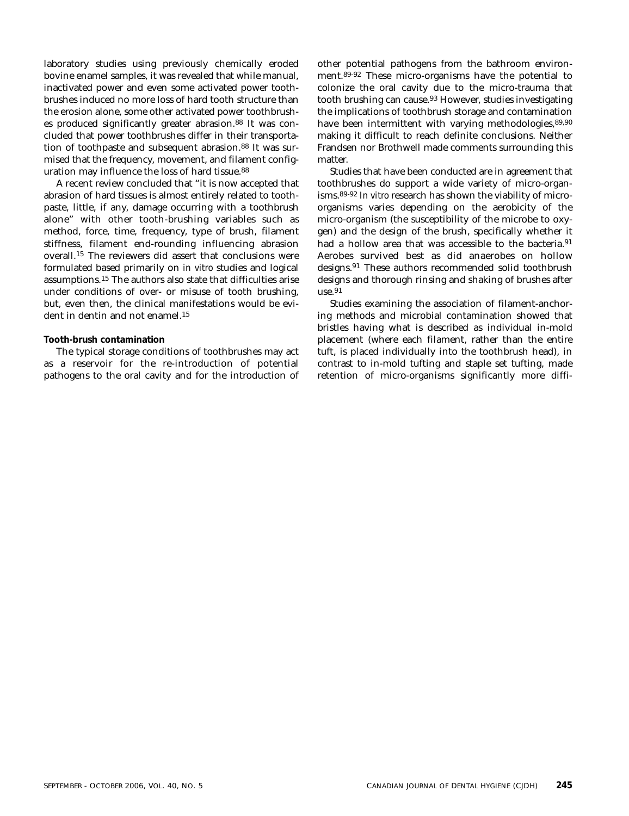laboratory studies using previously chemically eroded bovine enamel samples, it was revealed that while manual, inactivated power and even some activated power toothbrushes induced no more loss of hard tooth structure than the erosion alone, some other activated power toothbrushes produced significantly greater abrasion.88 It was concluded that power toothbrushes differ in their transportation of toothpaste and subsequent abrasion.<sup>88</sup> It was surmised that the frequency, movement, and filament configuration may influence the loss of hard tissue.88

A recent review concluded that "it is now accepted that abrasion of hard tissues is almost entirely related to toothpaste, little, if any, damage occurring with a toothbrush alone" with other tooth-brushing variables such as method, force, time, frequency, type of brush, filament stiffness, filament end-rounding influencing abrasion overall.15 The reviewers did assert that conclusions were formulated based primarily on *in vitro* studies and logical assumptions.15 The authors also state that difficulties arise under conditions of over- or misuse of tooth brushing, but, even then, the clinical manifestations would be evident in dentin and not enamel.<sup>15</sup>

#### **Tooth-brush contamination**

The typical storage conditions of toothbrushes may act as a reservoir for the re-introduction of potential pathogens to the oral cavity and for the introduction of other potential pathogens from the bathroom environment.89-92 These micro-organisms have the potential to colonize the oral cavity due to the micro-trauma that tooth brushing can cause.93 However, studies investigating the implications of toothbrush storage and contamination have been intermittent with varying methodologies, 89,90 making it difficult to reach definite conclusions. Neither Frandsen nor Brothwell made comments surrounding this matter.

Studies that have been conducted are in agreement that toothbrushes do support a wide variety of micro-organisms.89-92 *In vitro* research has shown the viability of microorganisms varies depending on the aerobicity of the micro-organism (the susceptibility of the microbe to oxygen) and the design of the brush, specifically whether it had a hollow area that was accessible to the bacteria.<sup>91</sup> Aerobes survived best as did anaerobes on hollow designs.91 These authors recommended solid toothbrush designs and thorough rinsing and shaking of brushes after  $use.91$ 

Studies examining the association of filament-anchoring methods and microbial contamination showed that bristles having what is described as individual in-mold placement (where each filament, rather than the entire tuft, is placed individually into the toothbrush head), in contrast to in-mold tufting and staple set tufting, made retention of micro-organisms significantly more diffi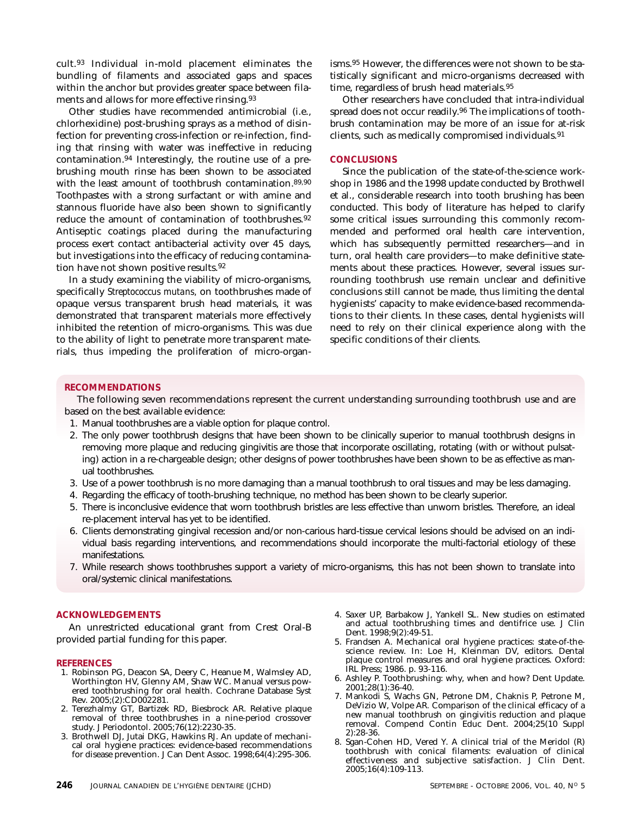cult.93 Individual in-mold placement eliminates the bundling of filaments and associated gaps and spaces within the anchor but provides greater space between filaments and allows for more effective rinsing.93

Other studies have recommended antimicrobial (i.e., chlorhexidine) post-brushing sprays as a method of disinfection for preventing cross-infection or re-infection, finding that rinsing with water was ineffective in reducing contamination.94 Interestingly, the routine use of a prebrushing mouth rinse has been shown to be associated with the least amount of toothbrush contamination.<sup>89,90</sup> Toothpastes with a strong surfactant or with amine and stannous fluoride have also been shown to significantly reduce the amount of contamination of toothbrushes.<sup>92</sup> Antiseptic coatings placed during the manufacturing process exert contact antibacterial activity over 45 days, but investigations into the efficacy of reducing contamination have not shown positive results.92

In a study examining the viability of micro-organisms, specifically *Streptococcus mutans,* on toothbrushes made of opaque versus transparent brush head materials, it was demonstrated that transparent materials more effectively inhibited the retention of micro-organisms. This was due to the ability of light to penetrate more transparent materials, thus impeding the proliferation of micro-organisms.95 However, the differences were not shown to be statistically significant and micro-organisms decreased with time, regardless of brush head materials.95

Other researchers have concluded that intra-individual spread does not occur readily.96 The implications of toothbrush contamination may be more of an issue for at-risk clients, such as medically compromised individuals.91

#### **CONCLUSIONS**

Since the publication of the state-of-the-science workshop in 1986 and the 1998 update conducted by Brothwell et al., considerable research into tooth brushing has been conducted. This body of literature has helped to clarify some critical issues surrounding this commonly recommended and performed oral health care intervention, which has subsequently permitted researchers—and in turn, oral health care providers—to make definitive statements about these practices. However, several issues surrounding toothbrush use remain unclear and definitive conclusions still cannot be made, thus limiting the dental hygienists' capacity to make evidence-based recommendations to their clients. In these cases, dental hygienists will need to rely on their clinical experience along with the specific conditions of their clients.

#### **RECOMMENDATIONS**

The following seven recommendations represent the current understanding surrounding toothbrush use and are based on the best available evidence:

- 1. Manual toothbrushes are a viable option for plaque control.
- 2. The only power toothbrush designs that have been shown to be clinically superior to manual toothbrush designs in removing more plaque and reducing gingivitis are those that incorporate oscillating, rotating (with or without pulsating) action in a re-chargeable design; other designs of power toothbrushes have been shown to be as effective as manual toothbrushes.
- 3. Use of a power toothbrush is no more damaging than a manual toothbrush to oral tissues and may be less damaging.
- 4. Regarding the efficacy of tooth-brushing technique, no method has been shown to be clearly superior.
- 5. There is inconclusive evidence that worn toothbrush bristles are less effective than unworn bristles. Therefore, an ideal re-placement interval has yet to be identified.
- 6. Clients demonstrating gingival recession and/or non-carious hard-tissue cervical lesions should be advised on an individual basis regarding interventions, and recommendations should incorporate the multi-factorial etiology of these manifestations.
- 7. While research shows toothbrushes support a variety of micro-organisms, this has not been shown to translate into oral/systemic clinical manifestations.

#### **ACKNOWLEDGEMENTS**

An unrestricted educational grant from Crest Oral-B provided partial funding for this paper.

#### **REFERENCES**

- 1. Robinson PG, Deacon SA, Deery C, Heanue M, Walmsley AD, Worthington HV, Glenny AM, Shaw WC. Manual versus powered toothbrushing for oral health. Cochrane Database Syst Rev. 2005;(2):CD002281.
- 2. Terezhalmy GT, Bartizek RD, Biesbrock AR. Relative plaque removal of three toothbrushes in a nine-period crossover study. J Periodontol. 2005;76(12):2230-35.
- 3. Brothwell DJ, Jutai DKG, Hawkins RJ. An update of mechanical oral hygiene practices: evidence-based recommendations for disease prevention. J Can Dent Assoc. 1998;64(4):295-306.
- 4. Saxer UP, Barbakow J, Yankell SL. New studies on estimated and actual toothbrushing times and dentifrice use. J Clin Dent. 1998;9(2):49-51.
- 5. Frandsen A. Mechanical oral hygiene practices: state-of-thescience review. In: Loe H, Kleinman DV, editors. Dental plaque control measures and oral hygiene practices. Oxford: IRL Press; 1986. p. 93-116.
- 6. Ashley P. Toothbrushing: why, when and how? Dent Update. 2001;28(1):36-40.
- 7. Mankodi S, Wachs GN, Petrone DM, Chaknis P, Petrone M, DeVizio W, Volpe AR*.* Comparison of the clinical efficacy of a new manual toothbrush on gingivitis reduction and plaque removal. Compend Contin Educ Dent. 2004;25(10 Suppl 2):28-36.
- 8. Sgan-Cohen HD, Vered Y. A clinical trial of the Meridol (R) toothbrush with conical filaments: evaluation of clinical effectiveness and subjective satisfaction. J Clin Dent. 2005;16(4):109-113.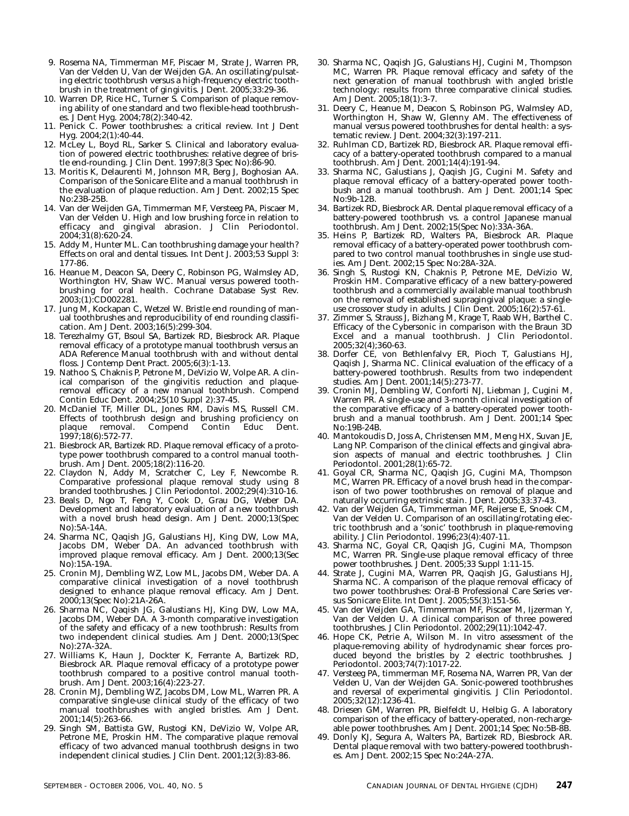- 9. Rosema NA, Timmerman MF, Piscaer M, Strate J, Warren PR, Van der Velden U, Van der Weijden GA. An oscillating/pulsating electric toothbrush versus a high-frequency electric toothbrush in the treatment of gingivitis. J Dent. 2005;33:29-36.
- 10. Warren DP, Rice HC, Turner S. Comparison of plaque removing ability of one standard and two flexible-head toothbrushes. J Dent Hyg. 2004;78(2):340-42.
- 11. Penick C. Power toothbrushes: a critical review. Int J Dent Hyg. 2004;2(1):40-44.
- 12. McLey L, Boyd RL, Sarker S. Clinical and laboratory evaluation of powered electric toothbrushes: relative degree of bristle end-rounding. J Clin Dent. 1997;8(3 Spec No):86-90.
- 13. Moritis K, Delaurenti M, Johnson MR, Berg J, Boghosian AA. Comparison of the Sonicare Elite and a manual toothbrush in the evaluation of plaque reduction. Am J Dent. 2002;15 Spec No:23B-25B.
- 14. Van der Weijden GA, Timmerman MF, Versteeg PA, Piscaer M, Van der Velden U. High and low brushing force in relation to efficacy and gingival abrasion. J Clin Periodontol. 2004;31(8):620-24.
- 15. Addy M, Hunter ML. Can toothbrushing damage your health? Effects on oral and dental tissues. Int Dent J. 2003;53 Suppl 3: 177-86.
- 16. Heanue M, Deacon SA, Deery C, Robinson PG, Walmsley AD, Worthington HV, Shaw WC. Manual versus powered toothbrushing for oral health. Cochrane Database Syst Rev. 2003;(1):CD002281.
- 17. Jung M, Kockapan C, Wetzel W. Bristle end rounding of manual toothbrushes and reproducibility of end rounding classification. Am J Dent. 2003;16(5):299-304.
- 18. Terezhalmy GT, Bsoul SA, Bartizek RD, Biesbrock AR. Plaque removal efficacy of a prototype manual toothbrush versus an ADA Reference Manual toothbrush with and without dental floss. J Contemp Dent Pract. 2005;6(3):1-13.
- 19. Nathoo S, Chaknis P, Petrone M, DeVizio W, Volpe AR. A clinical comparison of the gingivitis reduction and plaqueremoval efficacy of a new manual toothbrush. Compend Contin Educ Dent. 2004;25(10 Suppl 2):37-45.
- 20. McDaniel TF, Miller DL, Jones RM, Davis MS, Russell CM. Effects of toothbrush design and brushing proficiency on plaque removal. Compend Contin Educ Dent. 1997;18(6):572-77.
- 21. Biesbrock AR, Bartizek RD. Plaque removal efficacy of a prototype power toothbrush compared to a control manual toothbrush. Am J Dent. 2005;18(2):116-20.
- 22. Claydon N, Addy M, Scratcher C, Ley F, Newcombe R. Comparative professional plaque removal study using 8 branded toothbrushes. J Clin Periodontol. 2002;29(4):310-16.
- 23. Beals D, Ngo T, Feng Y, Cook D, Grau DG, Weber DA. Development and laboratory evaluation of a new toothbrush with a novel brush head design. Am J Dent. 2000;13(Spec No):5A-14A.
- 24. Sharma NC, Qaqish JG, Galustians HJ, King DW, Low MA, Jacobs DM, Weber DA. An advanced toothbrush with improved plaque removal efficacy. Am J Dent. 2000;13(Sec No):15A-19A.
- 25. Cronin MJ, Dembling WZ, Low ML, Jacobs DM, Weber DA. A comparative clinical investigation of a novel toothbrush designed to enhance plaque removal efficacy. Am J Dent. 2000;13(Spec No):21A-26A.
- 26. Sharma NC, Qaqish JG, Galustians HJ, King DW, Low MA, Jacobs DM, Weber DA*.* A 3-month comparative investigation of the safety and efficacy of a new toothbrush: Results from two independent clinical studies. Am J Dent. 2000;13(Spec No):27A-32A.
- 27. Williams K, Haun J, Dockter K, Ferrante A, Bartizek RD, Biesbrock AR*.* Plaque removal efficacy of a prototype power toothbrush compared to a positive control manual toothbrush. Am J Dent. 2003;16(4):223-27.
- 28. Cronin MJ, Dembling WZ, Jacobs DM, Low ML, Warren PR. A comparative single-use clinical study of the efficacy of two manual toothbrushes with angled bristles. Am J Dent. 2001;14(5):263-66.
- 29. Singh SM, Battista GW, Rustogi KN, DeVizio W, Volpe AR, Petrone ME, Proskin HM. The comparative plaque removal efficacy of two advanced manual toothbrush designs in two independent clinical studies. J Clin Dent. 2001;12(3):83-86.
- 30. Sharma NC, Qaqish JG, Galustians HJ, Cugini M, Thompson MC, Warren PR*.* Plaque removal efficacy and safety of the next generation of manual toothbrush with angled bristle technology: results from three comparative clinical studies. Am J Dent. 2005;18(1):3-7.
- 31. Deery C, Heanue M, Deacon S, Robinson PG, Walmsley AD, Worthington H, Shaw W, Glenny AM. The effectiveness of manual versus powered toothbrushes for dental health: a systematic review. J Dent. 2004;32(3):197-211.
- 32. Ruhlman CD, Bartizek RD, Biesbrock AR. Plaque removal efficacy of a battery-operated toothbrush compared to a manual toothbrush. Am J Dent. 2001;14(4):191-94.
- 33. Sharma NC, Galustians J, Qaqish JG, Cugini M. Safety and plaque removal efficacy of a battery-operated power toothbush and a manual toothbrush. Am J Dent. 2001;14 Spec No:9b-12B.
- 34. Bartizek RD, Biesbrock AR. Dental plaque removal efficacy of a battery-powered toothbrush vs. a control Japanese manual toothbrush. Am J Dent. 2002;15(Spec No):33A-36A.
- 35. Heins P, Bartizek RD, Walters PA, Biesbrock AR. Plaque removal efficacy of a battery-operated power toothbrush compared to two control manual toothbrushes in single use studies. Am J Dent. 2002;15 Spec No:28A-32A.
- 36. Singh S, Rustogi KN, Chaknis P, Petrone ME, DeVizio W, Proskin HM. Comparative efficacy of a new battery-powered toothbrush and a commercially available manual toothbrush on the removal of established supragingival plaque: a singleuse crossover study in adults. J Clin Dent. 2005;16(2):57-61.
- 37. Zimmer S, Strauss J, Bizhang M, Krage T, Raab WH, Barthel C. Efficacy of the Cybersonic in comparison with the Braun 3D Excel and a manual toothbrush. J Clin Periodontol. 2005;32(4);360-63.
- 38. Dorfer CE, von Bethlenfalvy ER, Pioch T, Galustians HJ, Qaqish J, Sharma NC. Clinical evaluation of the efficacy of a battery-powered toothbrush. Results from two independent studies. Am J Dent. 2001;14(5):273-77.
- 39. Cronin MJ, Dembling W, Conforti NJ, Liebman J, Cugini M, Warren PR. A single-use and 3-month clinical investigation of the comparative efficacy of a battery-operated power toothbrush and a manual toothbrush. Am J Dent. 2001;14 Spec No:19B-24B.
- 40. Mantokoudis D, Joss A, Christensen MM, Meng HX, Suvan JE, Lang NP. Comparison of the clinical effects and gingival abrasion aspects of manual and electric toothbrushes. J Clin Periodontol. 2001;28(1):65-72.
- 41. Goyal CR, Sharma NC, Qaqish JG, Cugini MA, Thompson MC, Warren PR. Efficacy of a novel brush head in the comparison of two power toothbrushes on removal of plaque and naturally occurring extrinsic stain. J Dent. 2005;33:37-43.
- 42. Van der Weijden GA, Timmerman MF, Reijerse E, Snoek CM, Van der Velden U. Comparison of an oscillating/rotating electric toothbrush and a 'sonic' toothbrush in plaque-removing ability. J Clin Periodontol. 1996;23(4):407-11.
- 43. Sharma NC, Goyal CR, Qaqish JG, Cugini MA, Thompson MC, Warren PR. Single-use plaque removal efficacy of three power toothbrushes. J Dent. 2005;33 Suppl 1:11-15.
- 44. Strate J, Cugini MA, Warren PR, Qaqish JG, Galustians HJ, Sharma NC. A comparison of the plaque removal efficacy of two power toothbrushes: Oral-B Professional Care Series versus Sonicare Elite. Int Dent J. 2005;55(3):151-56.
- 45. Van der Weijden GA, Timmerman MF, Piscaer M, Ijzerman Y, Van der Velden U. A clinical comparison of three powered toothbrushes. J Clin Periodontol. 2002;29(11):1042-47.
- 46. Hope CK, Petrie A, Wilson M. In vitro assessment of the plaque-removing ability of hydrodynamic shear forces produced beyond the bristles by 2 electric toothbrushes. J Periodontol. 2003;74(7):1017-22.
- 47. Versteeg PA, timmerman MF, Rosema NA, Warren PR, Van der Velden U, Van der Weijden GA. Sonic-powered toothbrushes and reversal of experimental gingivitis. J Clin Periodontol. 2005;32(12):1236-41.
- 48. Driesen GM, Warren PR, Bielfeldt U, Helbig G. A laboratory comparison of the efficacy of battery-operated, non-rechargeable power toothbrushes. Am J Dent. 2001;14 Spec No:5B-8B.
- 49. Donly KJ, Segura A, Walters PA, Bartizek RD, Biesbrock AR. Dental plaque removal with two battery-powered toothbrushes. Am J Dent. 2002;15 Spec No:24A-27A.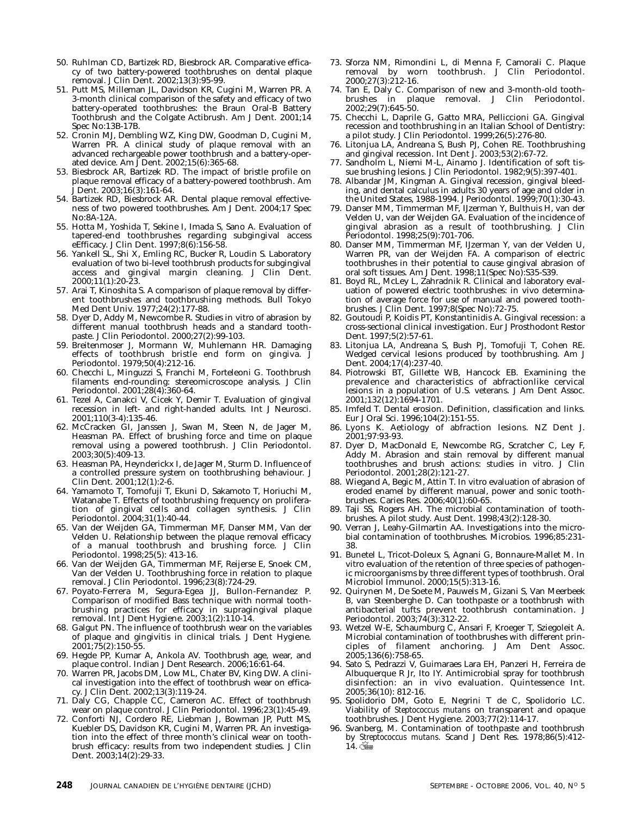- 50. Ruhlman CD, Bartizek RD, Biesbrock AR. Comparative efficacy of two battery-powered toothbrushes on dental plaque removal. J Clin Dent. 2002;13(3):95-99.
- 51. Putt MS, Milleman JL, Davidson KR, Cugini M, Warren PR. A 3-month clinical comparison of the safety and efficacy of two battery-operated toothbrushes: the Braun Oral-B Battery Toothbrush and the Colgate Actibrush. Am J Dent. 2001;14 Spec No:13B-17B.
- 52. Cronin MJ, Dembling WZ, King DW, Goodman D, Cugini M, Warren PR. A clinical study of plaque removal with an advanced rechargeable power toothbrush and a battery-operated device. Am J Dent. 2002;15(6):365-68.
- 53. Biesbrock AR, Bartizek RD. The impact of bristle profile on plaque removal efficacy of a battery-powered toothbrush. Am Dent. 2003;16(3):161-64.
- 54. Bartizek RD, Biesbrock AR. Dental plaque removal effectiveness of two powered toothbrushes. Am J Dent. 2004;17 Spec No:8A-12A.
- 55. Hotta M, Yoshida T, Sekine I, Imada S, Sano A. Evaluation of tapered-end toothbrushes regarding subgingival access eEfficacy. J Clin Dent. 1997;8(6):156-58.
- 56. Yankell SL, Shi X, Emling RC, Bucker R, Loudin S. Laboratory evaluation of two bi-level toothbrush products for subgingival access and gingival margin cleaning. J Clin Dent. 2000;11(1):20-23.
- 57. Arai T, Kinoshita S. A comparison of plaque removal by different toothbrushes and toothbrushing methods. Bull Tokyo Med Dent Univ. 1977;24(2):177-88.
- 58. Dyer D, Addy M, Newcombe R. Studies in vitro of abrasion by different manual toothbrush heads and a standard toothpaste. J Clin Periodontol. 2000;27(2):99-103.
- 59. Breitenmoser J, Mormann W, Muhlemann HR. Damaging effects of toothbrush bristle end form on gingiva. J Periodontol. 1979;50(4):212-16.
- 60. Checchi L, Minguzzi S, Franchi M, Forteleoni G. Toothbrush filaments end-rounding: stereomicroscope analysis. J Clin Periodontol. 2001;28(4):360-64.
- 61. Tezel A, Canakci V, Cicek Y, Demir T. Evaluation of gingival recession in left- and right-handed adults. Int J Neurosci. 2001;110(3-4):135-46.
- 62. McCracken GI, Janssen J, Swan M, Steen N, de Jager M, Heasman PA. Effect of brushing force and time on plaque removal using a powered toothbrush. J Clin Periodontol. 2003;30(5):409-13.
- 63. Heasman PA, Heynderickx I, de Jager M, Sturm D. Influence of a controlled pressure system on toothbrushing behaviour. J Clin Dent. 2001;12(1):2-6.
- 64. Yamamoto T, Tomofuji T, Ekuni D, Sakamoto T, Horiuchi M, Watanabe T. Effects of toothbrushing frequency on proliferation of gingival cells and collagen synthesis. J Clin Periodontol. 2004;31(1):40-44.
- 65. Van der Weijden GA, Timmerman MF, Danser MM, Van der Velden U. Relationship between the plaque removal efficacy of a manual toothbrush and brushing force. J Clin Periodontol. 1998;25(5): 413-16.
- 66. Van der Weijden GA, Timmerman MF, Reijerse E, Snoek CM, Van der Velden U. Toothbrushing force in relation to plaque removal. J Clin Periodontol. 1996;23(8):724-29.
- 67. Poyato-Ferrera M, Segura-Egea JJ, Bullon-Fernandez P. Comparison of modified Bass technique with normal toothbrushing practices for efficacy in supragingival plaque removal. Int J Dent Hygiene. 2003;1(2):110-14.
- 68. Galgut PN. The influence of toothbrush wear on the variables of plaque and gingivitis in clinical trials. J Dent Hygiene. 2001;75(2):150-55.
- 69. Hegde PP, Kumar A, Ankola AV. Toothbrush age, wear, and plaque control. Indian J Dent Research. 2006;16:61-64.
- 70. Warren PR, Jacobs DM, Low ML, Chater BV, King DW. A clinical investigation into the effect of toothbrush wear on efficacy. J Clin Dent. 2002;13(3):119-24.
- 71. Daly CG, Chapple CC, Cameron AC. Effect of toothbrush wear on plaque control. J Clin Periodontol. 1996;23(1):45-49.
- 72. Conforti NJ, Cordero RE, Liebman J, Bowman JP, Putt MS, Kuebler DS, Davidson KR, Cugini M, Warren PR. An investigation into the effect of three month's clinical wear on toothbrush efficacy: results from two independent studies. J Clin Dent. 2003;14(2):29-33.
- 73. Sforza NM, Rimondini L, di Menna F, Camorali C. Plaque removal by worn toothbrush. J Clin Periodontol. 2000;27(3):212-16.
- 74. Tan E, Daly C. Comparison of new and 3-month-old toothbrushes in plaque removal. J Clin Periodontol. 2002;29(7):645-50.
- 75. Checchi L, Daprile G, Gatto MRA, Pelliccioni GA. Gingival recession and toothbrushing in an Italian School of Dentistry: a pilot study. J Clin Periodontol. 1999;26(5):276-80.
- 76. Litonjua LA, Andreana S, Bush PJ, Cohen RE. Toothbrushing and gingival recession. Int Dent J. 2003;53(2):67-72.
- 77. Sandholm L, Niemi M-L, Ainamo J. Identification of soft tissue brushing lesions. J Clin Periodontol. 1982;9(5):397-401.
- 78. Albandar JM, Kingman A. Gingival recession, gingival bleeding, and dental calculus in adults 30 years of age and older in the United States, 1988-1994. J Periodontol. 1999;70(1):30-43.
- 79. Danser MM, Timmerman MF, IJzerman Y, Bulthuis H, van der Velden U, van der Weijden GA. Evaluation of the incidence of gingival abrasion as a result of toothbrushing. J Clin Periodontol. 1998;25(9):701-706.
- 80. Danser MM, Timmerman MF, IJzerman Y, van der Velden U, Warren PR, van der Weijden FA. A comparison of electric toothbrushes in their potential to cause gingival abrasion of oral soft tissues. Am J Dent. 1998;11(Spec No):S35-S39.
- 81. Boyd RL, McLey L, Zahradnik R. Clinical and laboratory evaluation of powered electric toothbrushes: in vivo determination of average force for use of manual and powered toothbrushes. J Clin Dent. 1997;8(Spec No):72-75.
- 82. Goutoudi P, Koidis PT, Konstantinidis A. Gingival recession: a cross-sectional clinical investigation. Eur J Prosthodont Restor Dent. 1997;5(2):57-61.
- 83. Litonjua LA, Andreana S, Bush PJ, Tomofuji T, Cohen RE. Wedged cervical lesions produced by toothbrushing. Am J Dent. 2004;17(4):237-40.
- 84. Piotrowski BT, Gillette WB, Hancock EB. Examining the prevalence and characteristics of abfractionlike cervical lesions in a population of U.S. veterans. J Am Dent Assoc. 2001;132(12):1694-1701.
- 85. Imfeld T. Dental erosion. Definition, classification and links. Eur J Oral Sci. 1996;104(2):151-55.
- 86. Lyons K. Aetiology of abfraction lesions. NZ Dent J. 2001;97:93-93.
- 87. Dyer D, MacDonald E, Newcombe RG, Scratcher C, Ley F, Addy M. Abrasion and stain removal by different manual toothbrushes and brush actions: studies in vitro. J Clin Periodontol. 2001;28(2):121-27.
- 88. Wiegand A, Begic M, Attin T. In vitro evaluation of abrasion of eroded enamel by different manual, power and sonic toothbrushes. Caries Res. 2006;40(1):60-65.
- 89. Taji SS, Rogers AH. The microbial contamination of toothbrushes. A pilot study. Aust Dent. 1998;43(2):128-30.
- Verran J, Leahy-Gilmartin AA. Investigations into the microbial contamination of toothbrushes. Microbios. 1996;85:231- 38.
- 91. Bunetel L, Tricot-Doleux S, Agnani G, Bonnaure-Mallet M. In vitro evaluation of the retention of three species of pathogenic microorganisms by three different types of toothbrush. Oral Microbiol Immunol. 2000;15(5):313-16.
- 92. Quirynen M, De Soete M, Pauwels M, Gizani S, Van Meerbeek B, van Steenberghe D. Can toothpaste or a toothbrush with antibacterial tufts prevent toothbrush contamination. J Periodontol. 2003;74(3):312-22.
- 93. Wetzel W-E, Schaumburg C, Ansari F, Kroeger T, Sziegoleit A. Microbial contamination of toothbrushes with different principles of filament anchoring. J Am Dent Assoc. 2005;136(6):758-65.
- 94. Sato S, Pedrazzi V, Guimaraes Lara EH, Panzeri H, Ferreira de Albuquerque R Jr, Ito IY. Antimicrobial spray for toothbrush disinfection: an in vivo evaluation. Quintessence Int. 2005;36(10): 812-16.
- 95. Spolidorio DM, Goto E, Negrini T de C, Spolidorio LC. Viability of *Steptococcus mutans* on transparent and opaque toothbrushes. J Dent Hygiene. 2003;77(2):114-17.
- Svanberg, M. Contamination of toothpaste and toothbrush by *Streptococcus mutans.* Scand J Dent Res. 1978;86(5):412-  $14.$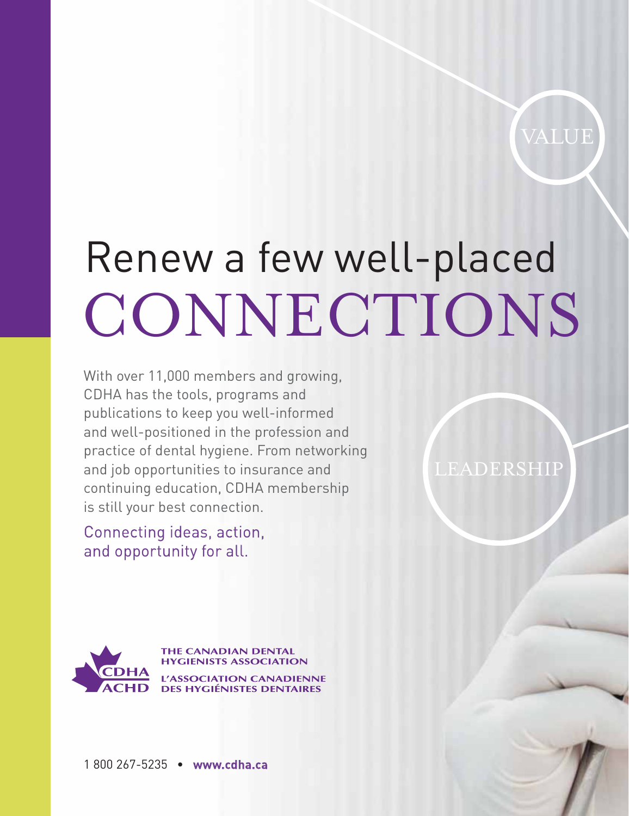VALUE

LEADERSHIP

# Renew a few well-placed CONNECTIONS

With over 11,000 members and growing, CDHA has the tools, programs and publications to keep you well-informed and well-positioned in the profession and practice of dental hygiene. From networking and job opportunities to insurance and continuing education, CDHA membership is still your best connection.

Connecting ideas, action, and opportunity for all.

**THE CANADIAN DENTAL HYGIENISTS ASSOCIATION SSOCIATION CANADIENNE DES HYGIÉNISTES DENTAIRES** 

1 800 267-5235 • www.cdha.ca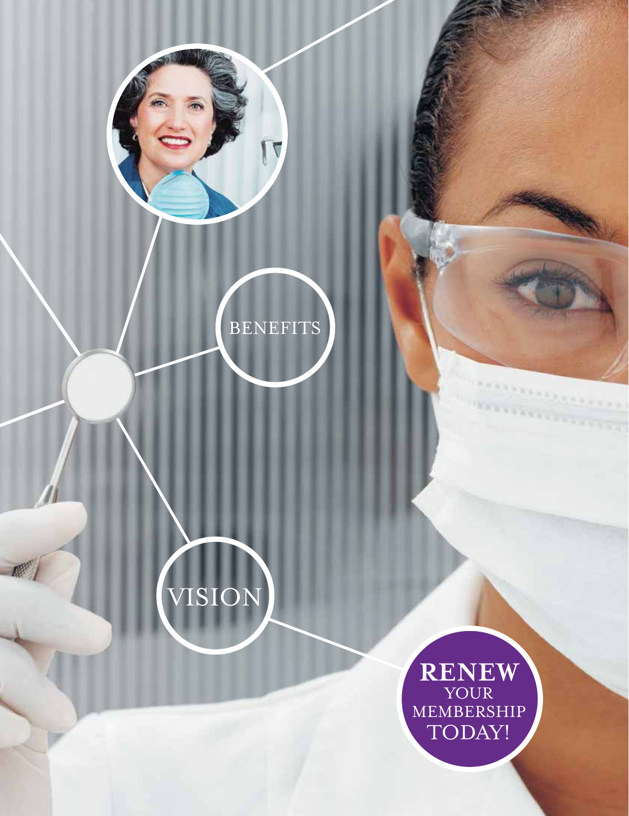





RENEW TODAY!

\*\*\*\*\*\*\*\*\*\*\*\*\*\*\*

,,,,,,,,,,,,,,,,,,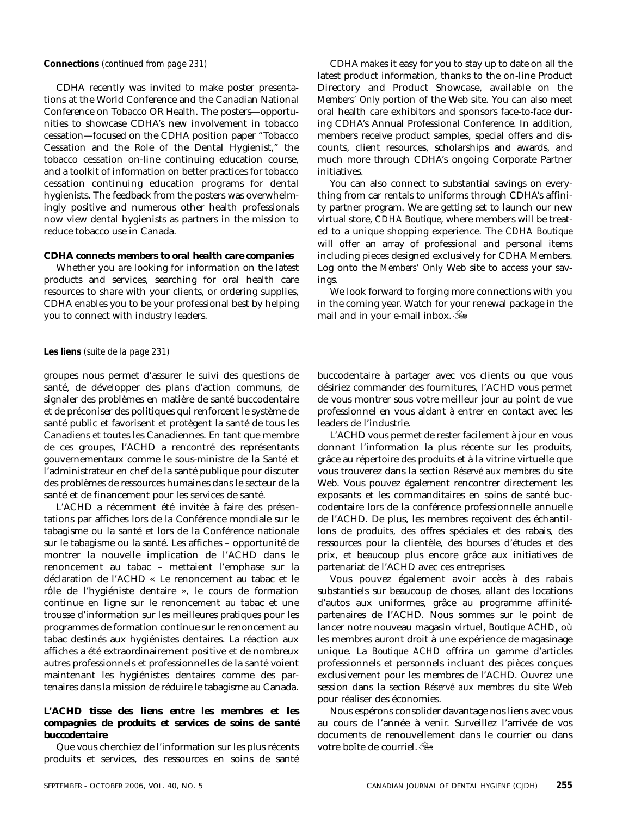CDHA recently was invited to make poster presentations at the World Conference and the Canadian National Conference on Tobacco OR Health. The posters—opportunities to showcase CDHA's new involvement in tobacco cessation—focused on the CDHA position paper "Tobacco Cessation and the Role of the Dental Hygienist," the tobacco cessation on-line continuing education course, and a toolkit of information on better practices for tobacco cessation continuing education programs for dental hygienists. The feedback from the posters was overwhelmingly positive and numerous other health professionals now view dental hygienists as partners in the mission to reduce tobacco use in Canada.

#### *CDHA connects members to oral health care companies*

Whether you are looking for information on the latest products and services, searching for oral health care resources to share with your clients, or ordering supplies, CDHA enables you to be your professional best by helping you to connect with industry leaders.

**Connections** *(continued from page 231)* CDHA makes it easy for you to stay up to date on all the latest product information, thanks to the on-line Product Directory and Product Showcase, available on the *Members' Only* portion of the Web site. You can also meet oral health care exhibitors and sponsors face-to-face during CDHA's Annual Professional Conference. In addition, members receive product samples, special offers and discounts, client resources, scholarships and awards, and much more through CDHA's ongoing Corporate Partner initiatives.

> You can also connect to substantial savings on everything from car rentals to uniforms through CDHA's affinity partner program. We are getting set to launch our new virtual store, *CDHA Boutique*, where members will be treated to a unique shopping experience. The *CDHA Boutique* will offer an array of professional and personal items including pieces designed exclusively for CDHA Members. Log onto the *Members' Only* Web site to access your savings.

> We look forward to forging more connections with you in the coming year. Watch for your renewal package in the mail and in your e-mail inbox.

**Les liens** *(suite de la page 231)*

groupes nous permet d'assurer le suivi des questions de santé, de développer des plans d'action communs, de signaler des problèmes en matière de santé buccodentaire et de préconiser des politiques qui renforcent le système de santé public et favorisent et protègent la santé de tous les Canadiens et toutes les Canadiennes. En tant que membre de ces groupes, l'ACHD a rencontré des représentants gouvernementaux comme le sous-ministre de la Santé et l'administrateur en chef de la santé publique pour discuter des problèmes de ressources humaines dans le secteur de la santé et de financement pour les services de santé.

L'ACHD a récemment été invitée à faire des présentations par affiches lors de la Conférence mondiale sur le tabagisme ou la santé et lors de la Conférence nationale sur le tabagisme ou la santé. Les affiches – opportunité de montrer la nouvelle implication de l'ACHD dans le renoncement au tabac – mettaient l'emphase sur la déclaration de l'ACHD « Le renoncement au tabac et le rôle de l'hygiéniste dentaire », le cours de formation continue en ligne sur le renoncement au tabac et une trousse d'information sur les meilleures pratiques pour les programmes de formation continue sur le renoncement au tabac destinés aux hygiénistes dentaires. La réaction aux affiches a été extraordinairement positive et de nombreux autres professionnels et professionnelles de la santé voient maintenant les hygiénistes dentaires comme des partenaires dans la mission de réduire le tabagisme au Canada.

#### *L'ACHD tisse des liens entre les membres et les compagnies de produits et services de soins de santé buccodentaire*

Que vous cherchiez de l'information sur les plus récents produits et services, des ressources en soins de santé

buccodentaire à partager avec vos clients ou que vous désiriez commander des fournitures, l'ACHD vous permet de vous montrer sous votre meilleur jour au point de vue professionnel en vous aidant à entrer en contact avec les leaders de l'industrie.

L'ACHD vous permet de rester facilement à jour en vous donnant l'information la plus récente sur les produits, grâce au répertoire des produits et à la vitrine virtuelle que vous trouverez dans la section *Réservé aux membres* du site Web. Vous pouvez également rencontrer directement les exposants et les commanditaires en soins de santé buccodentaire lors de la conférence professionnelle annuelle de l'ACHD. De plus, les membres reçoivent des échantillons de produits, des offres spéciales et des rabais, des ressources pour la clientèle, des bourses d'études et des prix, et beaucoup plus encore grâce aux initiatives de partenariat de l'ACHD avec ces entreprises.

Vous pouvez également avoir accès à des rabais substantiels sur beaucoup de choses, allant des locations d'autos aux uniformes, grâce au programme affinitépartenaires de l'ACHD. Nous sommes sur le point de lancer notre nouveau magasin virtuel, *Boutique ACHD*, où les membres auront droit à une expérience de magasinage unique. La *Boutique ACHD* offrira un gamme d'articles professionnels et personnels incluant des pièces conçues exclusivement pour les membres de l'ACHD. Ouvrez une session dans la section *Réservé aux membres* du site Web pour réaliser des économies.

Nous espérons consolider davantage nos liens avec vous au cours de l'année à venir. Surveillez l'arrivée de vos documents de renouvellement dans le courrier ou dans votre boîte de courriel.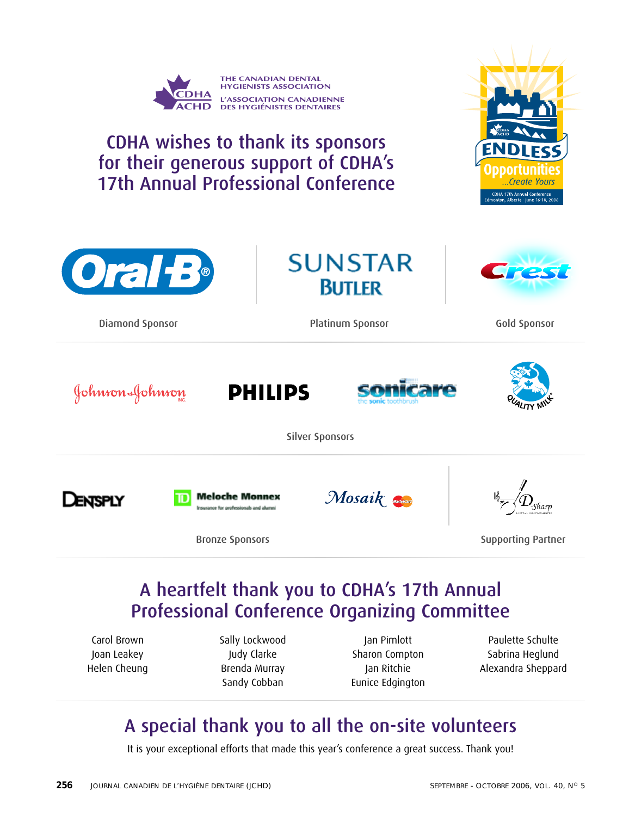

## A heartfelt thank you to CDHA's 17th Annual Professional Conference Organizing Committee

Carol Brown Joan Leakey Helen Cheung Sally Lockwood Judy Clarke Brenda Murray Sandy Cobban

Jan Pimlott Sharon Compton Jan Ritchie Eunice Edgington

Paulette Schulte Sabrina Heglund Alexandra Sheppard

## A special thank you to all the on-site volunteers

It is your exceptional efforts that made this year's conference a great success. Thank you!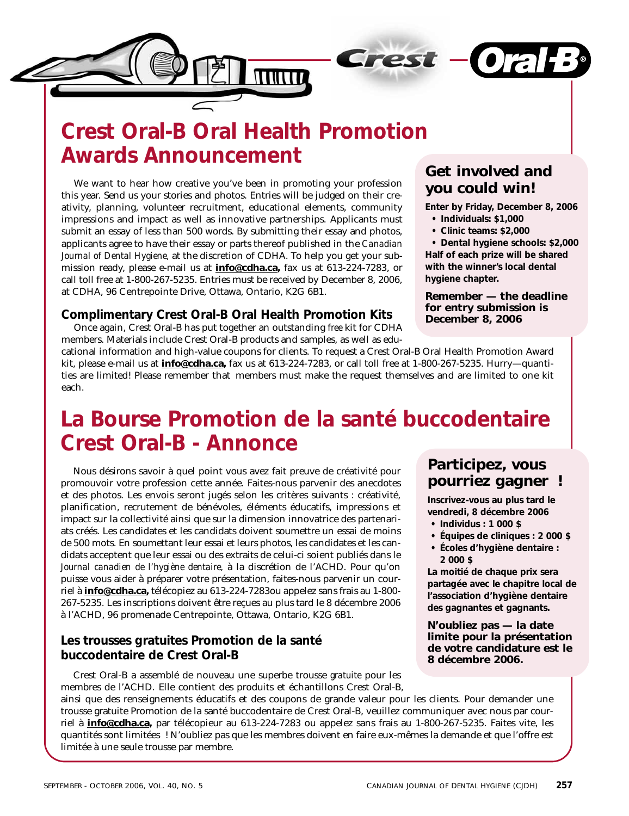

## **Crest Oral-B Oral Health Promotion Awards Announcement**

We want to hear how creative you've been in promoting your profession this year. Send us your stories and photos. Entries will be judged on their creativity, planning, volunteer recruitment, educational elements, community impressions and impact as well as innovative partnerships. Applicants must submit an essay of less than 500 words. By submitting their essay and photos, applicants agree to have their essay or parts thereof published in the *Canadian Journal of Dental Hygiene,* at the discretion of CDHA. To help you get your submission ready, please e-mail us at **info@cdha.ca,** fax us at 613-224-7283, or call toll free at 1-800-267-5235. Entries must be received by December 8, 2006, at CDHA, 96 Centrepointe Drive, Ottawa, Ontario, K2G 6B1.

#### **Complimentary Crest Oral-B Oral Health Promotion Kits**

Once again, Crest Oral-B has put together an outstanding *free* kit for CDHA members. Materials include Crest Oral-B products and samples, as well as edu-

#### **Get involved and you could win!**

**Enter by Friday, December 8, 2006 • Individuals: \$1,000**

- 
- **Clinic teams: \$2,000**

**• Dental hygiene schools: \$2,000 Half of each prize will be shared with the winner's local dental hygiene chapter.**

#### **Remember — the deadline for entry submission is December 8, 2006**

cational information and high-value coupons for clients. To request a Crest Oral-B Oral Health Promotion Award kit, please e-mail us at **info@cdha.ca,** fax us at 613-224-7283, or call toll free at 1-800-267-5235. Hurry—quantities are limited! Please remember that members must make the request themselves and are limited to one kit each.

## **La Bourse Promotion de la santé buccodentaire Crest Oral-B - Annonce**

Nous désirons savoir à quel point vous avez fait preuve de créativité pour promouvoir votre profession cette année. Faites-nous parvenir des anecdotes et des photos. Les envois seront jugés selon les critères suivants : créativité, planification, recrutement de bénévoles, éléments éducatifs, impressions et impact sur la collectivité ainsi que sur la dimension innovatrice des partenariats créés. Les candidates et les candidats doivent soumettre un essai de moins de 500 mots. En soumettant leur essai et leurs photos, les candidates et les candidats acceptent que leur essai ou des extraits de celui-ci soient publiés dans le *Journal canadien de l'hygiène dentaire,* à la discrétion de l'ACHD. Pour qu'on puisse vous aider à préparer votre présentation, faites-nous parvenir un courriel à **info@cdha.ca,** télécopiez au 613-224-7283ou appelez sans frais au 1-800- 267-5235. Les inscriptions doivent être reçues au plus tard le 8 décembre 2006 à l'ACHD, 96 promenade Centrepointe, Ottawa, Ontario, K2G 6B1.

#### **Les trousses gratuites Promotion de la santé buccodentaire de Crest Oral-B**

Crest Oral-B a assemblé de nouveau une superbe trousse *gratuite* pour les membres de l'ACHD. Elle contient des produits et échantillons Crest Oral-B,

#### **Participez, vous pourriez gagner !**

**Inscrivez-vous au plus tard le vendredi, 8 décembre 2006**

- **Individus : 1 000 \$**
- **Équipes de cliniques : 2 000 \$**
- **Écoles d'hygiène dentaire : 2 000 \$**

**La moitié de chaque prix sera partagée avec le chapitre local de l'association d'hygiène dentaire des gagnantes et gagnants.**

**N'oubliez pas — la date limite pour la présentation de votre candidature est le 8 décembre 2006.**

ainsi que des renseignements éducatifs et des coupons de grande valeur pour les clients. Pour demander une trousse gratuite Promotion de la santé buccodentaire de Crest Oral-B, veuillez communiquer avec nous par courriel à **info@cdha.ca,** par télécopieur au 613-224-7283 ou appelez sans frais au 1-800-267-5235. Faites vite, les quantités sont limitées ! N'oubliez pas que les membres doivent en faire eux-mêmes la demande et que l'offre est limitée à une seule trousse par membre.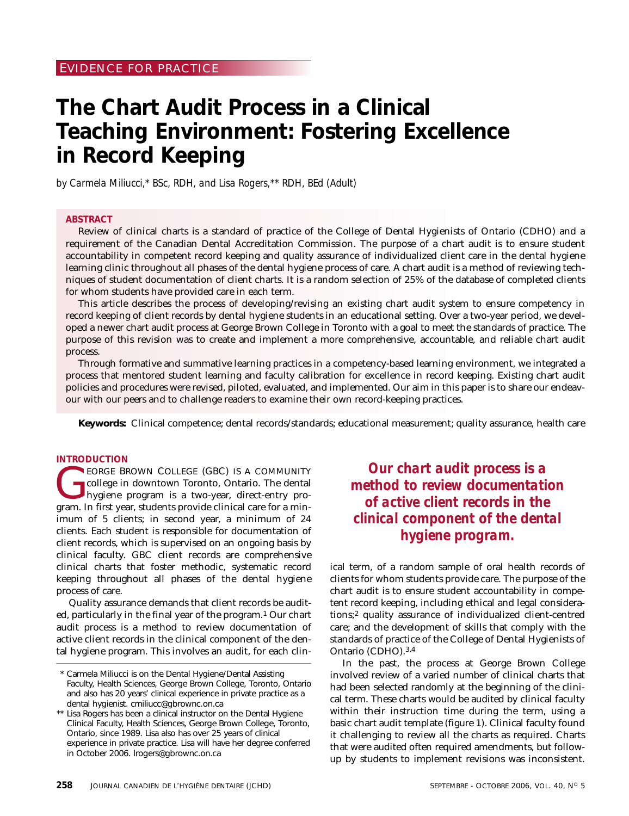## **The Chart Audit Process in a Clinical Teaching Environment: Fostering Excellence in Record Keeping**

*by Carmela Miliucci,\* BSc, RDH, and Lisa Rogers,\*\* RDH, BEd (Adult)*

#### **ABSTRACT**

Review of clinical charts is a standard of practice of the College of Dental Hygienists of Ontario (CDHO) and a requirement of the Canadian Dental Accreditation Commission. The purpose of a chart audit is to ensure student accountability in competent record keeping and quality assurance of individualized client care in the dental hygiene learning clinic throughout all phases of the dental hygiene process of care. A chart audit is a method of reviewing techniques of student documentation of client charts. It is a random selection of 25% of the database of completed clients for whom students have provided care in each term.

This article describes the process of developing/revising an existing chart audit system to ensure competency in record keeping of client records by dental hygiene students in an educational setting. Over a two-year period, we developed a newer chart audit process at George Brown College in Toronto with a goal to meet the standards of practice. The purpose of this revision was to create and implement a more comprehensive, accountable, and reliable chart audit process.

Through formative and summative learning practices in a competency-based learning environment, we integrated a process that mentored student learning and faculty calibration for excellence in record keeping. Existing chart audit policies and procedures were revised, piloted, evaluated, and implemented. Our aim in this paper is to share our endeavour with our peers and to challenge readers to examine their own record-keeping practices.

**Keywords:** Clinical competence; dental records/standards; educational measurement; quality assurance, health care

#### **INTRODUCTION**

EORGE BROWN COLLEGE (GBC) IS A COMMUNITY<br>college in downtown Toronto, Ontario. The dental<br>hygiene program is a two-year, direct-entry pro-<br>gram In first year students provide clinical care for a mincollege in downtown Toronto, Ontario. The dental hygiene program is a two-year, direct-entry program. In first year, students provide clinical care for a minimum of 5 clients; in second year, a minimum of 24 clients. Each student is responsible for documentation of client records, which is supervised on an ongoing basis by clinical faculty. GBC client records are comprehensive clinical charts that foster methodic, systematic record keeping throughout all phases of the dental hygiene process of care.

Quality assurance demands that client records be audited, particularly in the final year of the program.<sup>1</sup> Our chart audit process is a method to review documentation of active client records in the clinical component of the dental hygiene program. This involves an audit, for each clin-

*Our chart audit process is a method to review documentation of active client records in the clinical component of the dental hygiene program.*

ical term, of a random sample of oral health records of clients for whom students provide care. The purpose of the chart audit is to ensure student accountability in competent record keeping, including ethical and legal considerations;2 quality assurance of individualized client-centred care; and the development of skills that comply with the standards of practice of the College of Dental Hygienists of Ontario (CDHO).3,4

In the past, the process at George Brown College involved review of a varied number of clinical charts that had been selected randomly at the beginning of the clinical term. These charts would be audited by clinical faculty within their instruction time during the term, using a basic chart audit template (figure 1). Clinical faculty found it challenging to review all the charts as required. Charts that were audited often required amendments, but followup by students to implement revisions was inconsistent.

<sup>\*</sup> Carmela Miliucci is on the Dental Hygiene/Dental Assisting Faculty, Health Sciences, George Brown College, Toronto, Ontario and also has 20 years' clinical experience in private practice as a dental hygienist. cmiliucc@gbrownc.on.ca

<sup>\*\*</sup> Lisa Rogers has been a clinical instructor on the Dental Hygiene Clinical Faculty, Health Sciences, George Brown College, Toronto, Ontario, since 1989. Lisa also has over 25 years of clinical experience in private practice. Lisa will have her degree conferred in October 2006. lrogers@gbrownc.on.ca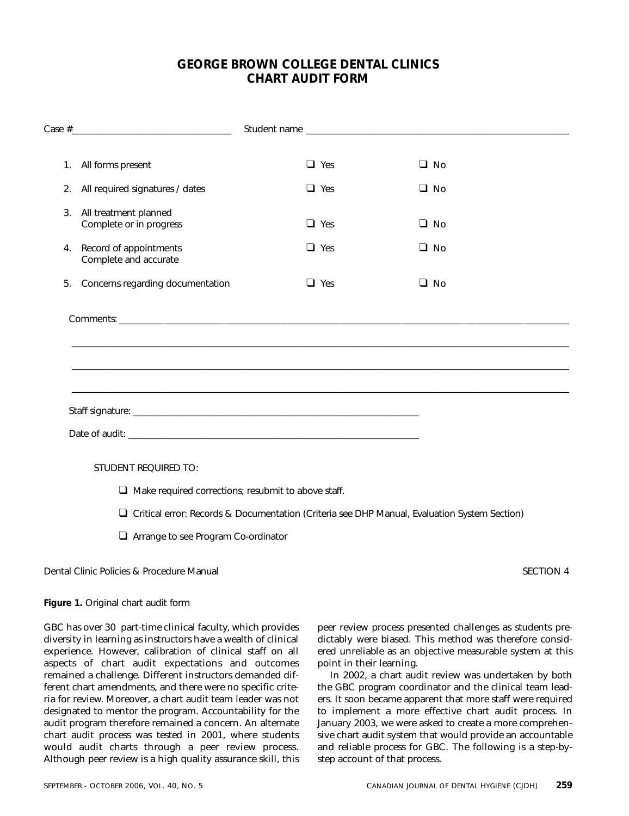#### **GEORGE BROWN COLLEGE DENTAL CLINICS CHART AUDIT FORM**

|    | 1. All forms present                                       | $\Box$ Yes                                                                                     | $\Box$ No |
|----|------------------------------------------------------------|------------------------------------------------------------------------------------------------|-----------|
|    | 2. All required signatures / dates                         | $\Box$ Yes                                                                                     | $\Box$ No |
| 3. | All treatment planned<br>Complete or in progress           | $\Box$ Yes                                                                                     | $\Box$ No |
| 4. | Record of appointments<br>Complete and accurate            | $\Box$ Yes                                                                                     | $\Box$ No |
| 5. | Concerns regarding documentation                           | $\Box$ Yes                                                                                     | $\Box$ No |
|    |                                                            | ,我们也不能在这里的人,我们也不能在这里的人,我们也不能在这里的人,我们也不能在这里的人,我们也不能在这里的人,我们也不能在这里的人,我们也不能在这里的人,我们也              |           |
|    |                                                            |                                                                                                |           |
|    |                                                            |                                                                                                |           |
|    | <b>STUDENT REQUIRED TO:</b>                                |                                                                                                |           |
|    | $\Box$ Make required corrections; resubmit to above staff. |                                                                                                |           |
|    |                                                            | □ Critical error: Records & Documentation (Criteria see DHP Manual, Evaluation System Section) |           |
|    | Arrange to see Program Co-ordinator                        |                                                                                                |           |
|    |                                                            |                                                                                                |           |

Dental Clinic Policies & Procedure Manual SECTION 4

#### **Figure 1.** Original chart audit form

GBC has over 30 part-time clinical faculty, which provides diversity in learning as instructors have a wealth of clinical experience. However, calibration of clinical staff on all aspects of chart audit expectations and outcomes remained a challenge. Different instructors demanded different chart amendments, and there were no specific criteria for review. Moreover, a chart audit team leader was not designated to mentor the program. Accountability for the audit program therefore remained a concern. An alternate chart audit process was tested in 2001, where students would audit charts through a peer review process. Although peer review is a high quality assurance skill, this

peer review process presented challenges as students predictably were biased. This method was therefore considered unreliable as an objective measurable system at this point in their learning.

In 2002, a chart audit review was undertaken by both the GBC program coordinator and the clinical team leaders. It soon became apparent that more staff were required to implement a more effective chart audit process. In January 2003, we were asked to create a more comprehensive chart audit system that would provide an accountable and reliable process for GBC. The following is a step-bystep account of that process.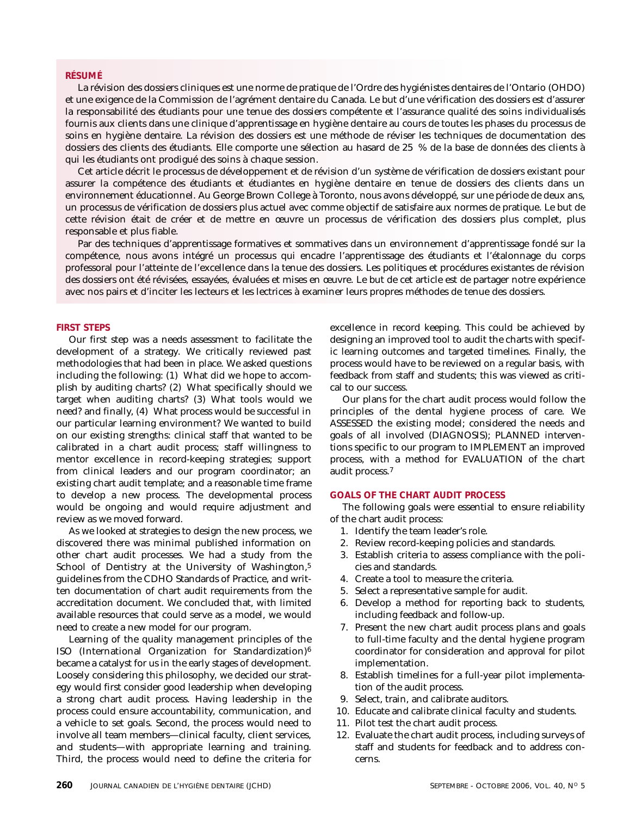#### **RÉSUMÉ**

La révision des dossiers cliniques est une norme de pratique de l'Ordre des hygiénistes dentaires de l'Ontario (OHDO) et une exigence de la Commission de l'agrément dentaire du Canada. Le but d'une vérification des dossiers est d'assurer la responsabilité des étudiants pour une tenue des dossiers compétente et l'assurance qualité des soins individualisés fournis aux clients dans une clinique d'apprentissage en hygiène dentaire au cours de toutes les phases du processus de soins en hygiène dentaire. La révision des dossiers est une méthode de réviser les techniques de documentation des dossiers des clients des étudiants. Elle comporte une sélection au hasard de 25 % de la base de données des clients à qui les étudiants ont prodigué des soins à chaque session.

Cet article décrit le processus de développement et de révision d'un système de vérification de dossiers existant pour assurer la compétence des étudiants et étudiantes en hygiène dentaire en tenue de dossiers des clients dans un environnement éducationnel. Au George Brown College à Toronto, nous avons développé, sur une période de deux ans, un processus de vérification de dossiers plus actuel avec comme objectif de satisfaire aux normes de pratique. Le but de cette révision était de créer et de mettre en œuvre un processus de vérification des dossiers plus complet, plus responsable et plus fiable.

Par des techniques d'apprentissage formatives et sommatives dans un environnement d'apprentissage fondé sur la compétence, nous avons intégré un processus qui encadre l'apprentissage des étudiants et l'étalonnage du corps professoral pour l'atteinte de l'excellence dans la tenue des dossiers. Les politiques et procédures existantes de révision des dossiers ont été révisées, essayées, évaluées et mises en œuvre. Le but de cet article est de partager notre expérience avec nos pairs et d'inciter les lecteurs et les lectrices à examiner leurs propres méthodes de tenue des dossiers.

#### **FIRST STEPS**

Our first step was a needs assessment to facilitate the development of a strategy. We critically reviewed past methodologies that had been in place. We asked questions including the following: (1) What did we hope to accomplish by auditing charts? (2) What specifically should we target when auditing charts? (3) What tools would we need? and finally, (4) What process would be successful in our particular learning environment? We wanted to build on our existing strengths: clinical staff that wanted to be calibrated in a chart audit process; staff willingness to mentor excellence in record-keeping strategies; support from clinical leaders and our program coordinator; an existing chart audit template; and a reasonable time frame to develop a new process. The developmental process would be ongoing and would require adjustment and review as we moved forward.

As we looked at strategies to design the new process, we discovered there was minimal published information on other chart audit processes. We had a study from the School of Dentistry at the University of Washington,<sup>5</sup> guidelines from the CDHO Standards of Practice, and written documentation of chart audit requirements from the accreditation document. We concluded that, with limited available resources that could serve as a model, we would need to create a new model for our program.

Learning of the quality management principles of the ISO (International Organization for Standardization)6 became a catalyst for us in the early stages of development. Loosely considering this philosophy, we decided our strategy would first consider good leadership when developing a strong chart audit process. Having leadership in the process could ensure accountability, communication, and a vehicle to set goals. Second, the process would need to involve all team members—clinical faculty, client services, and students—with appropriate learning and training. Third, the process would need to define the criteria for excellence in record keeping. This could be achieved by designing an improved tool to audit the charts with specific learning outcomes and targeted timelines. Finally, the process would have to be reviewed on a regular basis, with feedback from staff and students; this was viewed as critical to our success.

Our plans for the chart audit process would follow the principles of the dental hygiene process of care. We ASSESSED the existing model; considered the needs and goals of all involved (DIAGNOSIS); PLANNED interventions specific to our program to IMPLEMENT an improved process, with a method for EVALUATION of the chart audit process.7

#### **GOALS OF THE CHART AUDIT PROCESS**

The following goals were essential to ensure reliability of the chart audit process:

- 1. Identify the team leader's role.
- 2. Review record-keeping policies and standards.
- 3. Establish criteria to assess compliance with the policies and standards.
- 4. Create a tool to measure the criteria.
- 5. Select a representative sample for audit.
- 6. Develop a method for reporting back to students, including feedback and follow-up.
- 7. Present the new chart audit process plans and goals to full-time faculty and the dental hygiene program coordinator for consideration and approval for pilot implementation.
- 8. Establish timelines for a full-year pilot implementation of the audit process.
- 9. Select, train, and calibrate auditors.
- 10. Educate and calibrate clinical faculty and students.
- 11. Pilot test the chart audit process.
- 12. Evaluate the chart audit process, including surveys of staff and students for feedback and to address concerns.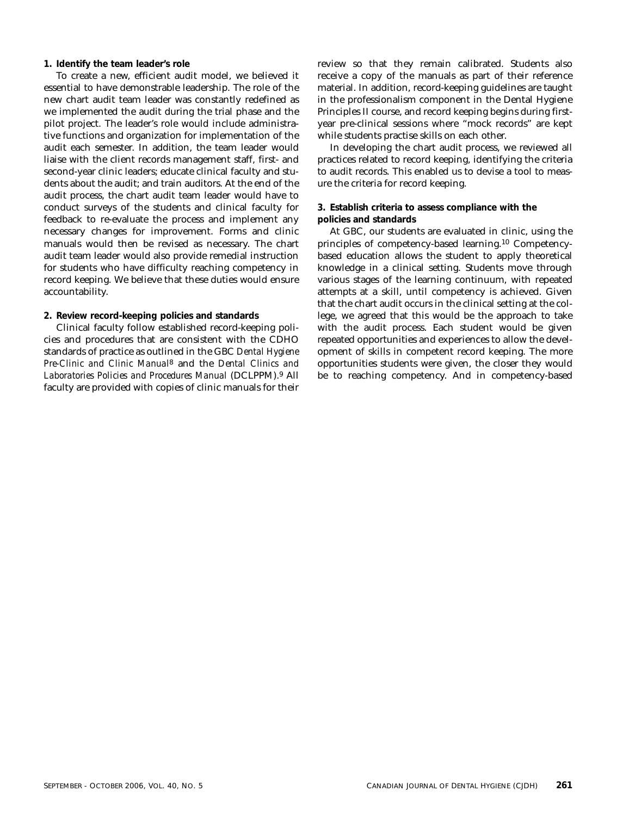#### **1. Identify the team leader's role**

To create a new, efficient audit model, we believed it essential to have demonstrable leadership. The role of the new chart audit team leader was constantly redefined as we implemented the audit during the trial phase and the pilot project. The leader's role would include administrative functions and organization for implementation of the audit each semester. In addition, the team leader would liaise with the client records management staff, first- and second-year clinic leaders; educate clinical faculty and students about the audit; and train auditors. At the end of the audit process, the chart audit team leader would have to conduct surveys of the students and clinical faculty for feedback to re-evaluate the process and implement any necessary changes for improvement. Forms and clinic manuals would then be revised as necessary. The chart audit team leader would also provide remedial instruction for students who have difficulty reaching competency in record keeping. We believe that these duties would ensure accountability.

#### **2. Review record-keeping policies and standards**

Clinical faculty follow established record-keeping policies and procedures that are consistent with the CDHO standards of practice as outlined in the GBC *Dental Hygiene Pre-Clinic and Clinic Manual*8 and the *Dental Clinics and Laboratories Policies and Procedures Manual* (DCLPPM).9 All faculty are provided with copies of clinic manuals for their

review so that they remain calibrated. Students also receive a copy of the manuals as part of their reference material. In addition, record-keeping guidelines are taught in the professionalism component in the Dental Hygiene Principles II course, and record keeping begins during firstyear pre-clinical sessions where "mock records" are kept while students practise skills on each other.

In developing the chart audit process, we reviewed all practices related to record keeping, identifying the criteria to audit records. This enabled us to devise a tool to measure the criteria for record keeping.

#### **3. Establish criteria to assess compliance with the policies and standards**

At GBC, our students are evaluated in clinic, using the principles of competency-based learning.10 Competencybased education allows the student to apply theoretical knowledge in a clinical setting. Students move through various stages of the learning continuum, with repeated attempts at a skill, until competency is achieved. Given that the chart audit occurs in the clinical setting at the college, we agreed that this would be the approach to take with the audit process. Each student would be given repeated opportunities and experiences to allow the development of skills in competent record keeping. The more opportunities students were given, the closer they would be to reaching competency. And in competency-based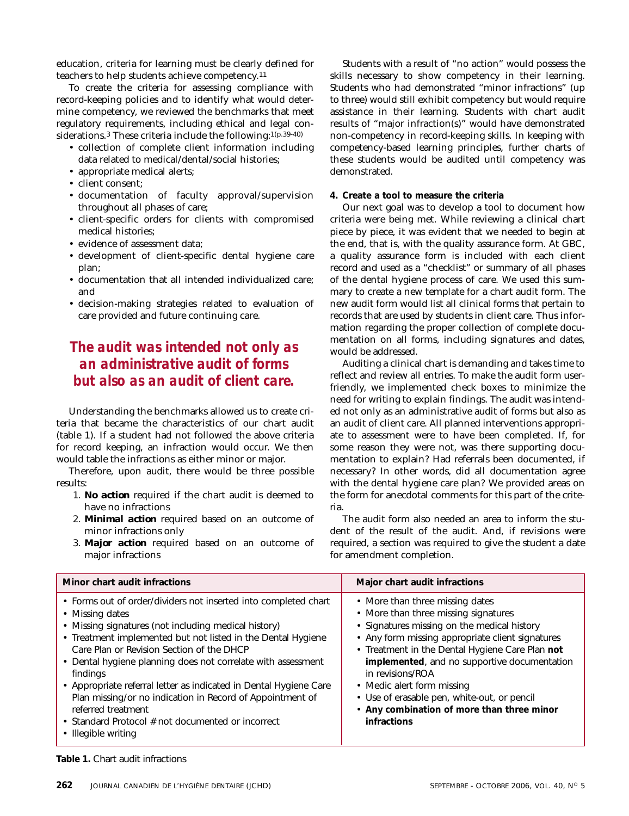education, criteria for learning must be clearly defined for teachers to help students achieve competency.11

To create the criteria for assessing compliance with record-keeping policies and to identify what would determine competency, we reviewed the benchmarks that meet regulatory requirements, including ethical and legal considerations.<sup>3</sup> These criteria include the following:<sup>1(p.39-40)</sup>

- collection of complete client information including data related to medical/dental/social histories;
- appropriate medical alerts;
- client consent;
- documentation of faculty approval/supervision throughout all phases of care;
- client-specific orders for clients with compromised medical histories;
- evidence of assessment data;
- development of client-specific dental hygiene care plan;
- documentation that all intended individualized care; and
- decision-making strategies related to evaluation of care provided and future continuing care.

#### *The audit was intended not only as an administrative audit of forms but also as an audit of client care.*

Understanding the benchmarks allowed us to create criteria that became the characteristics of our chart audit (table 1). If a student had not followed the above criteria for record keeping, an infraction would occur. We then would table the infractions as either minor or major.

Therefore, upon audit, there would be three possible results:

- 1. *No action* required if the chart audit is deemed to have no infractions
- 2. *Minimal action* required based on an outcome of minor infractions only
- 3. *Major action* required based on an outcome of major infractions

Students with a result of "no action" would possess the skills necessary to show competency in their learning. Students who had demonstrated "minor infractions" (up to three) would still exhibit competency but would require assistance in their learning. Students with chart audit results of "major infraction(s)" would have demonstrated non-competency in record-keeping skills. In keeping with competency-based learning principles, further charts of these students would be audited until competency was demonstrated.

#### **4. Create a tool to measure the criteria**

Our next goal was to develop a tool to document how criteria were being met. While reviewing a clinical chart piece by piece, it was evident that we needed to begin at the end, that is, with the quality assurance form. At GBC, a quality assurance form is included with each client record and used as a "checklist" or summary of all phases of the dental hygiene process of care. We used this summary to create a new template for a chart audit form. The new audit form would list all clinical forms that pertain to records that are used by students in client care. Thus information regarding the proper collection of complete documentation on all forms, including signatures and dates, would be addressed.

Auditing a clinical chart is demanding and takes time to reflect and review all entries. To make the audit form userfriendly, we implemented check boxes to minimize the need for writing to explain findings. The audit was intended not only as an administrative audit of forms but also as an audit of client care. All planned interventions appropriate to assessment were to have been completed. If, for some reason they were not, was there supporting documentation to explain? Had referrals been documented, if necessary? In other words, did all documentation agree with the dental hygiene care plan? We provided areas on the form for anecdotal comments for this part of the criteria.

The audit form also needed an area to inform the student of the result of the audit. And, if revisions were required, a section was required to give the student a date for amendment completion.

| Minor chart audit infractions                                                                                                                                                                                                                                                                                                                                                                                                                                                                                                                                           | Major chart audit infractions                                                                                                                                                                                                                                                                                                                                                                                                               |
|-------------------------------------------------------------------------------------------------------------------------------------------------------------------------------------------------------------------------------------------------------------------------------------------------------------------------------------------------------------------------------------------------------------------------------------------------------------------------------------------------------------------------------------------------------------------------|---------------------------------------------------------------------------------------------------------------------------------------------------------------------------------------------------------------------------------------------------------------------------------------------------------------------------------------------------------------------------------------------------------------------------------------------|
| • Forms out of order/dividers not inserted into completed chart<br>• Missing dates<br>• Missing signatures (not including medical history)<br>• Treatment implemented but not listed in the Dental Hygiene<br>Care Plan or Revision Section of the DHCP<br>• Dental hygiene planning does not correlate with assessment<br>findings<br>• Appropriate referral letter as indicated in Dental Hygiene Care<br>Plan missing/or no indication in Record of Appointment of<br>referred treatment<br>• Standard Protocol # not documented or incorrect<br>• Illegible writing | • More than three missing dates<br>• More than three missing signatures<br>• Signatures missing on the medical history<br>• Any form missing appropriate client signatures<br>• Treatment in the Dental Hygiene Care Plan not<br>implemented, and no supportive documentation<br>in revisions/ROA<br>• Medic alert form missing<br>• Use of erasable pen, white-out, or pencil<br>• Any combination of more than three minor<br>infractions |

#### **Table 1.** Chart audit infractions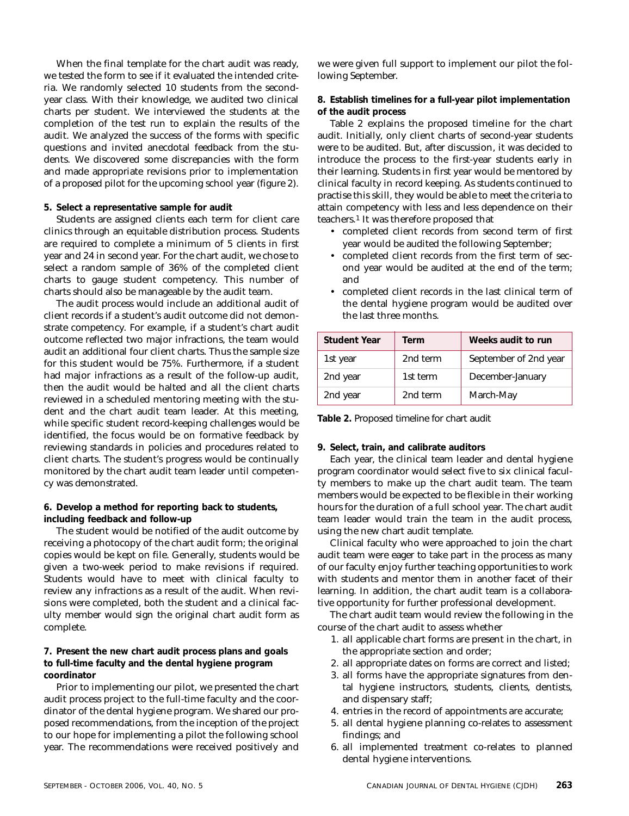When the final template for the chart audit was ready, we tested the form to see if it evaluated the intended criteria. We randomly selected 10 students from the secondyear class. With their knowledge, we audited two clinical charts per student. We interviewed the students at the completion of the test run to explain the results of the audit. We analyzed the success of the forms with specific questions and invited anecdotal feedback from the students. We discovered some discrepancies with the form and made appropriate revisions prior to implementation of a proposed pilot for the upcoming school year (figure 2).

#### **5. Select a representative sample for audit**

Students are assigned clients each term for client care clinics through an equitable distribution process. Students are required to complete a minimum of 5 clients in first year and 24 in second year. For the chart audit, we chose to select a random sample of 36% of the completed client charts to gauge student competency. This number of charts should also be manageable by the audit team.

The audit process would include an additional audit of client records if a student's audit outcome did not demonstrate competency. For example, if a student's chart audit outcome reflected two major infractions, the team would audit an additional four client charts. Thus the sample size for this student would be 75%. Furthermore, if a student had major infractions as a result of the follow-up audit, then the audit would be halted and all the client charts reviewed in a scheduled mentoring meeting with the student and the chart audit team leader. At this meeting, while specific student record-keeping challenges would be identified, the focus would be on formative feedback by reviewing standards in policies and procedures related to client charts. The student's progress would be continually monitored by the chart audit team leader until competency was demonstrated.

#### **6. Develop a method for reporting back to students, including feedback and follow-up**

The student would be notified of the audit outcome by receiving a photocopy of the chart audit form; the original copies would be kept on file. Generally, students would be given a two-week period to make revisions if required. Students would have to meet with clinical faculty to review any infractions as a result of the audit. When revisions were completed, both the student and a clinical faculty member would sign the original chart audit form as complete.

#### **7. Present the new chart audit process plans and goals to full-time faculty and the dental hygiene program coordinator**

Prior to implementing our pilot, we presented the chart audit process project to the full-time faculty and the coordinator of the dental hygiene program. We shared our proposed recommendations, from the inception of the project to our hope for implementing a pilot the following school year. The recommendations were received positively and we were given full support to implement our pilot the following September.

**8. Establish timelines for a full-year pilot implementation of the audit process**

Table 2 explains the proposed timeline for the chart audit. Initially, only client charts of second-year students were to be audited. But, after discussion, it was decided to introduce the process to the first-year students early in their learning. Students in first year would be mentored by clinical faculty in record keeping. As students continued to practise this skill, they would be able to meet the criteria to attain competency with less and less dependence on their teachers.1 It was therefore proposed that

- completed client records from second term of first year would be audited the following September;
- completed client records from the first term of second year would be audited at the end of the term; and
- completed client records in the last clinical term of the dental hygiene program would be audited over the last three months.

| <b>Student Year</b> | Term     | Weeks audit to run    |
|---------------------|----------|-----------------------|
| 1st year            | 2nd term | September of 2nd year |
| 2nd year            | 1st term | December-January      |
| 2nd year            | 2nd term | March-May             |

**Table 2.** Proposed timeline for chart audit

#### **9. Select, train, and calibrate auditors**

Each year, the clinical team leader and dental hygiene program coordinator would select five to six clinical faculty members to make up the chart audit team. The team members would be expected to be flexible in their working hours for the duration of a full school year. The chart audit team leader would train the team in the audit process, using the new chart audit template.

Clinical faculty who were approached to join the chart audit team were eager to take part in the process as many of our faculty enjoy further teaching opportunities to work with students and mentor them in another facet of their learning. In addition, the chart audit team is a collaborative opportunity for further professional development.

The chart audit team would review the following in the course of the chart audit to assess whether

- 1. all applicable chart forms are present in the chart, in the appropriate section and order;
- 2. all appropriate dates on forms are correct and listed;
- 3. all forms have the appropriate signatures from dental hygiene instructors, students, clients, dentists, and dispensary staff;
- 4. entries in the record of appointments are accurate;
- 5. all dental hygiene planning co-relates to assessment findings; and
- 6. all implemented treatment co-relates to planned dental hygiene interventions.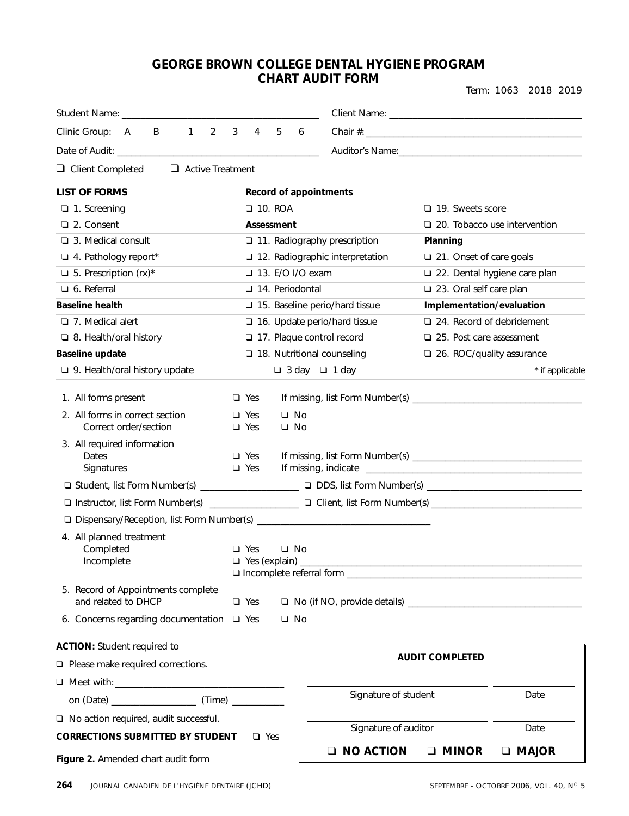#### **GEORGE BROWN COLLEGE DENTAL HYGIENE PROGRAM CHART AUDIT FORM**

Term: 1063 2018 2019

| Student Name: The Contract of the Student Name:           |              |                          |   |                    |                                                                                                                |
|-----------------------------------------------------------|--------------|--------------------------|---|--------------------|----------------------------------------------------------------------------------------------------------------|
| 1<br>2<br>Clinic Group: A<br>B                            | $\mathbf{3}$ | $\overline{4}$           | 5 | 6                  |                                                                                                                |
|                                                           |              |                          |   |                    | Auditor's Name: Name: Name and Auditor's Name and Auditorial Auditorial Contractor and Auditorial Contractor C |
| $\Box$ Client Completed<br>$\Box$ Active Treatment        |              |                          |   |                    |                                                                                                                |
|                                                           |              |                          |   |                    |                                                                                                                |
| <b>LIST OF FORMS</b>                                      |              |                          |   |                    | Record of appointments                                                                                         |
| $\Box$ 1. Screening                                       |              | $\Box$ 10. ROA           |   |                    | 19. Sweets score                                                                                               |
| □ 2. Consent                                              |              | Assessment               |   |                    | $\Box$ 20. Tobacco use intervention                                                                            |
| $\Box$ 3. Medical consult                                 |              |                          |   |                    | 11. Radiography prescription<br>Planning                                                                       |
| 4. Pathology report*                                      |              |                          |   |                    | $\Box$ 12. Radiographic interpretation<br>□ 21. Onset of care goals                                            |
| $\Box$ 5. Prescription (rx)*                              |              |                          |   | □ 13. E/O I/O exam | 22. Dental hygiene care plan                                                                                   |
| $\Box$ 6. Referral                                        |              |                          |   | □ 14. Periodontal  | 23. Oral self care plan                                                                                        |
| <b>Baseline health</b>                                    |              |                          |   |                    | $\square$ 15. Baseline perio/hard tissue<br>Implementation/evaluation                                          |
| $\Box$ 7. Medical alert                                   |              |                          |   |                    | 24. Record of debridement<br>□ 16. Update perio/hard tissue                                                    |
| $\Box$ 8. Health/oral history                             |              |                          |   |                    | 17. Plaque control record<br>$\Box$ 25. Post care assessment                                                   |
| Baseline update                                           |              |                          |   |                    | $\Box$ 18. Nutritional counseling<br>26. ROC/quality assurance                                                 |
| $\Box$ 9. Health/oral history update                      |              |                          |   |                    | $\Box$ 3 day $\Box$ 1 day<br>* if applicable                                                                   |
| 1. All forms present                                      |              | $\Box$ Yes               |   |                    |                                                                                                                |
| 2. All forms in correct section                           |              | $\Box$ Yes               |   | $\Box$ No          |                                                                                                                |
| Correct order/section                                     |              | $\Box$ Yes               |   | $\Box$ No          |                                                                                                                |
| 3. All required information                               |              |                          |   |                    |                                                                                                                |
| Dates<br>Signatures                                       |              | $\Box$ Yes<br>$\Box$ Yes |   |                    |                                                                                                                |
|                                                           |              |                          |   |                    |                                                                                                                |
|                                                           |              |                          |   |                    | □ Instructor, list Form Number(s) ________________ □ Client, list Form Number(s) ________________________      |
|                                                           |              |                          |   |                    |                                                                                                                |
| 4. All planned treatment                                  |              |                          |   |                    |                                                                                                                |
| Completed                                                 |              | $\Box$ Yes               |   | $\Box$ No          |                                                                                                                |
| Incomplete                                                |              |                          |   | Yes (explain) ___  |                                                                                                                |
|                                                           |              |                          |   |                    | □ Incomplete referral form _                                                                                   |
| 5. Record of Appointments complete<br>and related to DHCP |              | $\Box$ Yes               |   |                    |                                                                                                                |
| 6. Concerns regarding documentation $\Box$ Yes            |              |                          |   | $\square$ No       |                                                                                                                |
| <b>ACTION: Student required to</b>                        |              |                          |   |                    |                                                                                                                |
| $\Box$ Please make required corrections.                  |              |                          |   |                    | <b>AUDIT COMPLETED</b>                                                                                         |
|                                                           |              |                          |   |                    |                                                                                                                |
|                                                           |              |                          |   |                    | Signature of student<br>Date                                                                                   |
| $\Box$ No action required, audit successful.              |              |                          |   |                    |                                                                                                                |
| <b>CORRECTIONS SUBMITTED BY STUDENT</b>                   |              | $\Box$ Yes               |   |                    | Signature of auditor<br>Date                                                                                   |
| Figure 2. Amended chart audit form                        |              |                          |   |                    | <b>O NO ACTION</b><br><b>D</b> MINOR<br><b>D</b> MAJOR                                                         |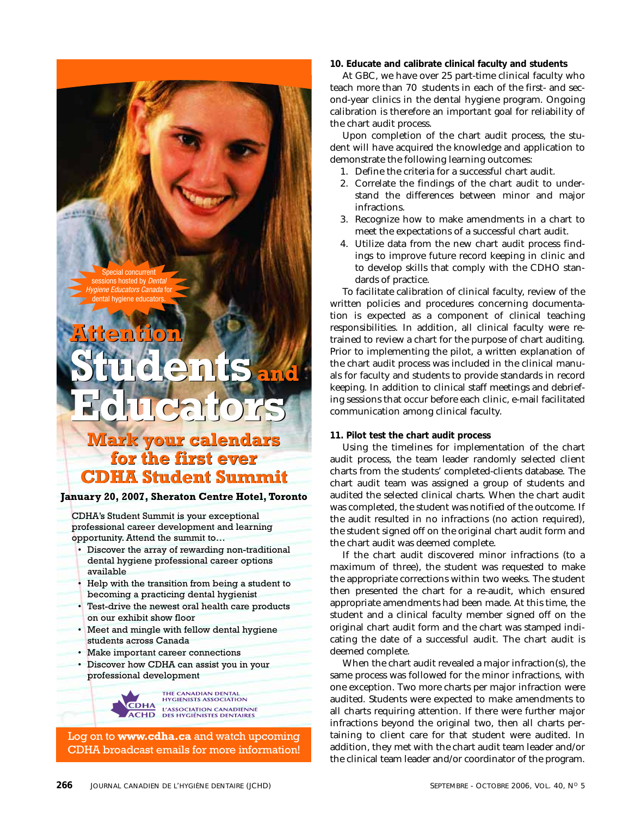Special concurrent sessions hosted by Dental Hygiene Educators Canada for dental hygiene educators.

## **Attention<br>Students:<br>Holucator**<br>Mark your calenda<br>for the first ever<br>CDHA Student Sumi **Students and Educators Attention Students and Educators**

### **Mark your calendars your calendars for the first ever CDHA Student Summit**

**January 20, 2007, Sheraton Centre Hotel, Toronto**

CDHA's Student Summit is your exceptional professional career development and learning opportunity. Attend the summit to…

- Discover the array of rewarding non-traditional dental hygiene professional career options available
- Help with the transition from being a student to becoming a practicing dental hygienist
- Test-drive the newest oral health care products on our exhibit show floor
- Meet and mingle with fellow dental hygiene students across Canada
- Make important career connections
- Discover how CDHA can assist you in your professional development

THE CANADIAN DENTAL<br>HYGIENISTS ASSOCIATION  $\overline{\textbf{C}}\textbf{DHA}$ L'ASSOCIATION CANADIENNE<br>DES HYGIÉNISTES DENTAIRES **ACHD** 

Log on to **www.cdha.ca** and watch upcoming CDHA broadcast emails for more information! **10. Educate and calibrate clinical faculty and students**

At GBC, we have over 25 part-time clinical faculty who teach more than 70 students in each of the first- and second-year clinics in the dental hygiene program. Ongoing calibration is therefore an important goal for reliability of the chart audit process.

Upon completion of the chart audit process, the student will have acquired the knowledge and application to demonstrate the following learning outcomes:

- 1. Define the criteria for a successful chart audit.
- 2. Correlate the findings of the chart audit to understand the differences between minor and major infractions.
- 3. Recognize how to make amendments in a chart to meet the expectations of a successful chart audit.
- 4. Utilize data from the new chart audit process findings to improve future record keeping in clinic and to develop skills that comply with the CDHO standards of practice.

To facilitate calibration of clinical faculty, review of the written policies and procedures concerning documentation is expected as a component of clinical teaching responsibilities. In addition, all clinical faculty were retrained to review a chart for the purpose of chart auditing. Prior to implementing the pilot, a written explanation of the chart audit process was included in the clinical manuals for faculty and students to provide standards in record keeping. In addition to clinical staff meetings and debriefing sessions that occur before each clinic, e-mail facilitated communication among clinical faculty.

#### **11. Pilot test the chart audit process**

Using the timelines for implementation of the chart audit process, the team leader randomly selected client charts from the students' completed-clients database. The chart audit team was assigned a group of students and audited the selected clinical charts. When the chart audit was completed, the student was notified of the outcome. If the audit resulted in no infractions (no action required), the student signed off on the original chart audit form and the chart audit was deemed complete.

If the chart audit discovered minor infractions (to a maximum of three), the student was requested to make the appropriate corrections within two weeks. The student then presented the chart for a re-audit, which ensured appropriate amendments had been made. At this time, the student and a clinical faculty member signed off on the original chart audit form and the chart was stamped indicating the date of a successful audit. The chart audit is deemed complete.

When the chart audit revealed a major infraction(s), the same process was followed for the minor infractions, with one exception. Two more charts per major infraction were audited. Students were expected to make amendments to all charts requiring attention. If there were further major infractions beyond the original two, then all charts pertaining to client care for that student were audited. In addition, they met with the chart audit team leader and/or the clinical team leader and/or coordinator of the program.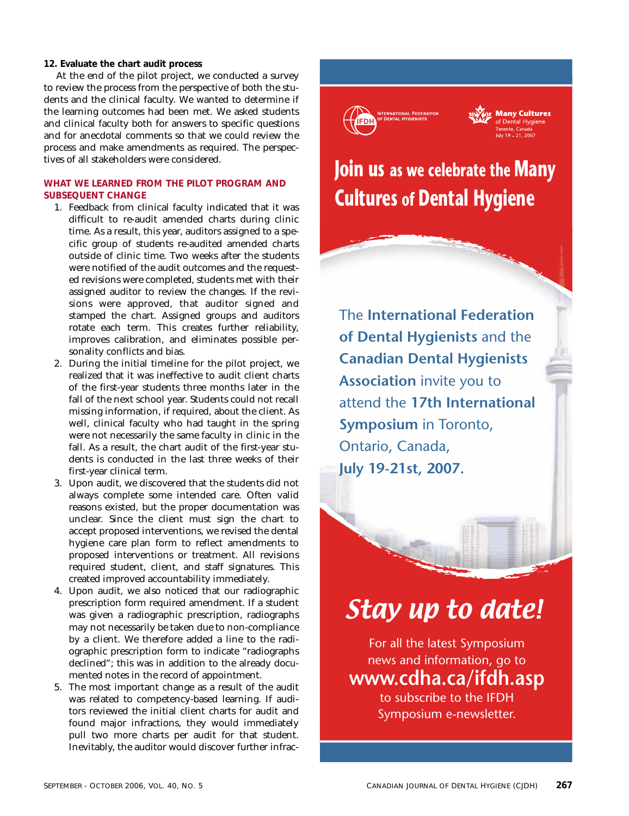#### **12. Evaluate the chart audit process**

At the end of the pilot project, we conducted a survey to review the process from the perspective of both the students and the clinical faculty. We wanted to determine if the learning outcomes had been met. We asked students and clinical faculty both for answers to specific questions and for anecdotal comments so that we could review the process and make amendments as required. The perspectives of all stakeholders were considered.

#### **WHAT WE LEARNED FROM THE PILOT PROGRAM AND SUBSEQUENT CHANGE**

- 1. Feedback from clinical faculty indicated that it was difficult to re-audit amended charts during clinic time. As a result, this year, auditors assigned to a specific group of students re-audited amended charts outside of clinic time. Two weeks after the students were notified of the audit outcomes and the requested revisions were completed, students met with their assigned auditor to review the changes. If the revisions were approved, that auditor signed and stamped the chart. Assigned groups and auditors rotate each term. This creates further reliability, improves calibration, and eliminates possible personality conflicts and bias.
- 2. During the initial timeline for the pilot project, we realized that it was ineffective to audit client charts of the first-year students three months later in the fall of the next school year. Students could not recall missing information, if required, about the client. As well, clinical faculty who had taught in the spring were not necessarily the same faculty in clinic in the fall. As a result, the chart audit of the first-year students is conducted in the last three weeks of their first-year clinical term.
- 3. Upon audit, we discovered that the students did not always complete some intended care. Often valid reasons existed, but the proper documentation was unclear. Since the client must sign the chart to accept proposed interventions, we revised the dental hygiene care plan form to reflect amendments to proposed interventions or treatment. All revisions required student, client, and staff signatures. This created improved accountability immediately.
- 4. Upon audit, we also noticed that our radiographic prescription form required amendment. If a student was given a radiographic prescription, radiographs may not necessarily be taken due to non-compliance by a client. We therefore added a line to the radiographic prescription form to indicate "radiographs declined"; this was in addition to the already documented notes in the record of appointment.
- 5. The most important change as a result of the audit was related to competency-based learning. If auditors reviewed the initial client charts for audit and found major infractions, they would immediately pull two more charts per audit for that student. Inevitably, the auditor would discover further infrac-



## Stay up to date!

For all the latest Symposium news and information, go to **www.cdha.ca/ifdh.asp** to subscribe to the IFDH Symposium e-newsletter.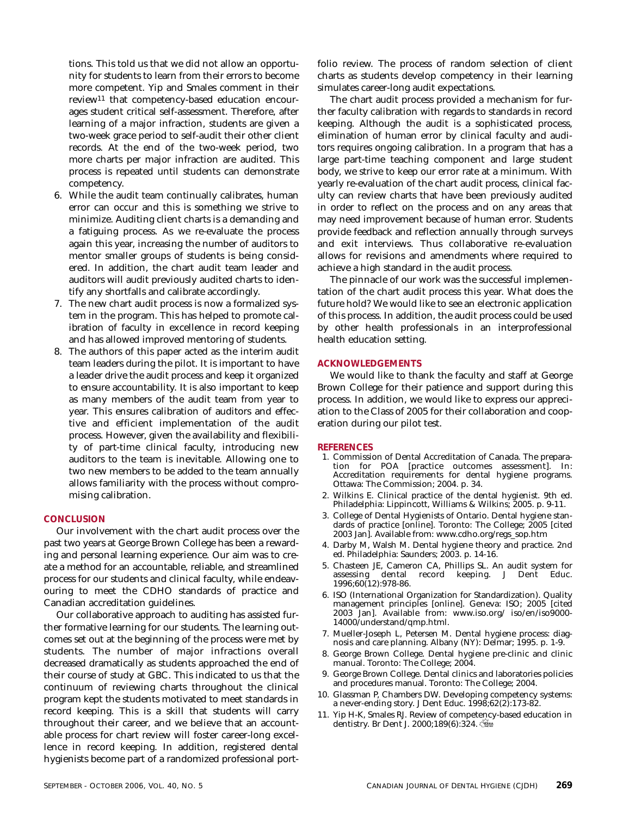tions. This told us that we did not allow an opportunity for students to learn from their errors to become more competent. Yip and Smales comment in their review11 that competency-based education encourages student critical self-assessment. Therefore, after learning of a major infraction, students are given a two-week grace period to self-audit their other client records. At the end of the two-week period, two more charts per major infraction are audited. This process is repeated until students can demonstrate competency.

- 6. While the audit team continually calibrates, human error can occur and this is something we strive to minimize. Auditing client charts is a demanding and a fatiguing process. As we re-evaluate the process again this year, increasing the number of auditors to mentor smaller groups of students is being considered. In addition, the chart audit team leader and auditors will audit previously audited charts to identify any shortfalls and calibrate accordingly.
- 7. The new chart audit process is now a formalized system in the program. This has helped to promote calibration of faculty in excellence in record keeping and has allowed improved mentoring of students.
- 8. The authors of this paper acted as the interim audit team leaders during the pilot. It is important to have a leader drive the audit process and keep it organized to ensure accountability. It is also important to keep as many members of the audit team from year to year. This ensures calibration of auditors and effective and efficient implementation of the audit process. However, given the availability and flexibility of part-time clinical faculty, introducing new auditors to the team is inevitable. Allowing one to two new members to be added to the team annually allows familiarity with the process without compromising calibration.

#### **CONCLUSION**

Our involvement with the chart audit process over the past two years at George Brown College has been a rewarding and personal learning experience. Our aim was to create a method for an accountable, reliable, and streamlined process for our students and clinical faculty, while endeavouring to meet the CDHO standards of practice and Canadian accreditation guidelines.

Our collaborative approach to auditing has assisted further formative learning for our students. The learning outcomes set out at the beginning of the process were met by students. The number of major infractions overall decreased dramatically as students approached the end of their course of study at GBC. This indicated to us that the continuum of reviewing charts throughout the clinical program kept the students motivated to meet standards in record keeping. This is a skill that students will carry throughout their career, and we believe that an accountable process for chart review will foster career-long excellence in record keeping. In addition, registered dental hygienists become part of a randomized professional portfolio review. The process of random selection of client charts as students develop competency in their learning simulates career-long audit expectations.

The chart audit process provided a mechanism for further faculty calibration with regards to standards in record keeping. Although the audit is a sophisticated process, elimination of human error by clinical faculty and auditors requires ongoing calibration. In a program that has a large part-time teaching component and large student body, we strive to keep our error rate at a minimum. With yearly re-evaluation of the chart audit process, clinical faculty can review charts that have been previously audited in order to reflect on the process and on any areas that may need improvement because of human error. Students provide feedback and reflection annually through surveys and exit interviews. Thus collaborative re-evaluation allows for revisions and amendments where required to achieve a high standard in the audit process.

The pinnacle of our work was the successful implementation of the chart audit process this year. What does the future hold? We would like to see an electronic application of this process. In addition, the audit process could be used by other health professionals in an interprofessional health education setting.

#### **ACKNOWLEDGEMENTS**

We would like to thank the faculty and staff at George Brown College for their patience and support during this process. In addition, we would like to express our appreciation to the Class of 2005 for their collaboration and cooperation during our pilot test.

#### **REFERENCES**

- 1. Commission of Dental Accreditation of Canada. The preparation for POA [practice outcomes assessment]. In: Accreditation requirements for dental hygiene programs. Ottawa: The Commission; 2004. p. 34.
- 2. Wilkins E. Clinical practice of the dental hygienist. 9th ed. Philadelphia: Lippincott, Williams & Wilkins; 2005. p. 9-11.
- 3. College of Dental Hygienists of Ontario. Dental hygiene standards of practice [online]. Toronto: The College; 2005 [cited 2003 Jan]. Available from: www.cdho.org/regs\_sop.htm
- 4. Darby M, Walsh M. Dental hygiene theory and practice. 2nd ed. Philadelphia: Saunders; 2003. p. 14-16.
- 5. Chasteen JE, Cameron CA, Phillips SL. An audit system for assessing dental record keeping. J Dent Educ. 1996;60(12):978-86.
- 6. ISO (International Organization for Standardization). Quality management principles [online]. Geneva: ISO; 2005 [cited 2003 Jan]. Available from: www.iso.org/ iso/en/iso9000- 14000/understand/qmp.html.
- 7. Mueller-Joseph L, Petersen M. Dental hygiene process: diagnosis and care planning. Albany (NY): Delmar; 1995. p. 1-9.
- 8. George Brown College. Dental hygiene pre-clinic and clinic manual. Toronto: The College; 2004.
- 9. George Brown College. Dental clinics and laboratories policies and procedures manual. Toronto: The College; 2004.
- 10. Glassman P, Chambers DW. Developing competency systems: a never-ending story. J Dent Educ. 1998;62(2):173-82.
- 11. Yip H-K, Smales RJ. Review of competency-based education in dentistry. Br Dent J. 2000;189(6):324.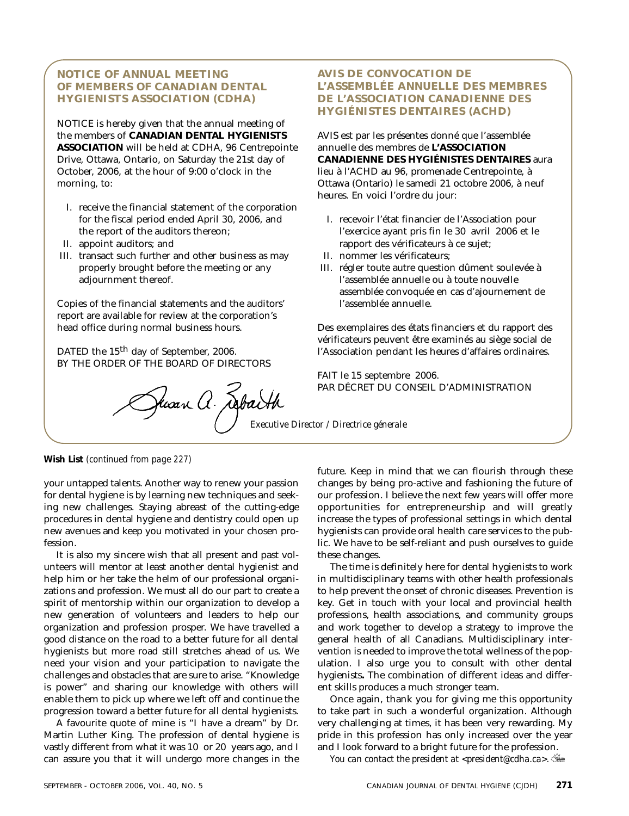#### **NOTICE OF ANNUAL MEETING OF MEMBERS OF CANADIAN DENTAL HYGIENISTS ASSOCIATION (CDHA)**

NOTICE is hereby given that the annual meeting of the members of **CANADIAN DENTAL HYGIENISTS ASSOCIATION** will be held at CDHA, 96 Centrepointe Drive, Ottawa, Ontario, on Saturday the 21st day of October, 2006, at the hour of 9:00 o'clock in the morning, to:

- I. receive the financial statement of the corporation for the fiscal period ended April 30, 2006, and the report of the auditors thereon;
- II. appoint auditors; and
- III. transact such further and other business as may properly brought before the meeting or any adjournment thereof.

Copies of the financial statements and the auditors' report are available for review at the corporation's head office during normal business hours.

DATED the 15<sup>th</sup> day of September, 2006. BY THE ORDER OF THE BOARD OF DIRECTORS

PAR DÉCRET DU CO

#### **AVIS DE CONVOCATION DE L'ASSEMBLÉE ANNUELLE DES MEMBRES DE L'ASSOCIATION CANADIENNE DES HYGIÉNISTES DENTAIRES (ACHD)**

AVIS est par les présentes donné que l'assemblée annuelle des membres de **L'ASSOCIATION CANADIENNE DES HYGIÉNISTES DENTAIRES** aura lieu à l'ACHD au 96, promenade Centrepointe, à Ottawa (Ontario) le samedi 21 octobre 2006, à neuf heures. En voici l'ordre du jour:

- I. recevoir l'état financier de l'Association pour l'exercice ayant pris fin le 30 avril 2006 et le rapport des vérificateurs à ce sujet;
- II. nommer les vérificateurs;
- III. régler toute autre question dûment soulevée à l'assemblée annuelle ou à toute nouvelle assemblée convoquée en cas d'ajournement de l'assemblée annuelle.

Des exemplaires des états financiers et du rapport des vérificateurs peuvent être examinés au siège social de l'Association pendant les heures d'affaires ordinaires.

FAIT le 15 septembre 2006. PAR DÉCRET DU CONSEIL D'ADMINISTRATION

**Wish List** *(continued from page 227)*

your untapped talents. Another way to renew your passion for dental hygiene is by learning new techniques and seeking new challenges. Staying abreast of the cutting-edge procedures in dental hygiene and dentistry could open up new avenues and keep you motivated in your chosen profession.

It is also my sincere wish that all present and past volunteers will mentor at least another dental hygienist and help him or her take the helm of our professional organizations and profession. We must all do our part to create a spirit of mentorship within our organization to develop a new generation of volunteers and leaders to help our organization and profession prosper. We have travelled a good distance on the road to a better future for all dental hygienists but more road still stretches ahead of us. We need your vision and your participation to navigate the challenges and obstacles that are sure to arise. "Knowledge is power" and sharing our knowledge with others will enable them to pick up where we left off and continue the progression toward a better future for all dental hygienists.

A favourite quote of mine is "I have a dream" by Dr. Martin Luther King. The profession of dental hygiene is vastly different from what it was 10 or 20 years ago, and I can assure you that it will undergo more changes in the

future. Keep in mind that we can flourish through these changes by being pro-active and fashioning the future of our profession. I believe the next few years will offer more opportunities for entrepreneurship and will greatly increase the types of professional settings in which dental hygienists can provide oral health care services to the public. We have to be self-reliant and push ourselves to guide these changes.

The time is definitely here for dental hygienists to work in multidisciplinary teams with other health professionals to help prevent the onset of chronic diseases. Prevention is key. Get in touch with your local and provincial health professions, health associations, and community groups and work together to develop a strategy to improve the general health of all Canadians. Multidisciplinary intervention is needed to improve the total wellness of the population. I also urge you to consult with other dental hygienists**.** The combination of different ideas and different skills produces a much stronger team.

Once again, thank you for giving me this opportunity to take part in such a wonderful organization. Although very challenging at times, it has been very rewarding. My pride in this profession has only increased over the year and I look forward to a bright future for the profession.

*You can contact the president at <president@cdha.ca>.*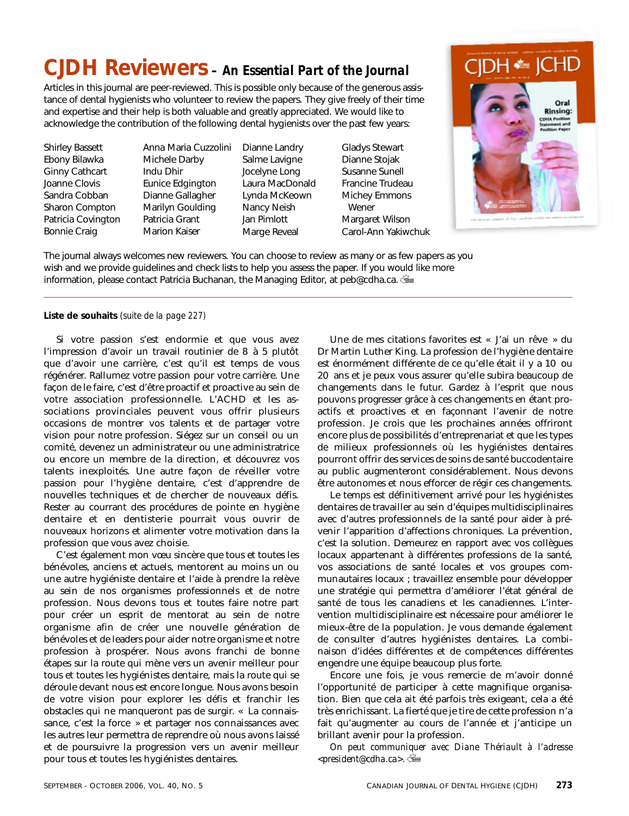## **CJDH Reviewers** *– An Essential Part of the Journal*

Articles in this journal are peer-reviewed. This is possible only because of the generous assistance of dental hygienists who volunteer to review the papers. They give freely of their time and expertise and their help is both valuable and greatly appreciated. We would like to acknowledge the contribution of the following dental hygienists over the past few years:

Shirley Bassett Ebony Bilawka Ginny Cathcart Joanne Clovis Sandra Cobban Sharon Compton Patricia Covington Bonnie Craig

Anna Maria Cuzzolini Michele Darby Indu Dhir Eunice Edgington Dianne Gallagher Marilyn Goulding Patricia Grant Marion Kaiser

Dianne Landry Salme Lavigne Jocelyne Long Laura MacDonald Lynda McKeown Nancy Neish Jan Pimlott Marge Reveal

Gladys Stewart Dianne Stojak Susanne Sunell Francine Trudeau Michey Emmons Wener Margaret Wilson Carol-Ann Yakiwchuk



The journal always welcomes new reviewers. You can choose to review as many or as few papers as you wish and we provide guidelines and check lists to help you assess the paper. If you would like more information, please contact Patricia Buchanan, the Managing Editor, at peb@cdha.ca.

#### **Liste de souhaits** *(suite de la page 227)*

Si votre passion s'est endormie et que vous avez l'impression d'avoir un travail routinier de 8 à 5 plutôt que d'avoir une carrière, c'est qu'il est temps de vous régénérer. Rallumez votre passion pour votre carrière. Une façon de le faire, c'est d'être proactif et proactive au sein de votre association professionnelle. L'ACHD et les associations provinciales peuvent vous offrir plusieurs occasions de montrer vos talents et de partager votre vision pour notre profession. Siégez sur un conseil ou un comité, devenez un administrateur ou une administratrice ou encore un membre de la direction, et découvrez vos talents inexploités. Une autre façon de réveiller votre passion pour l'hygiène dentaire, c'est d'apprendre de nouvelles techniques et de chercher de nouveaux défis. Rester au courrant des procédures de pointe en hygiène dentaire et en dentisterie pourrait vous ouvrir de nouveaux horizons et alimenter votre motivation dans la profession que vous avez choisie.

C'est également mon vœu sincère que tous et toutes les bénévoles, anciens et actuels, mentorent au moins un ou une autre hygiéniste dentaire et l'aide à prendre la relève au sein de nos organismes professionnels et de notre profession. Nous devons tous et toutes faire notre part pour créer un esprit de mentorat au sein de notre organisme afin de créer une nouvelle génération de bénévoles et de leaders pour aider notre organisme et notre profession à prospérer. Nous avons franchi de bonne étapes sur la route qui mène vers un avenir meilleur pour tous et toutes les hygiénistes dentaire, mais la route qui se déroule devant nous est encore longue. Nous avons besoin de votre vision pour explorer les défis et franchir les obstacles qui ne manqueront pas de surgir. « La connaissance, c'est la force » et partager nos connaissances avec les autres leur permettra de reprendre où nous avons laissé et de poursuivre la progression vers un avenir meilleur pour tous et toutes les hygiénistes dentaires.

Une de mes citations favorites est « J'ai un rêve » du Dr Martin Luther King. La profession de l'hygiène dentaire est énormément différente de ce qu'elle était il y a 10 ou 20 ans et je peux vous assurer qu'elle subira beaucoup de changements dans le futur. Gardez à l'esprit que nous pouvons progresser grâce à ces changements en étant proactifs et proactives et en façonnant l'avenir de notre profession. Je crois que les prochaines années offriront encore plus de possibilités d'entreprenariat et que les types de milieux professionnels où les hygiénistes dentaires pourront offrir des services de soins de santé buccodentaire au public augmenteront considérablement. Nous devons être autonomes et nous efforcer de régir ces changements.

Le temps est définitivement arrivé pour les hygiénistes dentaires de travailler au sein d'équipes multidisciplinaires avec d'autres professionnels de la santé pour aider à prévenir l'apparition d'affections chroniques. La prévention, c'est la solution. Demeurez en rapport avec vos collègues locaux appartenant à différentes professions de la santé, vos associations de santé locales et vos groupes communautaires locaux ; travaillez ensemble pour développer une stratégie qui permettra d'améliorer l'état général de santé de tous les canadiens et les canadiennes. L'intervention multidisciplinaire est nécessaire pour améliorer le mieux-être de la population. Je vous demande également de consulter d'autres hygiénistes dentaires. La combinaison d'idées différentes et de compétences différentes engendre une équipe beaucoup plus forte.

Encore une fois, je vous remercie de m'avoir donné l'opportunité de participer à cette magnifique organisation. Bien que cela ait été parfois très exigeant, cela a été très enrichissant. La fierté que je tire de cette profession n'a fait qu'augmenter au cours de l'année et j'anticipe un brillant avenir pour la profession.

*On peut communiquer avec Diane Thériault à l'adresse <president@cdha.ca>.*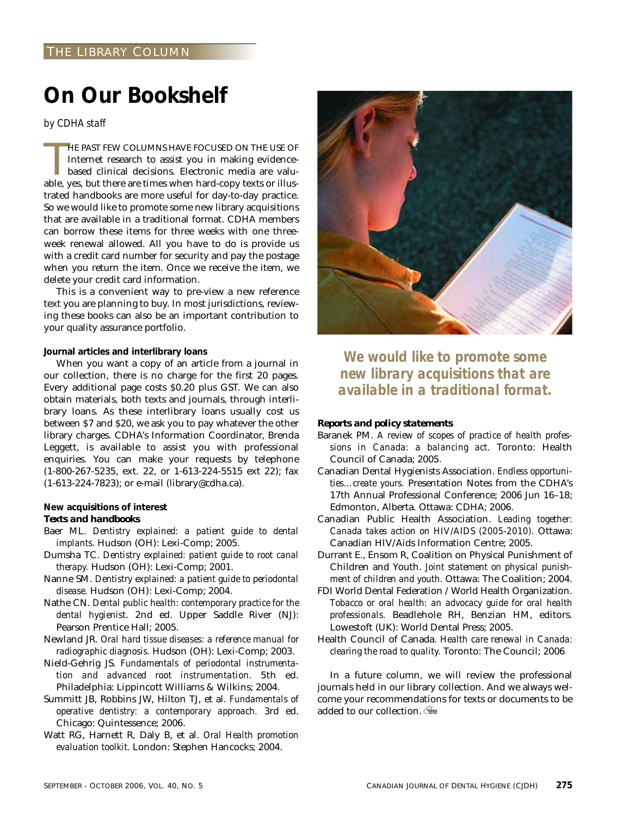## **On Our Bookshelf**

*by CDHA staff*

HE PAST FEW COLUMNS HAVE FOCUSED ON THE USE OF Internet research to assist you in making evidence-based clinical decisions. Electronic media are valuable, yes, but there are times when hard-copy texts or illus-HE PAST FEW COLUMNS HAVE FOCUSED ON THE USE OF Internet research to assist you in making evidencebased clinical decisions. Electronic media are valutrated handbooks are more useful for day-to-day practice. So we would like to promote some new library acquisitions that are available in a traditional format. CDHA members can borrow these items for three weeks with one threeweek renewal allowed. All you have to do is provide us with a credit card number for security and pay the postage when you return the item. Once we receive the item, we delete your credit card information.

This is a convenient way to pre-view a new reference text you are planning to buy. In most jurisdictions, reviewing these books can also be an important contribution to your quality assurance portfolio.

#### **Journal articles and interlibrary loans**

When you want a copy of an article from a journal in our collection, there is no charge for the first 20 pages. Every additional page costs \$0.20 plus GST. We can also obtain materials, both texts and journals, through interlibrary loans. As these interlibrary loans usually cost us between \$7 and \$20, we ask you to pay whatever the other library charges. CDHA's Information Coordinator, Brenda Leggett, is available to assist you with professional enquiries. You can make your requests by telephone (1-800-267-5235, ext. 22, or 1-613-224-5515 ext 22); fax (1-613-224-7823); or e-mail (library@cdha.ca).

#### **New acquisitions of interest**

#### *Texts and handbooks*

- Baer ML. *Dentistry explained: a patient guide to dental implants.* Hudson (OH): Lexi-Comp; 2005.
- Dumsha TC. *Dentistry explained: patient guide to root canal therapy.* Hudson (OH): Lexi-Comp; 2001.
- Nanne SM. *Dentistry explained: a patient guide to periodontal disease.* Hudson (OH): Lexi-Comp; 2004.
- Nathe CN. *Dental public health: contemporary practice for the dental hygienist*. 2nd ed. Upper Saddle River (NJ): Pearson Prentice Hall; 2005.
- Newland JR. *Oral hard tissue diseases: a reference manual for radiographic diagnosis.* Hudson (OH): Lexi-Comp; 2003.
- Nield-Gehrig JS. *Fundamentals of periodontal instrumentation and advanced root instrumentation.* 5th ed. Philadelphia: Lippincott Williams & Wilkins; 2004.
- Summitt JB, Robbins JW, Hilton TJ, et al*. Fundamentals of operative dentistry: a contemporary approach.* 3rd ed. Chicago: Quintessence; 2006.
- Watt RG, Harnett R, Daly B, et al. *Oral Health promotion evaluation toolkit.* London: Stephen Hancocks; 2004.



*We would like to promote some new library acquisitions that are available in a traditional format.*

#### *Reports and policy statements*

- Baranek PM. *A review of scopes of practice of health professions in Canada: a balancing act.* Toronto: Health Council of Canada; 2005.
- Canadian Dental Hygienists Association. *Endless opportunities…create yours.* Presentation Notes from the CDHA's 17th Annual Professional Conference; 2006 Jun 16–18; Edmonton, Alberta. Ottawa: CDHA; 2006.
- Canadian Public Health Association. *Leading together: Canada takes action on HIV/AIDS (2005-2010).* Ottawa: Canadian HIV/Aids Information Centre; 2005.
- Durrant E., Ensom R, Coalition on Physical Punishment of Children and Youth. *Joint statement on physical punishment of children and youth.* Ottawa: The Coalition; 2004.
- FDI World Dental Federation / World Health Organization. *Tobacco or oral health: an advocacy guide for oral health professionals.* Beadlehole RH, Benzian HM, editors. Lowestoft (UK): World Dental Press; 2005.
- Health Council of Canada. *Health care renewal in Canada: clearing the road to quality.* Toronto: The Council; 2006

In a future column, we will review the professional journals held in our library collection. And we always welcome your recommendations for texts or documents to be added to our collection.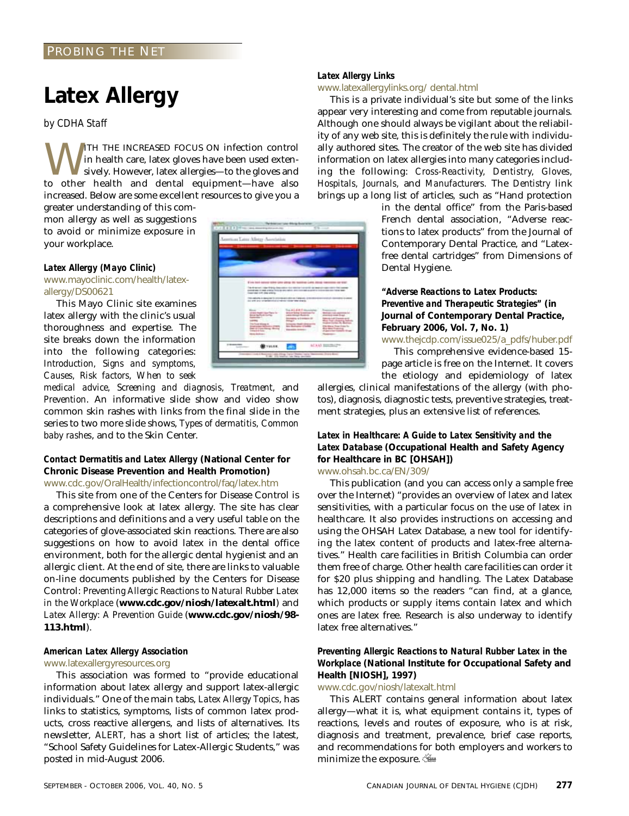#### PROBING THE NET

## **Latex Allergy**

*by CDHA Staff*

WITH THE INCREASED FOCUS ON infection control<br>sively. However, latex gloves have been used exten-<br>to other health and dental equipment—have also in health care, latex gloves have been used extensively. However, latex allergies—to the gloves and to other health and dental equipment—have also increased. Below are some excellent resources to give you a

greater understanding of this common allergy as well as suggestions to avoid or minimize exposure in your workplace.

#### *Latex Allergy (Mayo Clinic)*

www.mayoclinic.com/health/latexallergy/DS00621

This Mayo Clinic site examines latex allergy with the clinic's usual thoroughness and expertise. The site breaks down the information into the following categories: *Introduction, Signs and symptoms, Causes, Risk factors, When to seek*

*medical advice, Screening and diagnosis, Treatment,* and *Prevention*. An informative slide show and video show common skin rashes with links from the final slide in the series to two more slide shows, *Types of dermatitis, Common baby rashes*, and to the Skin Center.

#### *Contact Dermatitis and Latex Allergy* **(National Center for Chronic Disease Prevention and Health Promotion)** www.cdc.gov/OralHealth/infectioncontrol/faq/latex.htm

This site from one of the Centers for Disease Control is a comprehensive look at latex allergy. The site has clear descriptions and definitions and a very useful table on the categories of glove-associated skin reactions. There are also suggestions on how to avoid latex in the dental office environment, both for the allergic dental hygienist and an allergic client. At the end of site, there are links to valuable on-line documents published by the Centers for Disease Control: *Preventing Allergic Reactions to Natural Rubber Latex in the Workplace* (**www.cdc.gov/niosh/latexalt.html**) and *Latex Allergy: A Prevention Guide* (**www.cdc.gov/niosh/98- 113.html**).

#### *American Latex Allergy Association* www.latexallergyresources.org

This association was formed to "provide educational information about latex allergy and support latex-allergic individuals." One of the main tabs, *Latex Allergy Topics*, has links to statistics, symptoms, lists of common latex products, cross reactive allergens, and lists of alternatives. Its newsletter, *ALERT,* has a short list of articles; the latest, "School Safety Guidelines for Latex-Allergic Students," was posted in mid-August 2006.

#### *Latex Allergy Links*

#### www.latexallergylinks.org/ dental.html

This is a private individual's site but some of the links appear very interesting and come from reputable journals. Although one should always be vigilant about the reliability of any web site, this is definitely the rule with individually authored sites. The creator of the web site has divided information on latex allergies into many categories including the following: *Cross-Reactivity, Dentistry, Gloves, Hospitals, Journals,* and *Manufacturers.* The *Dentistry* link brings up a long list of articles*,* such as "Hand protection

> in the dental office" from the Paris-based French dental association, "Adverse reactions to latex products" from the Journal of Contemporary Dental Practice, and "Latexfree dental cartridges" from Dimensions of Dental Hygiene.

*"Adverse Reactions to Latex Products: Preventive and Therapeutic Strategies"* **(in Journal of Contemporary Dental Practice, February 2006, Vol. 7, No. 1)**

www.thejcdp.com/issue025/a\_pdfs/huber.pdf This comprehensive evidence-based 15 page article is free on the Internet. It covers the etiology and epidemiology of latex

allergies, clinical manifestations of the allergy (with photos), diagnosis, diagnostic tests, preventive strategies, treatment strategies, plus an extensive list of references.

#### *Latex in Healthcare: A Guide to Latex Sensitivity and the Latex Database* **(Occupational Health and Safety Agency for Healthcare in BC [OHSAH])** www.ohsah.bc.ca/EN/309/

This publication (and you can access only a sample free over the Internet) "provides an overview of latex and latex sensitivities, with a particular focus on the use of latex in healthcare. It also provides instructions on accessing and using the OHSAH Latex Database, a new tool for identifying the latex content of products and latex-free alternatives." Health care facilities in British Columbia can order them free of charge. Other health care facilities can order it for \$20 plus shipping and handling. The Latex Database has 12,000 items so the readers "can find, at a glance, which products or supply items contain latex and which ones are latex free. Research is also underway to identify latex free alternatives."

#### *Preventing Allergic Reactions to Natural Rubber Latex in the Workplace* **(National Institute for Occupational Safety and Health [NIOSH], 1997)**

www.cdc.gov/niosh/latexalt.html

This ALERT contains general information about latex allergy—what it is, what equipment contains it, types of reactions, levels and routes of exposure, who is at risk, diagnosis and treatment, prevalence, brief case reports, and recommendations for both employers and workers to minimize the exposure.

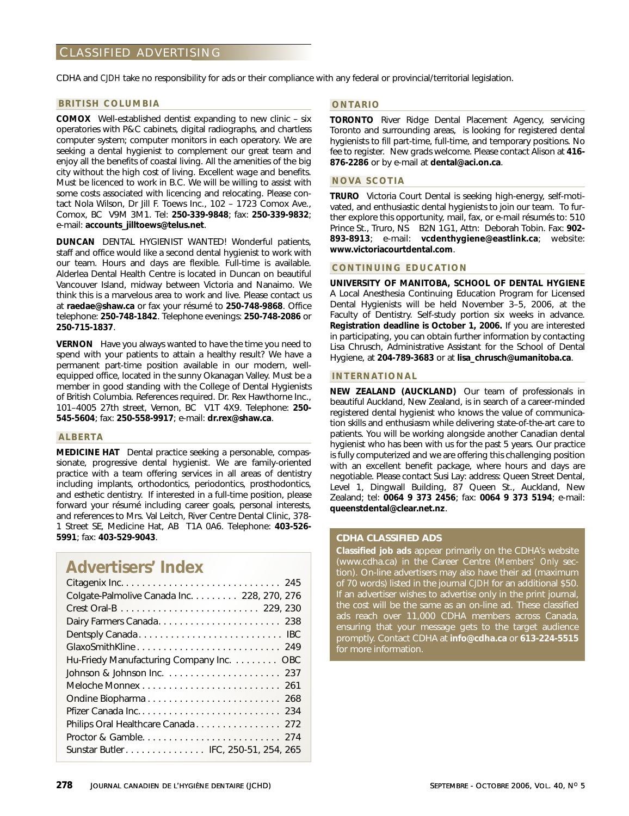#### CLASSIFIED ADVERTISING

CDHA and *CJDH* take no responsibility for ads or their compliance with any federal or provincial/territorial legislation.

#### **BRITISH COLUMBIA**

**COMOX** Well-established dentist expanding to new clinic – six operatories with P&C cabinets, digital radiographs, and chartless computer system; computer monitors in each operatory. We are seeking a dental hygienist to complement our great team and enjoy all the benefits of coastal living. All the amenities of the big city without the high cost of living. Excellent wage and benefits. Must be licenced to work in B.C. We will be willing to assist with some costs associated with licencing and relocating. Please contact Nola Wilson, Dr Jill F. Toews Inc., 102 – 1723 Comox Ave., Comox, BC V9M 3M1. Tel: **250-339-9848**; fax: **250-339-9832**; e-mail: **accounts\_jilltoews@telus.net**.

**DUNCAN** DENTAL HYGIENIST WANTED! Wonderful patients, staff and office would like a second dental hygienist to work with our team. Hours and days are flexible. Full-time is available. Alderlea Dental Health Centre is located in Duncan on beautiful Vancouver Island, midway between Victoria and Nanaimo. We think this is a marvelous area to work and live. Please contact us at **raedae@shaw.ca** or fax your résumé to **250-748-9868**. Office telephone: **250-748-1842**. Telephone evenings: **250-748-2086** or **250-715-1837**.

**VERNON** Have you always wanted to have the time you need to spend with your patients to attain a healthy result? We have a permanent part-time position available in our modern, wellequipped office, located in the sunny Okanagan Valley. Must be a member in good standing with the College of Dental Hygienists of British Columbia. References required. Dr. Rex Hawthorne Inc., 101–4005 27th street, Vernon, BC V1T 4X9. Telephone: **250- 545-5604**; fax: **250-558-9917**; e-mail: **dr.rex@shaw.ca**.

#### **ALBERTA**

**MEDICINE HAT** Dental practice seeking a personable, compassionate, progressive dental hygienist. We are family-oriented practice with a team offering services in all areas of dentistry including implants, orthodontics, periodontics, prosthodontics, and esthetic dentistry. If interested in a full-time position, please forward your résumé including career goals, personal interests, and references to Mrs. Val Leitch, River Centre Dental Clinic, 378- 1 Street SE, Medicine Hat, AB T1A 0A6. Telephone: **403-526- 5991**; fax: **403-529-9043**.

#### **Advertisers' Index**

| Colgate-Palmolive Canada Inc. 228, 270, 276 |
|---------------------------------------------|
|                                             |
| Dairy Farmers Canada 238                    |
|                                             |
| GlaxoSmithKline 249                         |
| Hu-Friedy Manufacturing Company Inc. OBC    |
|                                             |
|                                             |
|                                             |
|                                             |
| Philips Oral Healthcare Canada 272          |
|                                             |
| Sunstar Butler IFC, 250-51, 254, 265        |

#### **ONTARIO**

**TORONTO** River Ridge Dental Placement Agency, servicing Toronto and surrounding areas, is looking for registered dental hygienists to fill part-time, full-time, and temporary positions. No fee to register. New grads welcome. Please contact Alison at **416- 876-2286** or by e-mail at **dental@aci.on.ca**.

#### **NOVA SCOTIA**

**TRURO** Victoria Court Dental is seeking high-energy, self-motivated, and enthusiastic dental hygienists to join our team. To further explore this opportunity, mail, fax, or e-mail résumés to: 510 Prince St., Truro, NS B2N 1G1, Attn: Deborah Tobin. Fax: **902- 893-8913**; e-mail: **vcdenthygiene@eastlink.ca**; website: **www.victoriacourtdental.com**.

#### **CONTINUING EDUCATION**

**UNIVERSITY OF MANITOBA, SCHOOL OF DENTAL HYGIENE** A Local Anesthesia Continuing Education Program for Licensed Dental Hygienists will be held November 3–5, 2006, at the Faculty of Dentistry. Self-study portion six weeks in advance. **Registration deadline is October 1, 2006.** If you are interested in participating, you can obtain further information by contacting Lisa Chrusch, Administrative Assistant for the School of Dental Hygiene, at **204-789-3683** or at **lisa\_chrusch@umanitoba.ca**.

#### **INTERNATIONAL**

**NEW ZEALAND (AUCKLAND)** Our team of professionals in beautiful Auckland, New Zealand, is in search of a career-minded registered dental hygienist who knows the value of communication skills and enthusiasm while delivering state-of-the-art care to patients. You will be working alongside another Canadian dental hygienist who has been with us for the past 5 years. Our practice is fully computerized and we are offering this challenging position with an excellent benefit package, where hours and days are negotiable. Please contact Susi Lay: address: Queen Street Dental, Level 1, Dingwall Building, 87 Queen St., Auckland, New Zealand; tel: **0064 9 373 2456**; fax: **0064 9 373 5194**; e-mail: **queenstdental@clear.net.nz**.

#### **CDHA CLASSIFIED ADS**

**Classified job ads** appear primarily on the CDHA's website (www.cdha.ca) in the Career Centre (*Members' Only* section). On-line advertisers may also have their ad (maximum of 70 words) listed in the journal *CJDH* for an additional \$50. If an advertiser wishes to advertise only in the print journal, the cost will be the same as an on-line ad. These classified ads reach over 11,000 CDHA members across Canada, ensuring that your message gets to the target audience promptly. Contact CDHA at **info@cdha.ca** or **613-224-5515** for more information.